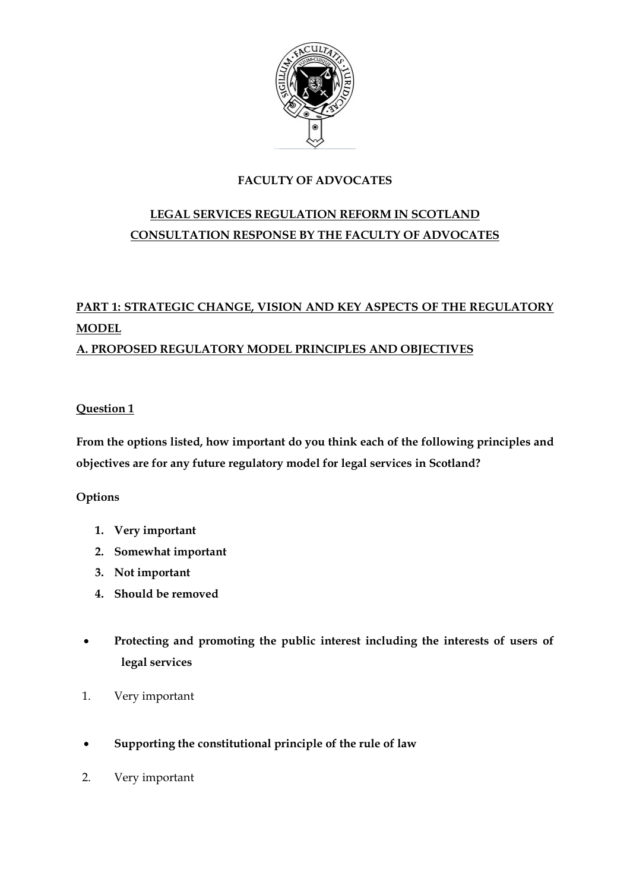

# **FACULTY OF ADVOCATES**

# **LEGAL SERVICES REGULATION REFORM IN SCOTLAND CONSULTATION RESPONSE BY THE FACULTY OF ADVOCATES**

# **PART 1: STRATEGIC CHANGE, VISION AND KEY ASPECTS OF THE REGULATORY MODEL A. PROPOSED REGULATORY MODEL PRINCIPLES AND OBJECTIVES**

# **Question 1**

**From the options listed, how important do you think each of the following principles and objectives are for any future regulatory model for legal services in Scotland?**

# **Options**

- **1. Very important**
- **2. Somewhat important**
- **3. Not important**
- **4. Should be removed**
- **Protecting and promoting the public interest including the interests of users of legal services**
- 1. Very important
- **Supporting the constitutional principle of the rule of law**
- 2. Very important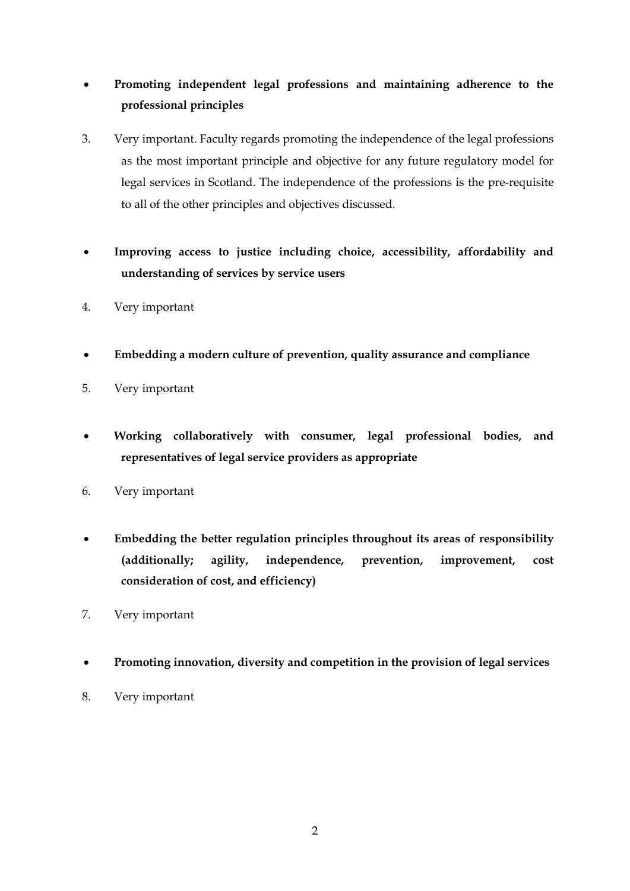# **Promoting independent legal professions and maintaining adherence to the professional principles**

- 3. Very important. Faculty regards promoting the independence of the legal professions as the most important principle and objective for any future regulatory model for legal services in Scotland. The independence of the professions is the pre-requisite to all of the other principles and objectives discussed.
- **Improving access to justice including choice, accessibility, affordability and understanding of services by service users**
- 4. Very important
- **Embedding a modern culture of prevention, quality assurance and compliance**
- 5. Very important
- **Working collaboratively with consumer, legal professional bodies, and representatives of legal service providers as appropriate**
- 6. Very important
- **Embedding the better regulation principles throughout its areas of responsibility (additionally; agility, independence, prevention, improvement, cost consideration of cost, and efficiency)**
- 7. Very important
- **Promoting innovation, diversity and competition in the provision of legal services**
- 8. Very important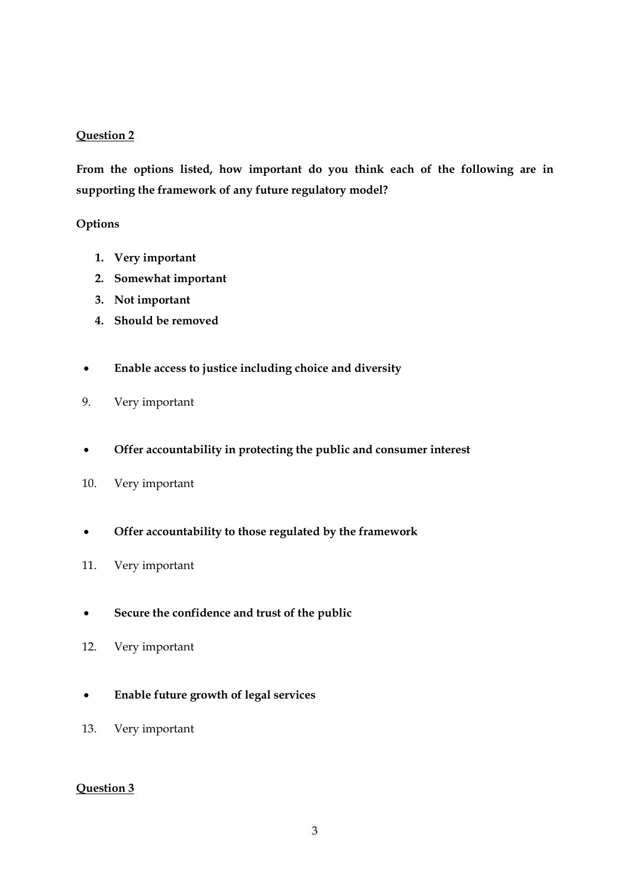## **Question 2**

**From the options listed, how important do you think each of the following are in supporting the framework of any future regulatory model?**

## **Options**

- **1. Very important**
- **2. Somewhat important**
- **3. Not important**
- **4. Should be removed**
- **Enable access to justice including choice and diversity**
- 9. Very important
- **Offer accountability in protecting the public and consumer interest**
- 10. Very important
- **Offer accountability to those regulated by the framework**
- 11. Very important
- **Secure the confidence and trust of the public**
- 12. Very important
- **Enable future growth of legal services**
- 13. Very important

## **Question 3**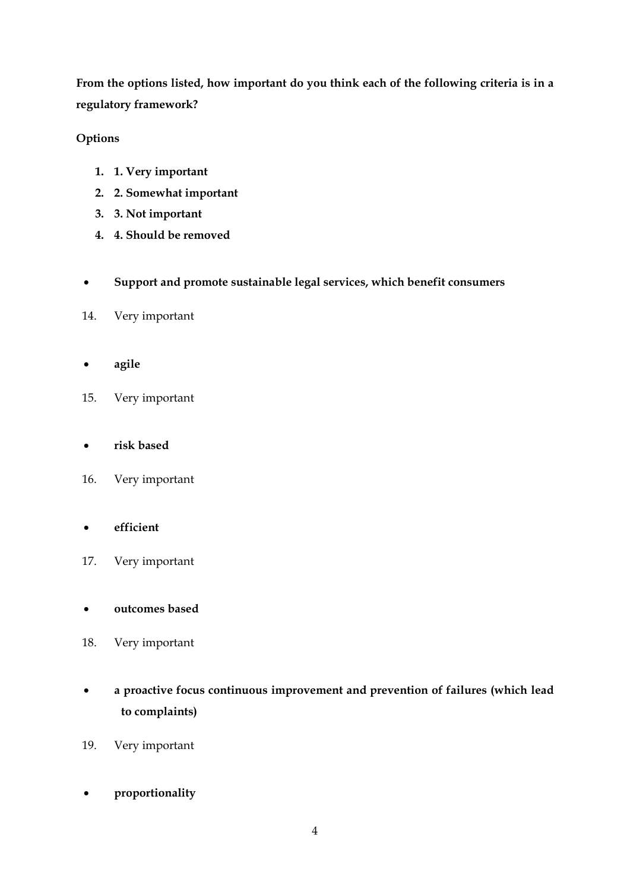**From the options listed, how important do you think each of the following criteria is in a regulatory framework?**

# **Options**

- **1. 1. Very important**
- **2. 2. Somewhat important**
- **3. 3. Not important**
- **4. 4. Should be removed**
- **Support and promote sustainable legal services, which benefit consumers**
- 14. Very important
- **agile**
- 15. Very important
- **risk based**
- 16. Very important

# **efficient**

- 17. Very important
- **outcomes based**
- 18. Very important
- **a proactive focus continuous improvement and prevention of failures (which lead to complaints)**
- 19. Very important
- **proportionality**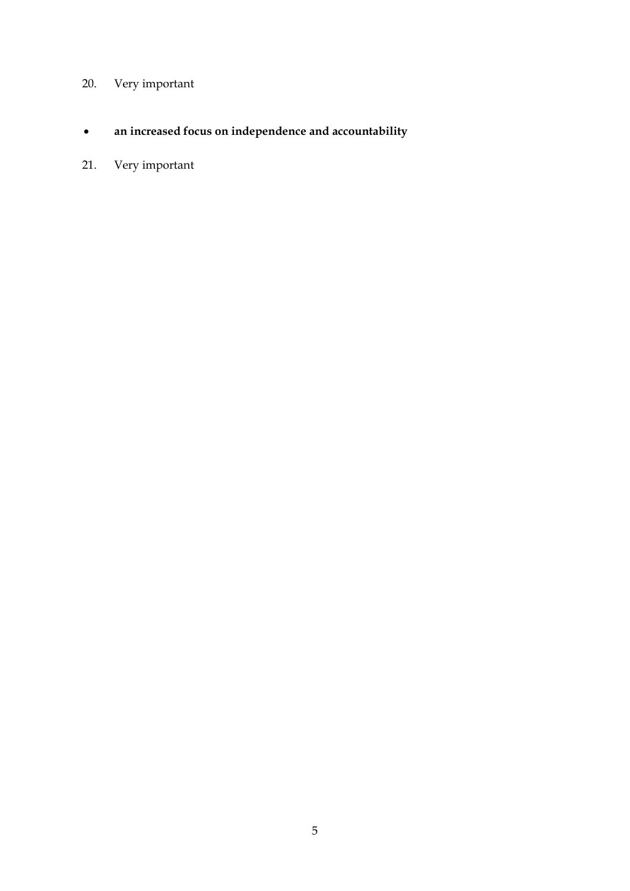# 20. Very important

- **an increased focus on independence and accountability**
- 21. Very important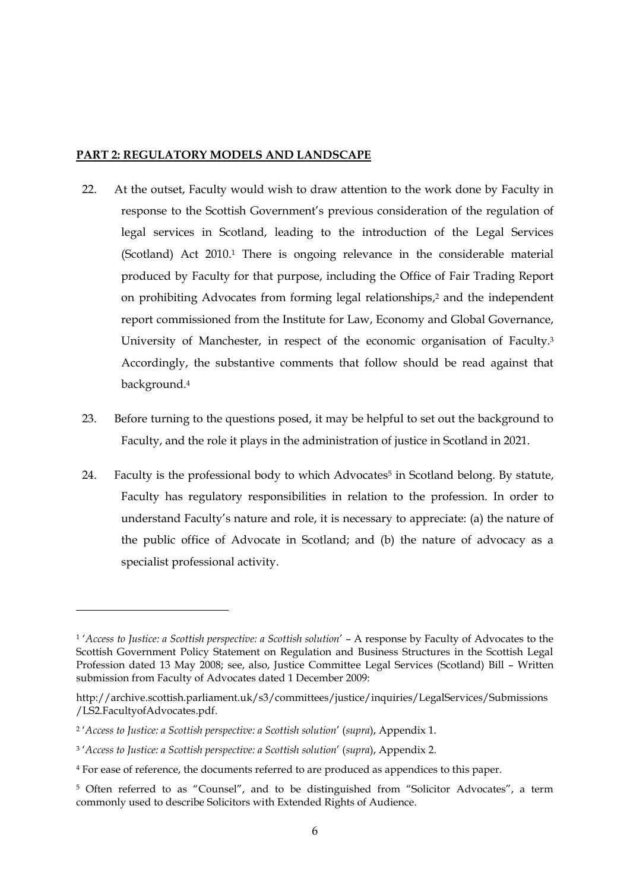#### **PART 2: REGULATORY MODELS AND LANDSCAPE**

- 22. At the outset, Faculty would wish to draw attention to the work done by Faculty in response to the Scottish Government's previous consideration of the regulation of legal services in Scotland, leading to the introduction of the Legal Services (Scotland) Act 2010.<sup>1</sup> There is ongoing relevance in the considerable material produced by Faculty for that purpose, including the Office of Fair Trading Report on prohibiting Advocates from forming legal relationships, <sup>2</sup> and the independent report commissioned from the Institute for Law, Economy and Global Governance, University of Manchester, in respect of the economic organisation of Faculty.<sup>3</sup> Accordingly, the substantive comments that follow should be read against that background.<sup>4</sup>
- 23. Before turning to the questions posed, it may be helpful to set out the background to Faculty, and the role it plays in the administration of justice in Scotland in 2021.
- 24. Faculty is the professional body to which Advocates<sup>5</sup> in Scotland belong. By statute, Faculty has regulatory responsibilities in relation to the profession. In order to understand Faculty's nature and role, it is necessary to appreciate: (a) the nature of the public office of Advocate in Scotland; and (b) the nature of advocacy as a specialist professional activity.

<sup>1</sup> '*Access to Justice: a Scottish perspective: a Scottish solution*' – A response by Faculty of Advocates to the Scottish Government Policy Statement on Regulation and Business Structures in the Scottish Legal Profession dated 13 May 2008; see, also, Justice Committee Legal Services (Scotland) Bill – Written submission from Faculty of Advocates dated 1 December 2009:

[http://archive.scottish.parliament.uk/s3/committees/justice/inquiries/LegalServices/Submissions](http://archive.scottish.parliament.uk/s3/committees/justice/inquiries/LegalServices/Submissions/LS2.FacultyofAdvocates.pdf) [/LS2.FacultyofAdvocates.pdf.](http://archive.scottish.parliament.uk/s3/committees/justice/inquiries/LegalServices/Submissions/LS2.FacultyofAdvocates.pdf)

<sup>2</sup> '*Access to Justice: a Scottish perspective: a Scottish solution*' (*supra*), Appendix 1.

<sup>3</sup> '*Access to Justice: a Scottish perspective: a Scottish solution*' (*supra*), Appendix 2.

<sup>4</sup> For ease of reference, the documents referred to are produced as appendices to this paper.

<sup>&</sup>lt;sup>5</sup> Often referred to as "Counsel", and to be distinguished from "Solicitor Advocates", a term commonly used to describe Solicitors with Extended Rights of Audience.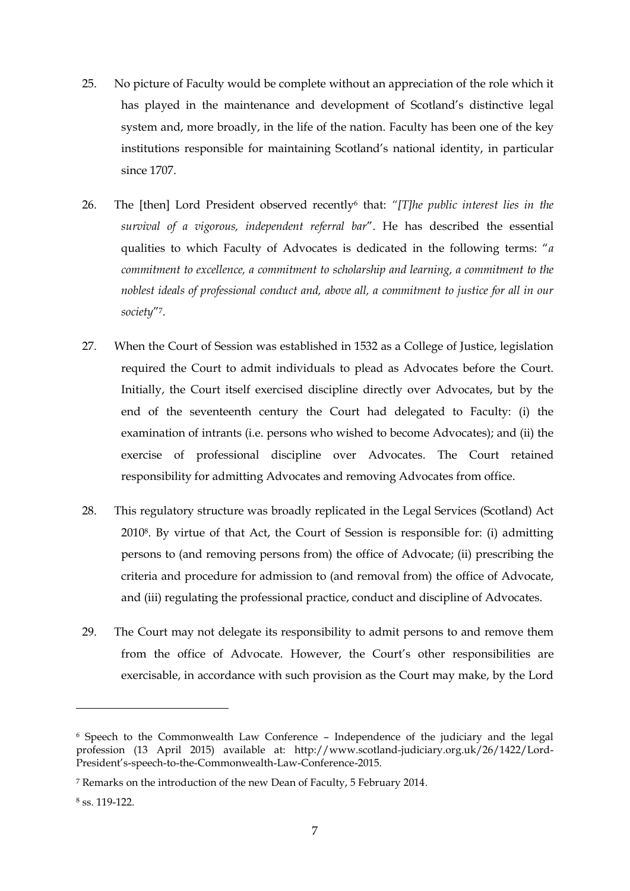- 25. No picture of Faculty would be complete without an appreciation of the role which it has played in the maintenance and development of Scotland's distinctive legal system and, more broadly, in the life of the nation. Faculty has been one of the key institutions responsible for maintaining Scotland's national identity, in particular since 1707.
- 26. The [then] Lord President observed recently<sup>6</sup> that: *"[T]he public interest lies in the survival of a vigorous, independent referral bar*". He has described the essential qualities to which Faculty of Advocates is dedicated in the following terms: "*a commitment to excellence, a commitment to scholarship and learning, a commitment to the noblest ideals of professional conduct and, above all, a commitment to justice for all in our society*"7.
- 27. When the Court of Session was established in 1532 as a College of Justice, legislation required the Court to admit individuals to plead as Advocates before the Court. Initially, the Court itself exercised discipline directly over Advocates, but by the end of the seventeenth century the Court had delegated to Faculty: (i) the examination of intrants (i.e. persons who wished to become Advocates); and (ii) the exercise of professional discipline over Advocates. The Court retained responsibility for admitting Advocates and removing Advocates from office.
- 28. This regulatory structure was broadly replicated in the Legal Services (Scotland) Act 20108. By virtue of that Act, the Court of Session is responsible for: (i) admitting persons to (and removing persons from) the office of Advocate; (ii) prescribing the criteria and procedure for admission to (and removal from) the office of Advocate, and (iii) regulating the professional practice, conduct and discipline of Advocates.
- 29. The Court may not delegate its responsibility to admit persons to and remove them from the office of Advocate. However, the Court's other responsibilities are exercisable, in accordance with such provision as the Court may make, by the Lord

<sup>6</sup> Speech to the Commonwealth Law Conference – Independence of the judiciary and the legal profession (13 April 2015) available at: [http://www.scotland-judiciary.org.uk/26/1422/Lord-](http://www.scotland-judiciary.org.uk/26/1422/Lord-President)President's[-speech-to-the-Commonwealth-Law-Conference-2015.](http://www.scotland-judiciary.org.uk/26/1422/Lord-President)

<sup>7</sup> Remarks on the introduction of the new Dean of Faculty, 5 February 2014.

<sup>8</sup> ss. 119-122.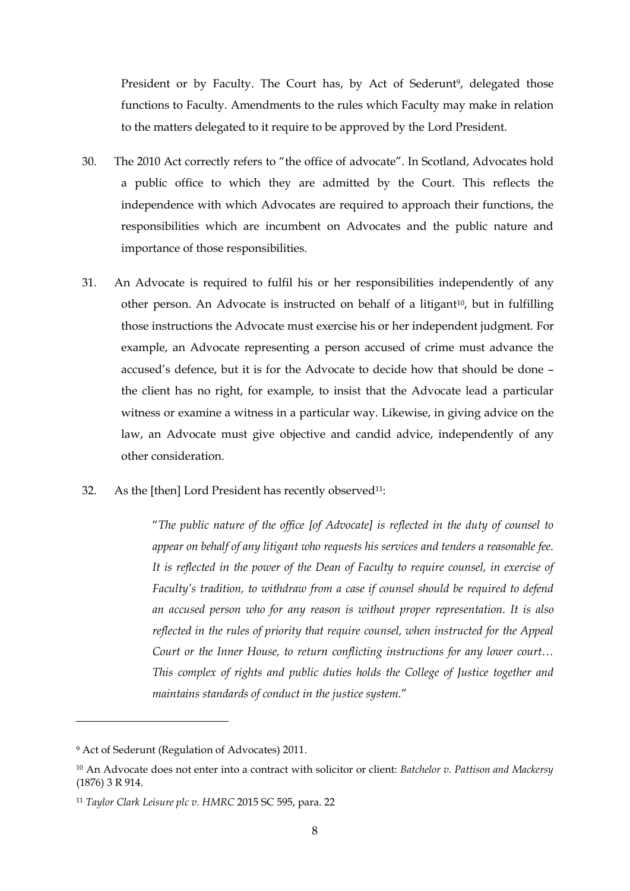President or by Faculty. The Court has, by Act of Sederunt<sup>9</sup>, delegated those functions to Faculty. Amendments to the rules which Faculty may make in relation to the matters delegated to it require to be approved by the Lord President.

- 30. The 2010 Act correctly refers to "the office of advocate". In Scotland, Advocates hold a public office to which they are admitted by the Court. This reflects the independence with which Advocates are required to approach their functions, the responsibilities which are incumbent on Advocates and the public nature and importance of those responsibilities.
- 31. An Advocate is required to fulfil his or her responsibilities independently of any other person. An Advocate is instructed on behalf of a litigant<sup>10</sup>, but in fulfilling those instructions the Advocate must exercise his or her independent judgment. For example, an Advocate representing a person accused of crime must advance the accused's defence, but it is for the Advocate to decide how that should be done – the client has no right, for example, to insist that the Advocate lead a particular witness or examine a witness in a particular way. Likewise, in giving advice on the law, an Advocate must give objective and candid advice, independently of any other consideration.
- 32. As the [then] Lord President has recently observed<sup>11</sup>:

"*The public nature of the office [of Advocate] is reflected in the duty of counsel to appear on behalf of any litigant who requests his services and tenders a reasonable fee. It is reflected in the power of the Dean of Faculty to require counsel, in exercise of Faculty's tradition, to withdraw from a case if counsel should be required to defend an accused person who for any reason is without proper representation. It is also reflected in the rules of priority that require counsel, when instructed for the Appeal Court or the Inner House, to return conflicting instructions for any lower court… This complex of rights and public duties holds the College of Justice together and maintains standards of conduct in the justice system.*"

<sup>9</sup> Act of Sederunt (Regulation of Advocates) 2011.

<sup>10</sup> An Advocate does not enter into a contract with solicitor or client: *Batchelor v. Pattison and Mackersy*  (1876) 3 R 914.

<sup>11</sup> *Taylor Clark Leisure plc v. HMRC* 2015 SC 595, para. 22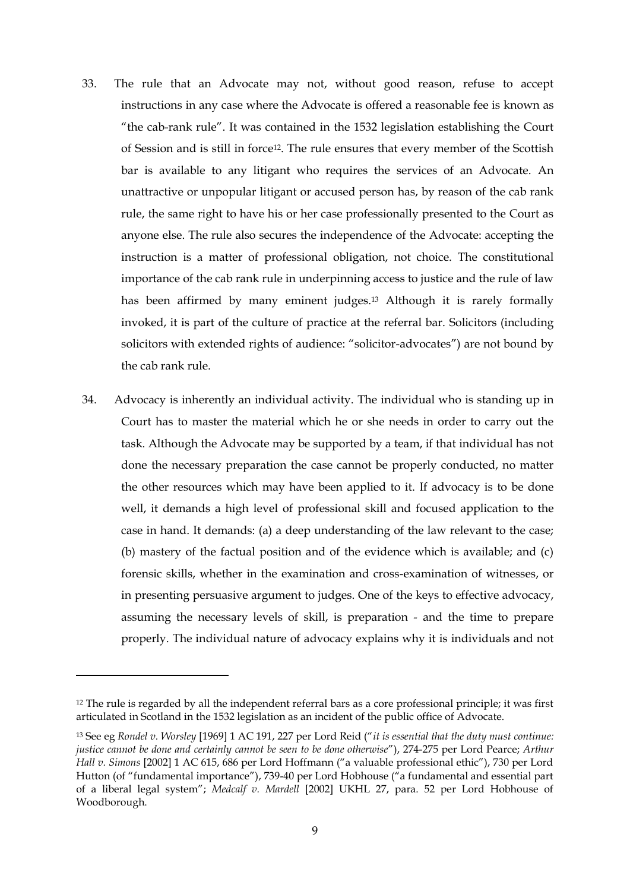- 33. The rule that an Advocate may not, without good reason, refuse to accept instructions in any case where the Advocate is offered a reasonable fee is known as "the cab-rank rule". It was contained in the 1532 legislation establishing the Court of Session and is still in force12. The rule ensures that every member of the Scottish bar is available to any litigant who requires the services of an Advocate. An unattractive or unpopular litigant or accused person has, by reason of the cab rank rule, the same right to have his or her case professionally presented to the Court as anyone else. The rule also secures the independence of the Advocate: accepting the instruction is a matter of professional obligation, not choice. The constitutional importance of the cab rank rule in underpinning access to justice and the rule of law has been affirmed by many eminent judges.<sup>13</sup> Although it is rarely formally invoked, it is part of the culture of practice at the referral bar. Solicitors (including solicitors with extended rights of audience: "solicitor-advocates") are not bound by the cab rank rule.
- 34. Advocacy is inherently an individual activity. The individual who is standing up in Court has to master the material which he or she needs in order to carry out the task. Although the Advocate may be supported by a team, if that individual has not done the necessary preparation the case cannot be properly conducted, no matter the other resources which may have been applied to it. If advocacy is to be done well, it demands a high level of professional skill and focused application to the case in hand. It demands: (a) a deep understanding of the law relevant to the case; (b) mastery of the factual position and of the evidence which is available; and (c) forensic skills, whether in the examination and cross-examination of witnesses, or in presenting persuasive argument to judges. One of the keys to effective advocacy, assuming the necessary levels of skill, is preparation - and the time to prepare properly. The individual nature of advocacy explains why it is individuals and not

<sup>12</sup> The rule is regarded by all the independent referral bars as a core professional principle; it was first articulated in Scotland in the 1532 legislation as an incident of the public office of Advocate.

<sup>13</sup> See eg *Rondel v. Worsley* [1969] 1 AC 191, 227 per Lord Reid ("*it is essential that the duty must continue: justice cannot be done and certainly cannot be seen to be done otherwise*"), 274-275 per Lord Pearce; *Arthur Hall v. Simons* [2002] 1 AC 615, 686 per Lord Hoffmann ("a valuable professional ethic"), 730 per Lord Hutton (of "fundamental importance"), 739-40 per Lord Hobhouse ("a fundamental and essential part of a liberal legal system"; *Medcalf v. Mardell* [2002] UKHL 27, para. 52 per Lord Hobhouse of Woodborough.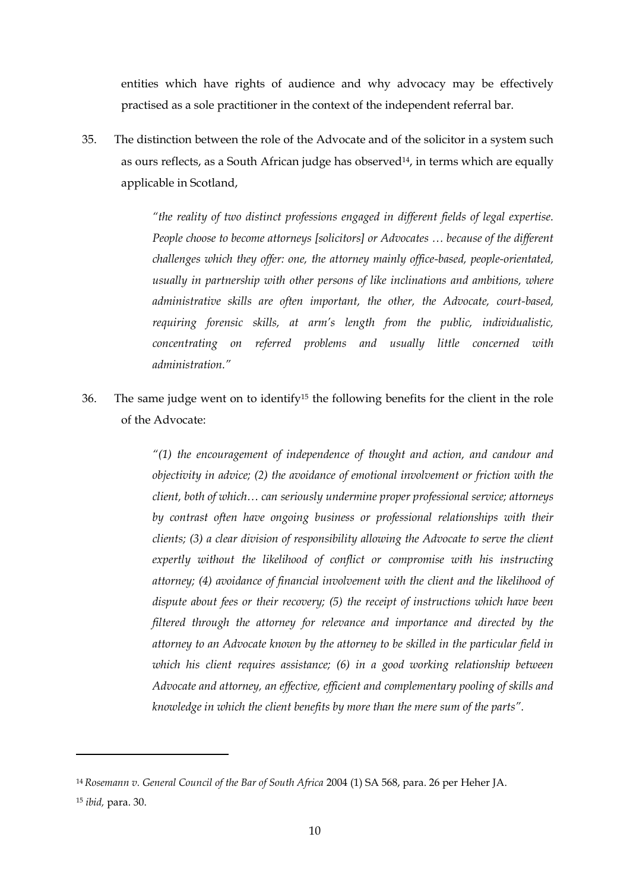entities which have rights of audience and why advocacy may be effectively practised as a sole practitioner in the context of the independent referral bar.

<span id="page-9-0"></span>35. The distinction between the role of the Advocate and of the solicitor in a system such as ours reflects, as a South African judge has observed<sup>14</sup>, in terms which are equally applicable in Scotland,

> *"the reality of two distinct professions engaged in different fields of legal expertise. People choose to become attorneys [solicitors] or Advocates … because of the different challenges which they offer: one, the attorney mainly office-based, people-orientated, usually in partnership with other persons of like inclinations and ambitions, where administrative skills are often important, the other, the Advocate, court-based, requiring forensic skills, at arm's length from the public, individualistic, concentrating on referred problems and usually little concerned with administration."*

36. The same judge went on to identify<sup>15</sup> the following benefits for the client in the role of the Advocate:

> *"(1) the encouragement of independence of thought and action, and candour and objectivity in advice; (2) the avoidance of emotional involvement or friction with the client, both of which… can seriously undermine proper professional service; attorneys by contrast often have ongoing business or professional relationships with their clients; (3) a clear division of responsibility allowing the Advocate to serve the client expertly without the likelihood of conflict or compromise with his instructing attorney; (4) avoidance of financial involvement with the client and the likelihood of dispute about fees or their recovery; (5) the receipt of instructions which have been filtered through the attorney for relevance and importance and directed by the attorney to an Advocate known by the attorney to be skilled in the particular field in which his client requires assistance; (6) in a good working relationship between Advocate and attorney, an effective, efficient and complementary pooling of skills and knowledge in which the client benefits by more than the mere sum of the parts".*

<sup>14</sup> *Rosemann v. General Council of the Bar of South Africa* 2004 (1) SA 568, para. 26 per Heher JA. <sup>15</sup> *ibid,* para. 30.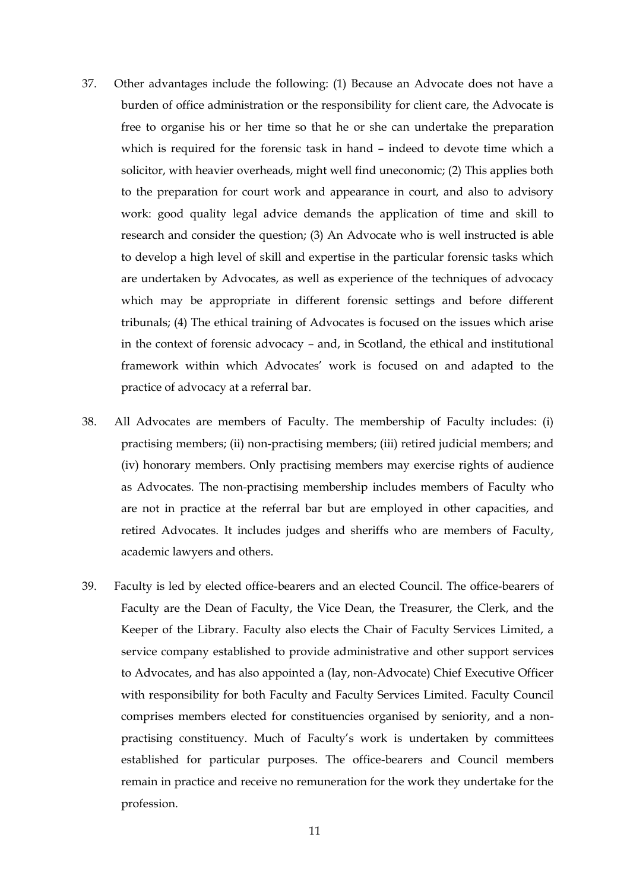- 37. Other advantages include the following: (1) Because an Advocate does not have a burden of office administration or the responsibility for client care, the Advocate is free to organise his or her time so that he or she can undertake the preparation which is required for the forensic task in hand – indeed to devote time which a solicitor, with heavier overheads, might well find uneconomic; (2) This applies both to the preparation for court work and appearance in court, and also to advisory work: good quality legal advice demands the application of time and skill to research and consider the question; (3) An Advocate who is well instructed is able to develop a high level of skill and expertise in the particular forensic tasks which are undertaken by Advocates, as well as experience of the techniques of advocacy which may be appropriate in different forensic settings and before different tribunals; (4) The ethical training of Advocates is focused on the issues which arise in the context of forensic advocacy – and, in Scotland, the ethical and institutional framework within which Advocates' work is focused on and adapted to the practice of advocacy at a referral bar.
- 38. All Advocates are members of Faculty. The membership of Faculty includes: (i) practising members; (ii) non-practising members; (iii) retired judicial members; and (iv) honorary members. Only practising members may exercise rights of audience as Advocates. The non-practising membership includes members of Faculty who are not in practice at the referral bar but are employed in other capacities, and retired Advocates. It includes judges and sheriffs who are members of Faculty, academic lawyers and others.
- 39. Faculty is led by elected office-bearers and an elected Council. The office-bearers of Faculty are the Dean of Faculty, the Vice Dean, the Treasurer, the Clerk, and the Keeper of the Library. Faculty also elects the Chair of Faculty Services Limited, a service company established to provide administrative and other support services to Advocates, and has also appointed a (lay, non-Advocate) Chief Executive Officer with responsibility for both Faculty and Faculty Services Limited. Faculty Council comprises members elected for constituencies organised by seniority, and a nonpractising constituency. Much of Faculty's work is undertaken by committees established for particular purposes. The office-bearers and Council members remain in practice and receive no remuneration for the work they undertake for the profession.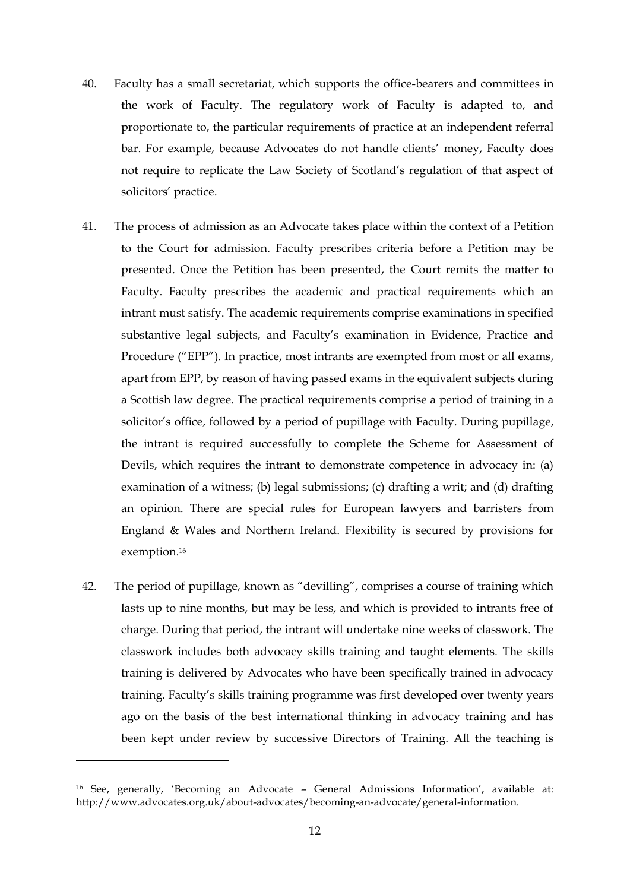- 40. Faculty has a small secretariat, which supports the office-bearers and committees in the work of Faculty. The regulatory work of Faculty is adapted to, and proportionate to, the particular requirements of practice at an independent referral bar. For example, because Advocates do not handle clients' money, Faculty does not require to replicate the Law Society of Scotland's regulation of that aspect of solicitors' practice.
- 41. The process of admission as an Advocate takes place within the context of a Petition to the Court for admission. Faculty prescribes criteria before a Petition may be presented. Once the Petition has been presented, the Court remits the matter to Faculty. Faculty prescribes the academic and practical requirements which an intrant must satisfy. The academic requirements comprise examinations in specified substantive legal subjects, and Faculty's examination in Evidence, Practice and Procedure ("EPP"). In practice, most intrants are exempted from most or all exams, apart from EPP, by reason of having passed exams in the equivalent subjects during a Scottish law degree. The practical requirements comprise a period of training in a solicitor's office, followed by a period of pupillage with Faculty. During pupillage, the intrant is required successfully to complete the Scheme for Assessment of Devils, which requires the intrant to demonstrate competence in advocacy in: (a) examination of a witness; (b) legal submissions; (c) drafting a writ; and (d) drafting an opinion. There are special rules for European lawyers and barristers from England & Wales and Northern Ireland. Flexibility is secured by provisions for exemption.<sup>16</sup>
- 42. The period of pupillage, known as "devilling", comprises a course of training which lasts up to nine months, but may be less, and which is provided to intrants free of charge. During that period, the intrant will undertake nine weeks of classwork. The classwork includes both advocacy skills training and taught elements. The skills training is delivered by Advocates who have been specifically trained in advocacy training. Faculty's skills training programme was first developed over twenty years ago on the basis of the best international thinking in advocacy training and has been kept under review by successive Directors of Training. All the teaching is

<sup>16</sup> See, generally, 'Becoming an Advocate – General Admissions Information', available at: [http://www.advocates.org.uk/about-advocates/becoming-an-advocate/general-information.](http://www.advocates.org.uk/about-advocates/becoming-an-advocate/general-information)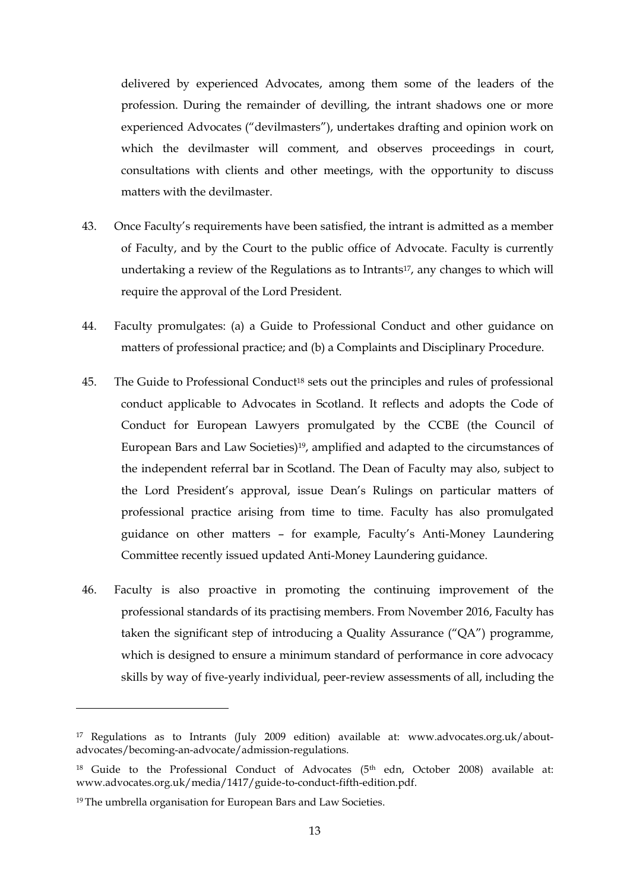delivered by experienced Advocates, among them some of the leaders of the profession. During the remainder of devilling, the intrant shadows one or more experienced Advocates ("devilmasters"), undertakes drafting and opinion work on which the devilmaster will comment, and observes proceedings in court, consultations with clients and other meetings, with the opportunity to discuss matters with the devilmaster.

- 43. Once Faculty's requirements have been satisfied, the intrant is admitted as a member of Faculty, and by the Court to the public office of Advocate. Faculty is currently undertaking a review of the Regulations as to Intrants<sup>17</sup>, any changes to which will require the approval of the Lord President.
- 44. Faculty promulgates: (a) a Guide to Professional Conduct and other guidance on matters of professional practice; and (b) a Complaints and Disciplinary Procedure.
- 45. The Guide to Professional Conduct<sup>18</sup> sets out the principles and rules of professional conduct applicable to Advocates in Scotland. It reflects and adopts the Code of Conduct for European Lawyers promulgated by the CCBE (the Council of European Bars and Law Societies)19, amplified and adapted to the circumstances of the independent referral bar in Scotland. The Dean of Faculty may also, subject to the Lord President's approval, issue Dean's Rulings on particular matters of professional practice arising from time to time. Faculty has also promulgated guidance on other matters – for example, Faculty's Anti-Money Laundering Committee recently issued updated Anti-Money Laundering guidance.
- 46. Faculty is also proactive in promoting the continuing improvement of the professional standards of its practising members. From November 2016, Faculty has taken the significant step of introducing a Quality Assurance ("QA") programme, which is designed to ensure a minimum standard of performance in core advocacy skills by way of five-yearly individual, peer-review assessments of all, including the

<sup>17</sup> Regulations as to Intrants (July 2009 edition) available at: [www.advocates.org.uk/about](http://www.advocates.org.uk/about-advocates/becoming-an-advocate/admission-regulations)[advocates/becoming-an-advocate/admission-regulations.](http://www.advocates.org.uk/about-advocates/becoming-an-advocate/admission-regulations)

<sup>&</sup>lt;sup>18</sup> Guide to the Professional Conduct of Advocates (5<sup>th</sup> edn, October 2008) available at: [www.advocates.org.uk/media/1417/guide-to-conduct-fifth-edition.pdf.](http://www.advocates.org.uk/media/1417/guide-to-conduct-fifth-edition.pdf)

<sup>19</sup> The umbrella organisation for European Bars and Law Societies.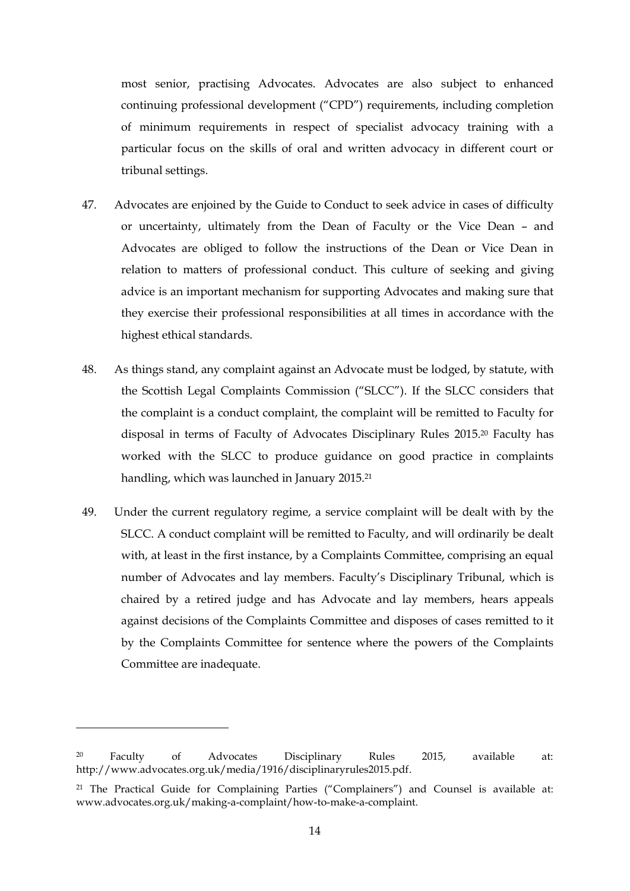most senior, practising Advocates. Advocates are also subject to enhanced continuing professional development ("CPD") requirements, including completion of minimum requirements in respect of specialist advocacy training with a particular focus on the skills of oral and written advocacy in different court or tribunal settings.

- 47. Advocates are enjoined by the Guide to Conduct to seek advice in cases of difficulty or uncertainty, ultimately from the Dean of Faculty or the Vice Dean – and Advocates are obliged to follow the instructions of the Dean or Vice Dean in relation to matters of professional conduct. This culture of seeking and giving advice is an important mechanism for supporting Advocates and making sure that they exercise their professional responsibilities at all times in accordance with the highest ethical standards.
- 48. As things stand, any complaint against an Advocate must be lodged, by statute, with the Scottish Legal Complaints Commission ("SLCC"). If the SLCC considers that the complaint is a conduct complaint, the complaint will be remitted to Faculty for disposal in terms of Faculty of Advocates Disciplinary Rules 2015.<sup>20</sup> Faculty has worked with the SLCC to produce guidance on good practice in complaints handling, which was launched in January 2015.<sup>21</sup>
- 49. Under the current regulatory regime, a service complaint will be dealt with by the SLCC. A conduct complaint will be remitted to Faculty, and will ordinarily be dealt with, at least in the first instance, by a Complaints Committee, comprising an equal number of Advocates and lay members. Faculty's Disciplinary Tribunal, which is chaired by a retired judge and has Advocate and lay members, hears appeals against decisions of the Complaints Committee and disposes of cases remitted to it by the Complaints Committee for sentence where the powers of the Complaints Committee are inadequate.

<sup>20</sup> Faculty of Advocates Disciplinary Rules 2015, available at: [http://www.advocates.org.uk/media/1916/disciplinaryrules2015.pdf.](http://www.advocates.org.uk/media/1916/disciplinaryrules2015.pdf)

<sup>21</sup> The Practical Guide for Complaining Parties ("Complainers") and Counsel is available at: [www.advocates.org.uk/making-a-complaint/how-to-make-a-complaint.](http://www.advocates.org.uk/making-a-complaint/how-to-make-a-complaint)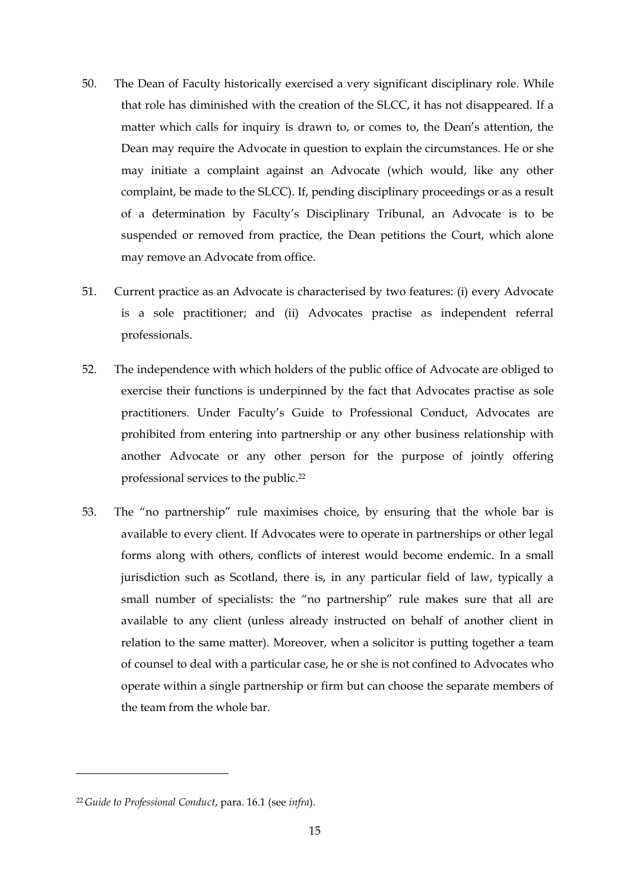- 50. The Dean of Faculty historically exercised a very significant disciplinary role. While that role has diminished with the creation of the SLCC, it has not disappeared. If a matter which calls for inquiry is drawn to, or comes to, the Dean's attention, the Dean may require the Advocate in question to explain the circumstances. He or she may initiate a complaint against an Advocate (which would, like any other complaint, be made to the SLCC). If, pending disciplinary proceedings or as a result of a determination by Faculty's Disciplinary Tribunal, an Advocate is to be suspended or removed from practice, the Dean petitions the Court, which alone may remove an Advocate from office.
- 51. Current practice as an Advocate is characterised by two features: (i) every Advocate is a sole practitioner; and (ii) Advocates practise as independent referral professionals.
- 52. The independence with which holders of the public office of Advocate are obliged to exercise their functions is underpinned by the fact that Advocates practise as sole practitioners. Under Faculty's Guide to Professional Conduct, Advocates are prohibited from entering into partnership or any other business relationship with another Advocate or any other person for the purpose of jointly offering professional services to the public.<sup>22</sup>
- 53. The "no partnership" rule maximises choice, by ensuring that the whole bar is available to every client. If Advocates were to operate in partnerships or other legal forms along with others, conflicts of interest would become endemic. In a small jurisdiction such as Scotland, there is, in any particular field of law, typically a small number of specialists: the "no partnership" rule makes sure that all are available to any client (unless already instructed on behalf of another client in relation to the same matter). Moreover, when a solicitor is putting together a team of counsel to deal with a particular case, he or she is not confined to Advocates who operate within a single partnership or firm but can choose the separate members of the team from the whole bar.

<sup>22</sup> *Guide to Professional Conduct*, para. 16.1 (see *infra*).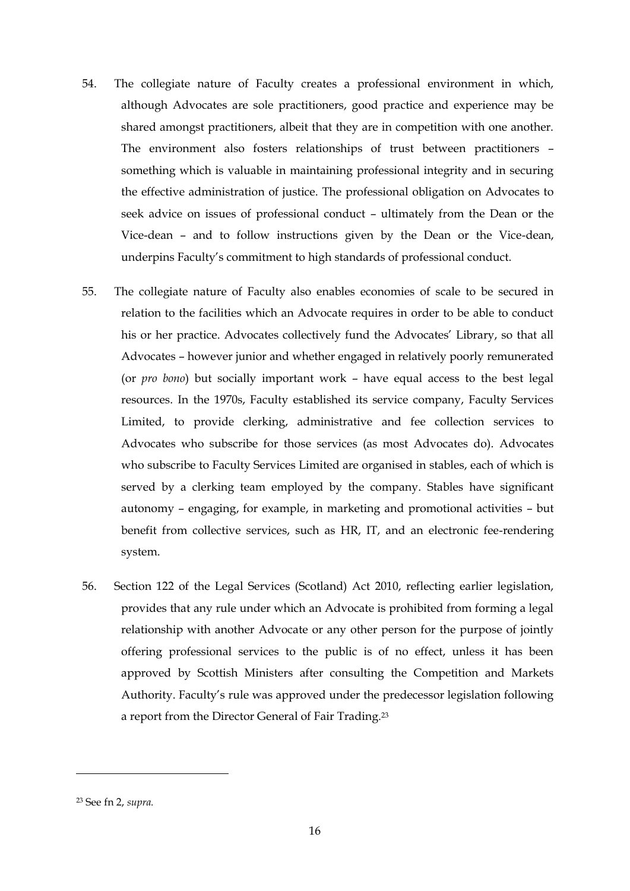- 54. The collegiate nature of Faculty creates a professional environment in which, although Advocates are sole practitioners, good practice and experience may be shared amongst practitioners, albeit that they are in competition with one another. The environment also fosters relationships of trust between practitioners – something which is valuable in maintaining professional integrity and in securing the effective administration of justice. The professional obligation on Advocates to seek advice on issues of professional conduct – ultimately from the Dean or the Vice-dean – and to follow instructions given by the Dean or the Vice-dean, underpins Faculty's commitment to high standards of professional conduct.
- 55. The collegiate nature of Faculty also enables economies of scale to be secured in relation to the facilities which an Advocate requires in order to be able to conduct his or her practice. Advocates collectively fund the Advocates' Library, so that all Advocates – however junior and whether engaged in relatively poorly remunerated (or *pro bono*) but socially important work – have equal access to the best legal resources. In the 1970s, Faculty established its service company, Faculty Services Limited, to provide clerking, administrative and fee collection services to Advocates who subscribe for those services (as most Advocates do). Advocates who subscribe to Faculty Services Limited are organised in stables, each of which is served by a clerking team employed by the company. Stables have significant autonomy – engaging, for example, in marketing and promotional activities – but benefit from collective services, such as HR, IT, and an electronic fee-rendering system.
- 56. Section 122 of the Legal Services (Scotland) Act 2010, reflecting earlier legislation, provides that any rule under which an Advocate is prohibited from forming a legal relationship with another Advocate or any other person for the purpose of jointly offering professional services to the public is of no effect, unless it has been approved by Scottish Ministers after consulting the Competition and Markets Authority. Faculty's rule was approved under the predecessor legislation following a report from the Director General of Fair Trading.<sup>23</sup>

<sup>23</sup> See fn 2, *supra.*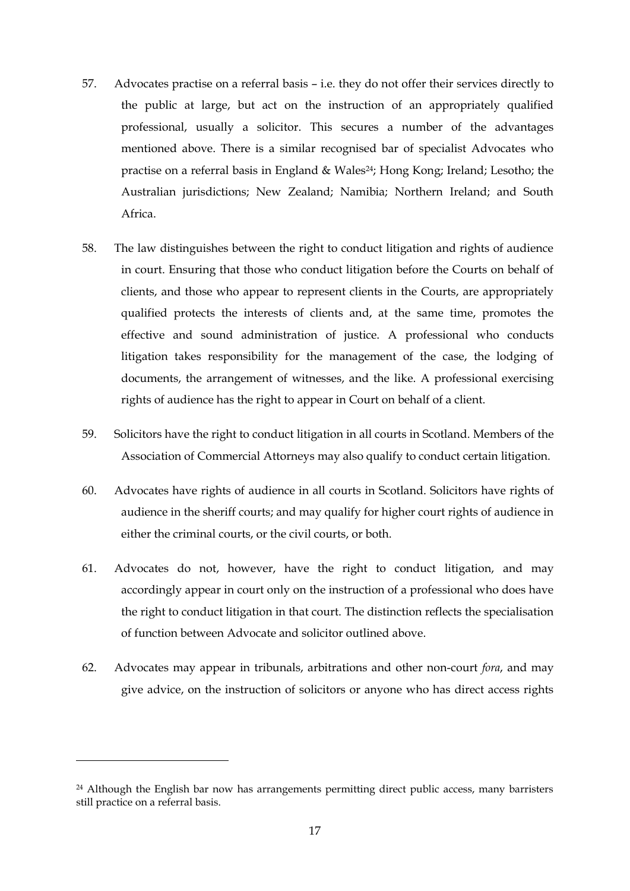- 57. Advocates practise on a referral basis i.e. they do not offer their services directly to the public at large, but act on the instruction of an appropriately qualified professional, usually a solicitor. This secures a number of the advantages mentioned above. There is a similar recognised bar of specialist Advocates who practise on a referral basis in England & Wales24; Hong Kong; Ireland; Lesotho; the Australian jurisdictions; New Zealand; Namibia; Northern Ireland; and South Africa.
- 58. The law distinguishes between the right to conduct litigation and rights of audience in court. Ensuring that those who conduct litigation before the Courts on behalf of clients, and those who appear to represent clients in the Courts, are appropriately qualified protects the interests of clients and, at the same time, promotes the effective and sound administration of justice. A professional who conducts litigation takes responsibility for the management of the case, the lodging of documents, the arrangement of witnesses, and the like. A professional exercising rights of audience has the right to appear in Court on behalf of a client.
- 59. Solicitors have the right to conduct litigation in all courts in Scotland. Members of the Association of Commercial Attorneys may also qualify to conduct certain litigation.
- 60. Advocates have rights of audience in all courts in Scotland. Solicitors have rights of audience in the sheriff courts; and may qualify for higher court rights of audience in either the criminal courts, or the civil courts, or both.
- 61. Advocates do not, however, have the right to conduct litigation, and may accordingly appear in court only on the instruction of a professional who does have the right to conduct litigation in that court. The distinction reflects the specialisation of function between Advocate and solicitor outlined above.
- 62. Advocates may appear in tribunals, arbitrations and other non-court *fora*, and may give advice, on the instruction of solicitors or anyone who has direct access rights

<sup>&</sup>lt;sup>24</sup> Although the English bar now has arrangements permitting direct public access, many barristers still practice on a referral basis.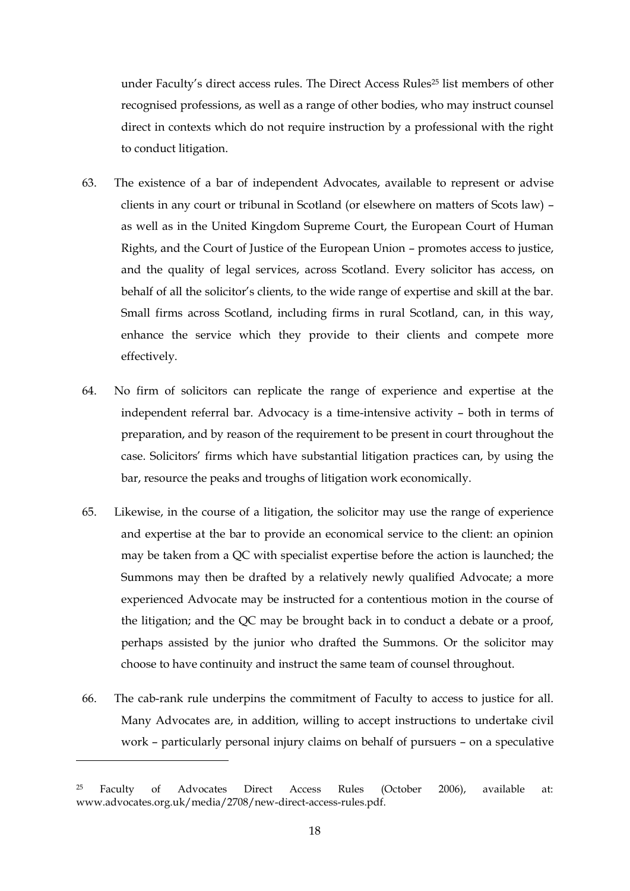under Faculty's direct access rules. The Direct Access Rules<sup>25</sup> list members of other recognised professions, as well as a range of other bodies, who may instruct counsel direct in contexts which do not require instruction by a professional with the right to conduct litigation.

- 63. The existence of a bar of independent Advocates, available to represent or advise clients in any court or tribunal in Scotland (or elsewhere on matters of Scots law) – as well as in the United Kingdom Supreme Court, the European Court of Human Rights, and the Court of Justice of the European Union – promotes access to justice, and the quality of legal services, across Scotland. Every solicitor has access, on behalf of all the solicitor's clients, to the wide range of expertise and skill at the bar. Small firms across Scotland, including firms in rural Scotland, can, in this way, enhance the service which they provide to their clients and compete more effectively.
- 64. No firm of solicitors can replicate the range of experience and expertise at the independent referral bar. Advocacy is a time-intensive activity – both in terms of preparation, and by reason of the requirement to be present in court throughout the case. Solicitors' firms which have substantial litigation practices can, by using the bar, resource the peaks and troughs of litigation work economically.
- 65. Likewise, in the course of a litigation, the solicitor may use the range of experience and expertise at the bar to provide an economical service to the client: an opinion may be taken from a QC with specialist expertise before the action is launched; the Summons may then be drafted by a relatively newly qualified Advocate; a more experienced Advocate may be instructed for a contentious motion in the course of the litigation; and the QC may be brought back in to conduct a debate or a proof, perhaps assisted by the junior who drafted the Summons. Or the solicitor may choose to have continuity and instruct the same team of counsel throughout.
- 66. The cab-rank rule underpins the commitment of Faculty to access to justice for all. Many Advocates are, in addition, willing to accept instructions to undertake civil work – particularly personal injury claims on behalf of pursuers – on a speculative

-

 $25$  Faculty of Advocates Direct Access Rules (October 2006), available at: [www.advocates.org.uk/media/2708/new-direct-access-rules.pdf.](http://www.advocates.org.uk/media/2708/new-direct-access-rules.pdf)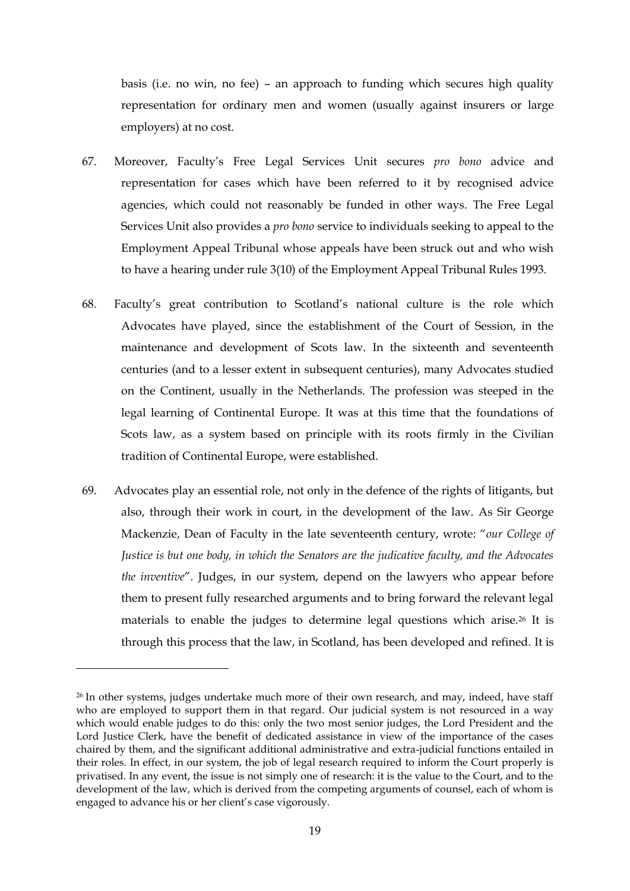basis (i.e. no win, no fee) – an approach to funding which secures high quality representation for ordinary men and women (usually against insurers or large employers) at no cost.

- 67. Moreover, Faculty's Free Legal Services Unit secures *pro bono* advice and representation for cases which have been referred to it by recognised advice agencies, which could not reasonably be funded in other ways. The Free Legal Services Unit also provides a *pro bono* service to individuals seeking to appeal to the Employment Appeal Tribunal whose appeals have been struck out and who wish to have a hearing under rule 3(10) of the Employment Appeal Tribunal Rules 1993.
- 68. Faculty's great contribution to Scotland's national culture is the role which Advocates have played, since the establishment of the Court of Session, in the maintenance and development of Scots law. In the sixteenth and seventeenth centuries (and to a lesser extent in subsequent centuries), many Advocates studied on the Continent, usually in the Netherlands. The profession was steeped in the legal learning of Continental Europe. It was at this time that the foundations of Scots law, as a system based on principle with its roots firmly in the Civilian tradition of Continental Europe, were established.
- 69. Advocates play an essential role, not only in the defence of the rights of litigants, but also, through their work in court, in the development of the law. As Sir George Mackenzie, Dean of Faculty in the late seventeenth century, wrote: "*our College of Justice is but one body, in which the Senators are the judicative faculty, and the Advocates the inventive*". Judges, in our system, depend on the lawyers who appear before them to present fully researched arguments and to bring forward the relevant legal materials to enable the judges to determine legal questions which arise.<sup>26</sup> It is through this process that the law, in Scotland, has been developed and refined. It is

-

<sup>&</sup>lt;sup>26</sup> In other systems, judges undertake much more of their own research, and may, indeed, have staff who are employed to support them in that regard. Our judicial system is not resourced in a way which would enable judges to do this: only the two most senior judges, the Lord President and the Lord Justice Clerk, have the benefit of dedicated assistance in view of the importance of the cases chaired by them, and the significant additional administrative and extra-judicial functions entailed in their roles. In effect, in our system, the job of legal research required to inform the Court properly is privatised. In any event, the issue is not simply one of research: it is the value to the Court, and to the development of the law, which is derived from the competing arguments of counsel, each of whom is engaged to advance his or her client's case vigorously.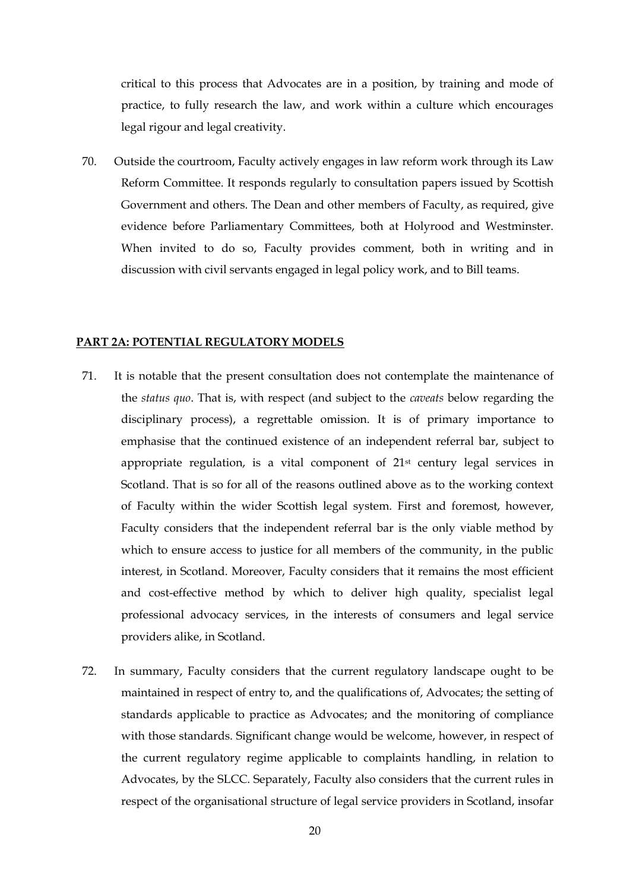critical to this process that Advocates are in a position, by training and mode of practice, to fully research the law, and work within a culture which encourages legal rigour and legal creativity.

70. Outside the courtroom, Faculty actively engages in law reform work through its Law Reform Committee. It responds regularly to consultation papers issued by Scottish Government and others. The Dean and other members of Faculty, as required, give evidence before Parliamentary Committees, both at Holyrood and Westminster. When invited to do so, Faculty provides comment, both in writing and in discussion with civil servants engaged in legal policy work, and to Bill teams.

#### **PART 2A: POTENTIAL REGULATORY MODELS**

- 71. It is notable that the present consultation does not contemplate the maintenance of the *status quo*. That is, with respect (and subject to the *caveats* below regarding the disciplinary process), a regrettable omission. It is of primary importance to emphasise that the continued existence of an independent referral bar, subject to appropriate regulation, is a vital component of 21st century legal services in Scotland. That is so for all of the reasons outlined above as to the working context of Faculty within the wider Scottish legal system. First and foremost, however, Faculty considers that the independent referral bar is the only viable method by which to ensure access to justice for all members of the community, in the public interest, in Scotland. Moreover, Faculty considers that it remains the most efficient and cost-effective method by which to deliver high quality, specialist legal professional advocacy services, in the interests of consumers and legal service providers alike, in Scotland.
- 72. In summary, Faculty considers that the current regulatory landscape ought to be maintained in respect of entry to, and the qualifications of, Advocates; the setting of standards applicable to practice as Advocates; and the monitoring of compliance with those standards. Significant change would be welcome, however, in respect of the current regulatory regime applicable to complaints handling, in relation to Advocates, by the SLCC. Separately, Faculty also considers that the current rules in respect of the organisational structure of legal service providers in Scotland, insofar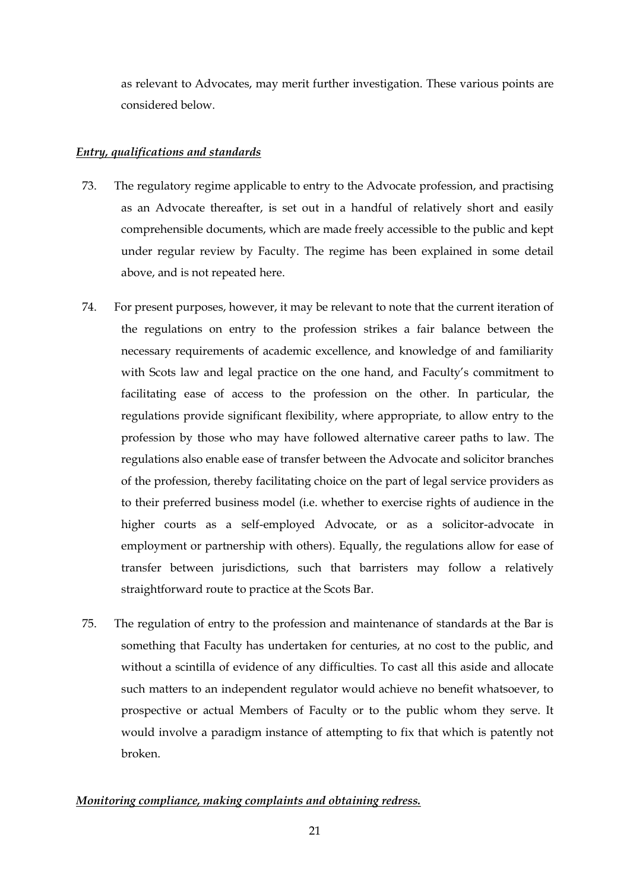as relevant to Advocates, may merit further investigation. These various points are considered below.

## *Entry, qualifications and standards*

- 73. The regulatory regime applicable to entry to the Advocate profession, and practising as an Advocate thereafter, is set out in a handful of relatively short and easily comprehensible documents, which are made freely accessible to the public and kept under regular review by Faculty. The regime has been explained in some detail above, and is not repeated here.
- 74. For present purposes, however, it may be relevant to note that the current iteration of the regulations on entry to the profession strikes a fair balance between the necessary requirements of academic excellence, and knowledge of and familiarity with Scots law and legal practice on the one hand, and Faculty's commitment to facilitating ease of access to the profession on the other. In particular, the regulations provide significant flexibility, where appropriate, to allow entry to the profession by those who may have followed alternative career paths to law. The regulations also enable ease of transfer between the Advocate and solicitor branches of the profession, thereby facilitating choice on the part of legal service providers as to their preferred business model (i.e. whether to exercise rights of audience in the higher courts as a self-employed Advocate, or as a solicitor-advocate in employment or partnership with others). Equally, the regulations allow for ease of transfer between jurisdictions, such that barristers may follow a relatively straightforward route to practice at the Scots Bar.
- 75. The regulation of entry to the profession and maintenance of standards at the Bar is something that Faculty has undertaken for centuries, at no cost to the public, and without a scintilla of evidence of any difficulties. To cast all this aside and allocate such matters to an independent regulator would achieve no benefit whatsoever, to prospective or actual Members of Faculty or to the public whom they serve. It would involve a paradigm instance of attempting to fix that which is patently not broken.

# *Monitoring compliance, making complaints and obtaining redress.*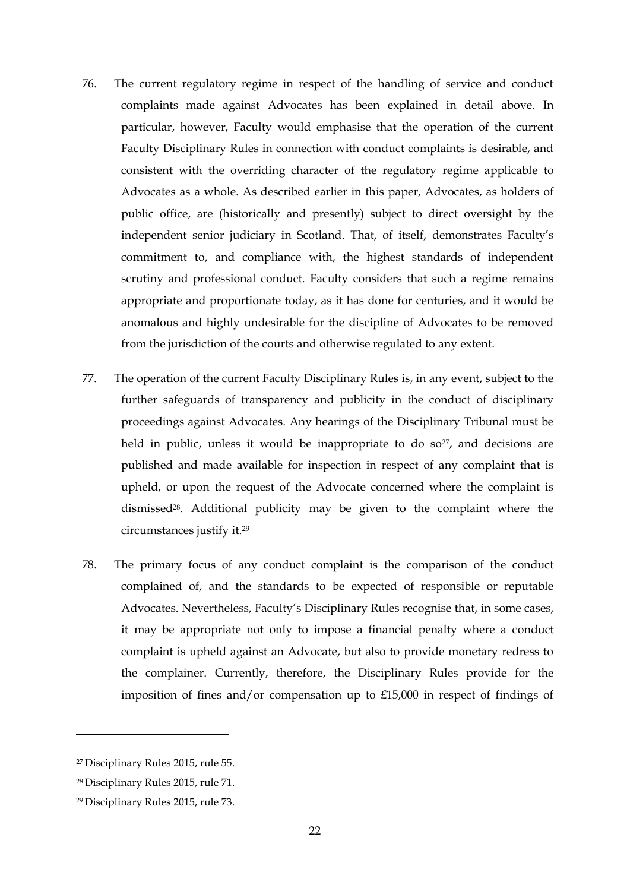- 76. The current regulatory regime in respect of the handling of service and conduct complaints made against Advocates has been explained in detail above. In particular, however, Faculty would emphasise that the operation of the current Faculty Disciplinary Rules in connection with conduct complaints is desirable, and consistent with the overriding character of the regulatory regime applicable to Advocates as a whole. As described earlier in this paper, Advocates, as holders of public office, are (historically and presently) subject to direct oversight by the independent senior judiciary in Scotland. That, of itself, demonstrates Faculty's commitment to, and compliance with, the highest standards of independent scrutiny and professional conduct. Faculty considers that such a regime remains appropriate and proportionate today, as it has done for centuries, and it would be anomalous and highly undesirable for the discipline of Advocates to be removed from the jurisdiction of the courts and otherwise regulated to any extent.
- 77. The operation of the current Faculty Disciplinary Rules is, in any event, subject to the further safeguards of transparency and publicity in the conduct of disciplinary proceedings against Advocates. Any hearings of the Disciplinary Tribunal must be held in public, unless it would be inappropriate to do so $27$ , and decisions are published and made available for inspection in respect of any complaint that is upheld, or upon the request of the Advocate concerned where the complaint is dismissed28. Additional publicity may be given to the complaint where the circumstances justify it.<sup>29</sup>
- 78. The primary focus of any conduct complaint is the comparison of the conduct complained of, and the standards to be expected of responsible or reputable Advocates. Nevertheless, Faculty's Disciplinary Rules recognise that, in some cases, it may be appropriate not only to impose a financial penalty where a conduct complaint is upheld against an Advocate, but also to provide monetary redress to the complainer. Currently, therefore, the Disciplinary Rules provide for the imposition of fines and/or compensation up to £15,000 in respect of findings of

1

<sup>27</sup> Disciplinary Rules 2015, rule 55.

<sup>28</sup> Disciplinary Rules 2015, rule 71.

<sup>29</sup> Disciplinary Rules 2015, rule 73.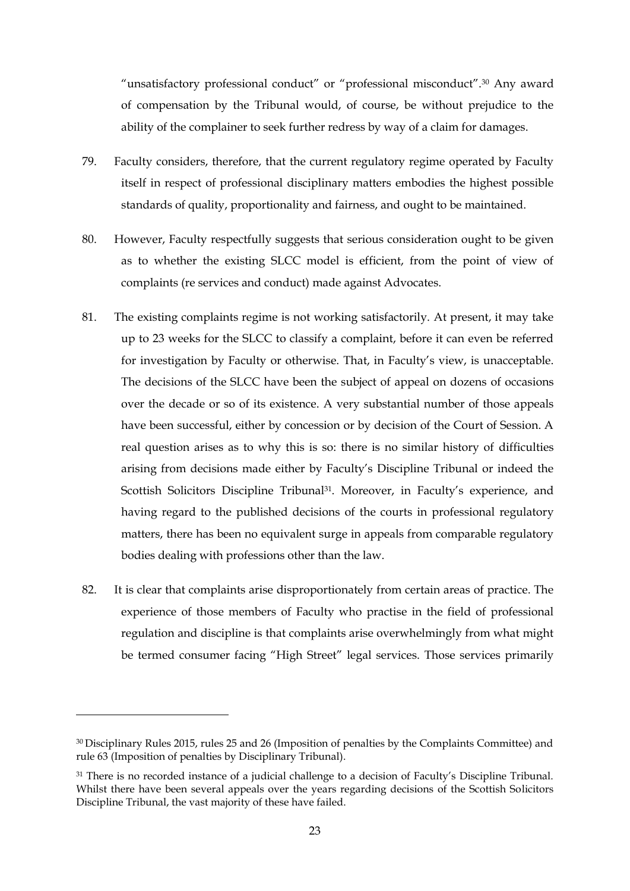"unsatisfactory professional conduct" or "professional misconduct".<sup>30</sup> Any award of compensation by the Tribunal would, of course, be without prejudice to the ability of the complainer to seek further redress by way of a claim for damages.

- 79. Faculty considers, therefore, that the current regulatory regime operated by Faculty itself in respect of professional disciplinary matters embodies the highest possible standards of quality, proportionality and fairness, and ought to be maintained.
- 80. However, Faculty respectfully suggests that serious consideration ought to be given as to whether the existing SLCC model is efficient, from the point of view of complaints (re services and conduct) made against Advocates.
- 81. The existing complaints regime is not working satisfactorily. At present, it may take up to 23 weeks for the SLCC to classify a complaint, before it can even be referred for investigation by Faculty or otherwise. That, in Faculty's view, is unacceptable. The decisions of the SLCC have been the subject of appeal on dozens of occasions over the decade or so of its existence. A very substantial number of those appeals have been successful, either by concession or by decision of the Court of Session. A real question arises as to why this is so: there is no similar history of difficulties arising from decisions made either by Faculty's Discipline Tribunal or indeed the Scottish Solicitors Discipline Tribunal<sup>31</sup>. Moreover, in Faculty's experience, and having regard to the published decisions of the courts in professional regulatory matters, there has been no equivalent surge in appeals from comparable regulatory bodies dealing with professions other than the law.
- 82. It is clear that complaints arise disproportionately from certain areas of practice. The experience of those members of Faculty who practise in the field of professional regulation and discipline is that complaints arise overwhelmingly from what might be termed consumer facing "High Street" legal services. Those services primarily

-

<sup>30</sup> Disciplinary Rules 2015, rules 25 and 26 (Imposition of penalties by the Complaints Committee) and rule 63 (Imposition of penalties by Disciplinary Tribunal).

<sup>31</sup> There is no recorded instance of a judicial challenge to a decision of Faculty's Discipline Tribunal. Whilst there have been several appeals over the years regarding decisions of the Scottish Solicitors Discipline Tribunal, the vast majority of these have failed.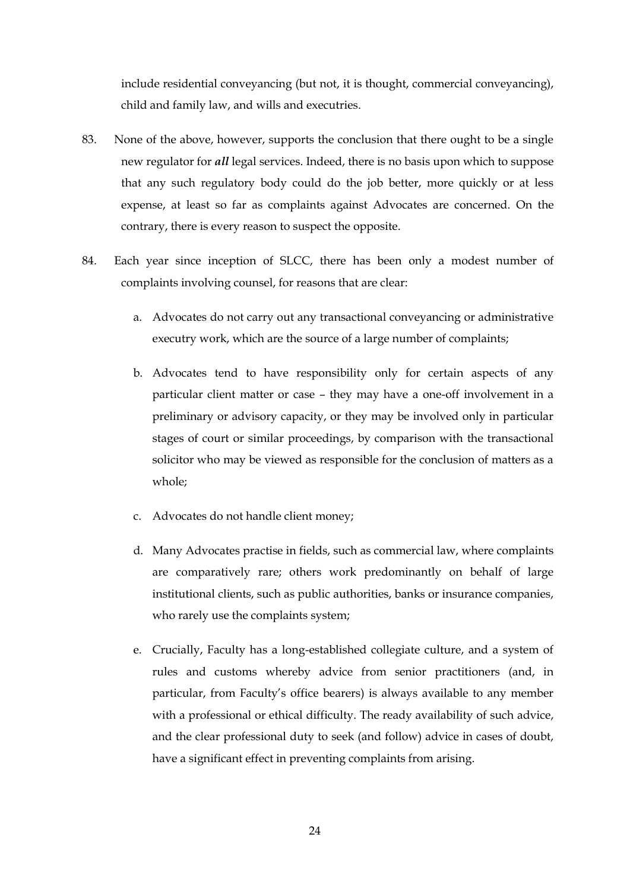include residential conveyancing (but not, it is thought, commercial conveyancing), child and family law, and wills and executries.

- 83. None of the above, however, supports the conclusion that there ought to be a single new regulator for *all* legal services. Indeed, there is no basis upon which to suppose that any such regulatory body could do the job better, more quickly or at less expense, at least so far as complaints against Advocates are concerned. On the contrary, there is every reason to suspect the opposite.
- 84. Each year since inception of SLCC, there has been only a modest number of complaints involving counsel, for reasons that are clear:
	- a. Advocates do not carry out any transactional conveyancing or administrative executry work, which are the source of a large number of complaints;
	- b. Advocates tend to have responsibility only for certain aspects of any particular client matter or case – they may have a one-off involvement in a preliminary or advisory capacity, or they may be involved only in particular stages of court or similar proceedings, by comparison with the transactional solicitor who may be viewed as responsible for the conclusion of matters as a whole;
	- c. Advocates do not handle client money;
	- d. Many Advocates practise in fields, such as commercial law, where complaints are comparatively rare; others work predominantly on behalf of large institutional clients, such as public authorities, banks or insurance companies, who rarely use the complaints system;
	- e. Crucially, Faculty has a long-established collegiate culture, and a system of rules and customs whereby advice from senior practitioners (and, in particular, from Faculty's office bearers) is always available to any member with a professional or ethical difficulty. The ready availability of such advice, and the clear professional duty to seek (and follow) advice in cases of doubt, have a significant effect in preventing complaints from arising.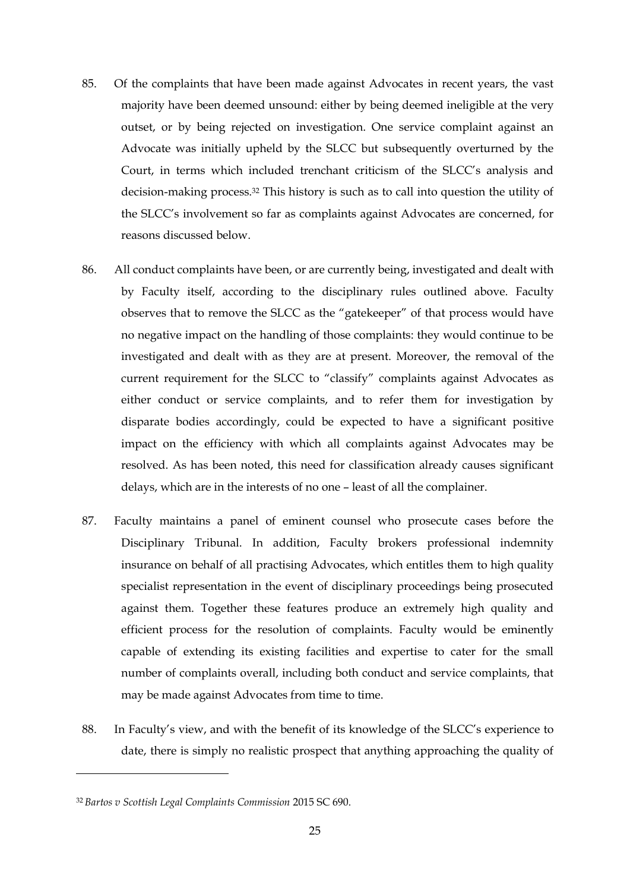- 85. Of the complaints that have been made against Advocates in recent years, the vast majority have been deemed unsound: either by being deemed ineligible at the very outset, or by being rejected on investigation. One service complaint against an Advocate was initially upheld by the SLCC but subsequently overturned by the Court, in terms which included trenchant criticism of the SLCC's analysis and decision-making process.<sup>32</sup> This history is such as to call into question the utility of the SLCC's involvement so far as complaints against Advocates are concerned, for reasons discussed below.
- 86. All conduct complaints have been, or are currently being, investigated and dealt with by Faculty itself, according to the disciplinary rules outlined above. Faculty observes that to remove the SLCC as the "gatekeeper" of that process would have no negative impact on the handling of those complaints: they would continue to be investigated and dealt with as they are at present. Moreover, the removal of the current requirement for the SLCC to "classify" complaints against Advocates as either conduct or service complaints, and to refer them for investigation by disparate bodies accordingly, could be expected to have a significant positive impact on the efficiency with which all complaints against Advocates may be resolved. As has been noted, this need for classification already causes significant delays, which are in the interests of no one – least of all the complainer.
- 87. Faculty maintains a panel of eminent counsel who prosecute cases before the Disciplinary Tribunal. In addition, Faculty brokers professional indemnity insurance on behalf of all practising Advocates, which entitles them to high quality specialist representation in the event of disciplinary proceedings being prosecuted against them. Together these features produce an extremely high quality and efficient process for the resolution of complaints. Faculty would be eminently capable of extending its existing facilities and expertise to cater for the small number of complaints overall, including both conduct and service complaints, that may be made against Advocates from time to time.
- 88. In Faculty's view, and with the benefit of its knowledge of the SLCC's experience to date, there is simply no realistic prospect that anything approaching the quality of

-

<sup>32</sup> *Bartos v Scottish Legal Complaints Commission* 2015 SC 690.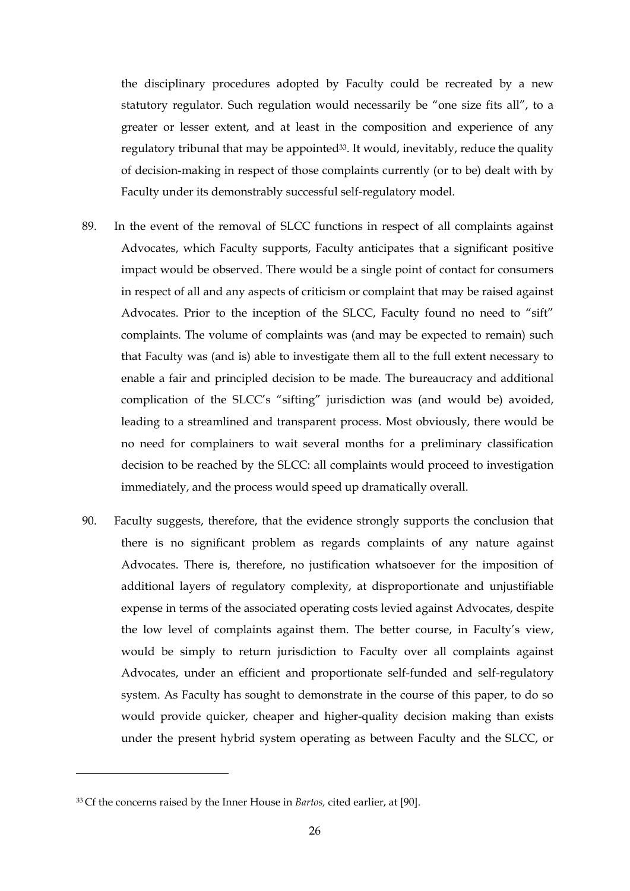the disciplinary procedures adopted by Faculty could be recreated by a new statutory regulator. Such regulation would necessarily be "one size fits all", to a greater or lesser extent, and at least in the composition and experience of any regulatory tribunal that may be appointed<sup>33</sup>. It would, inevitably, reduce the quality of decision-making in respect of those complaints currently (or to be) dealt with by Faculty under its demonstrably successful self-regulatory model.

- 89. In the event of the removal of SLCC functions in respect of all complaints against Advocates, which Faculty supports, Faculty anticipates that a significant positive impact would be observed. There would be a single point of contact for consumers in respect of all and any aspects of criticism or complaint that may be raised against Advocates. Prior to the inception of the SLCC, Faculty found no need to "sift" complaints. The volume of complaints was (and may be expected to remain) such that Faculty was (and is) able to investigate them all to the full extent necessary to enable a fair and principled decision to be made. The bureaucracy and additional complication of the SLCC's "sifting" jurisdiction was (and would be) avoided, leading to a streamlined and transparent process. Most obviously, there would be no need for complainers to wait several months for a preliminary classification decision to be reached by the SLCC: all complaints would proceed to investigation immediately, and the process would speed up dramatically overall.
- 90. Faculty suggests, therefore, that the evidence strongly supports the conclusion that there is no significant problem as regards complaints of any nature against Advocates. There is, therefore, no justification whatsoever for the imposition of additional layers of regulatory complexity, at disproportionate and unjustifiable expense in terms of the associated operating costs levied against Advocates, despite the low level of complaints against them. The better course, in Faculty's view, would be simply to return jurisdiction to Faculty over all complaints against Advocates, under an efficient and proportionate self-funded and self-regulatory system. As Faculty has sought to demonstrate in the course of this paper, to do so would provide quicker, cheaper and higher-quality decision making than exists under the present hybrid system operating as between Faculty and the SLCC, or

-

<sup>33</sup> Cf the concerns raised by the Inner House in *Bartos,* cited earlier, at [90].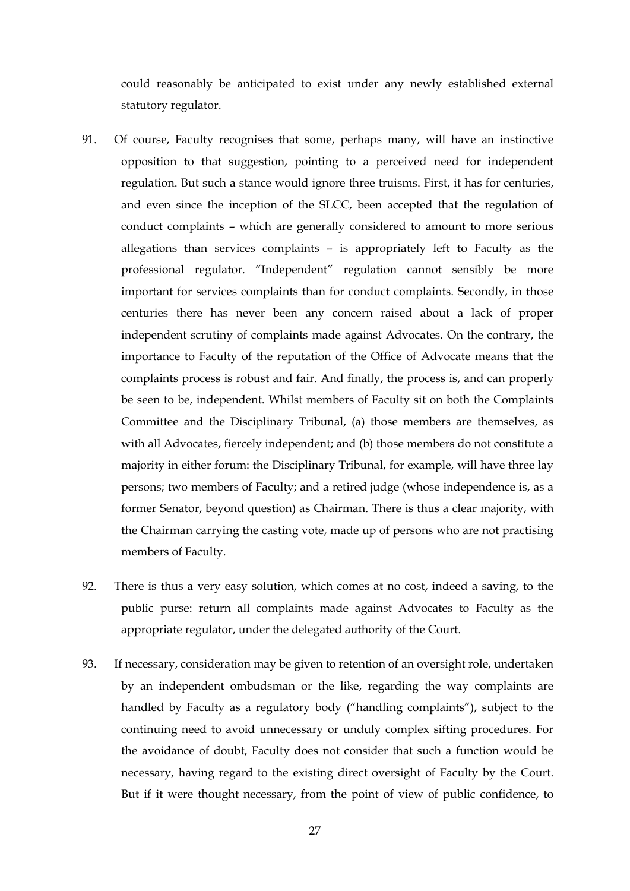could reasonably be anticipated to exist under any newly established external statutory regulator.

- 91. Of course, Faculty recognises that some, perhaps many, will have an instinctive opposition to that suggestion, pointing to a perceived need for independent regulation. But such a stance would ignore three truisms. First, it has for centuries, and even since the inception of the SLCC, been accepted that the regulation of conduct complaints – which are generally considered to amount to more serious allegations than services complaints – is appropriately left to Faculty as the professional regulator. "Independent" regulation cannot sensibly be more important for services complaints than for conduct complaints. Secondly, in those centuries there has never been any concern raised about a lack of proper independent scrutiny of complaints made against Advocates. On the contrary, the importance to Faculty of the reputation of the Office of Advocate means that the complaints process is robust and fair. And finally, the process is, and can properly be seen to be, independent. Whilst members of Faculty sit on both the Complaints Committee and the Disciplinary Tribunal, (a) those members are themselves, as with all Advocates, fiercely independent; and (b) those members do not constitute a majority in either forum: the Disciplinary Tribunal, for example, will have three lay persons; two members of Faculty; and a retired judge (whose independence is, as a former Senator, beyond question) as Chairman. There is thus a clear majority, with the Chairman carrying the casting vote, made up of persons who are not practising members of Faculty.
- 92. There is thus a very easy solution, which comes at no cost, indeed a saving, to the public purse: return all complaints made against Advocates to Faculty as the appropriate regulator, under the delegated authority of the Court.
- 93. If necessary, consideration may be given to retention of an oversight role, undertaken by an independent ombudsman or the like, regarding the way complaints are handled by Faculty as a regulatory body ("handling complaints"), subject to the continuing need to avoid unnecessary or unduly complex sifting procedures. For the avoidance of doubt, Faculty does not consider that such a function would be necessary, having regard to the existing direct oversight of Faculty by the Court. But if it were thought necessary, from the point of view of public confidence, to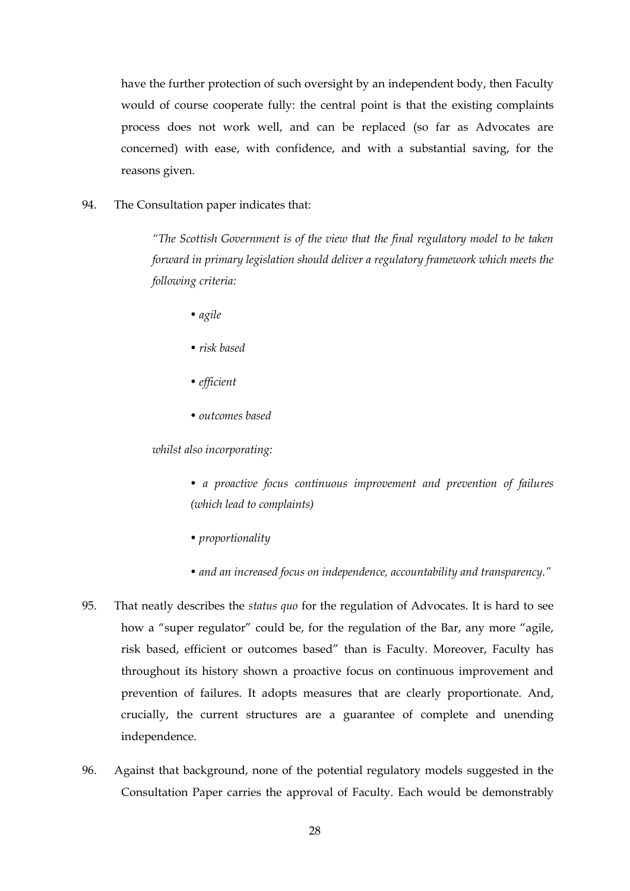have the further protection of such oversight by an independent body, then Faculty would of course cooperate fully: the central point is that the existing complaints process does not work well, and can be replaced (so far as Advocates are concerned) with ease, with confidence, and with a substantial saving, for the reasons given.

94. The Consultation paper indicates that:

*"The Scottish Government is of the view that the final regulatory model to be taken forward in primary legislation should deliver a regulatory framework which meets the following criteria:*

- *agile*
- *risk based*
- *efficient*
- *outcomes based*

*whilst also incorporating:*

*• a proactive focus continuous improvement and prevention of failures (which lead to complaints)*

- *proportionality*
- *and an increased focus on independence, accountability and transparency."*
- 95. That neatly describes the *status quo* for the regulation of Advocates. It is hard to see how a "super regulator" could be, for the regulation of the Bar, any more "agile, risk based, efficient or outcomes based" than is Faculty. Moreover, Faculty has throughout its history shown a proactive focus on continuous improvement and prevention of failures. It adopts measures that are clearly proportionate. And, crucially, the current structures are a guarantee of complete and unending independence.
- 96. Against that background, none of the potential regulatory models suggested in the Consultation Paper carries the approval of Faculty. Each would be demonstrably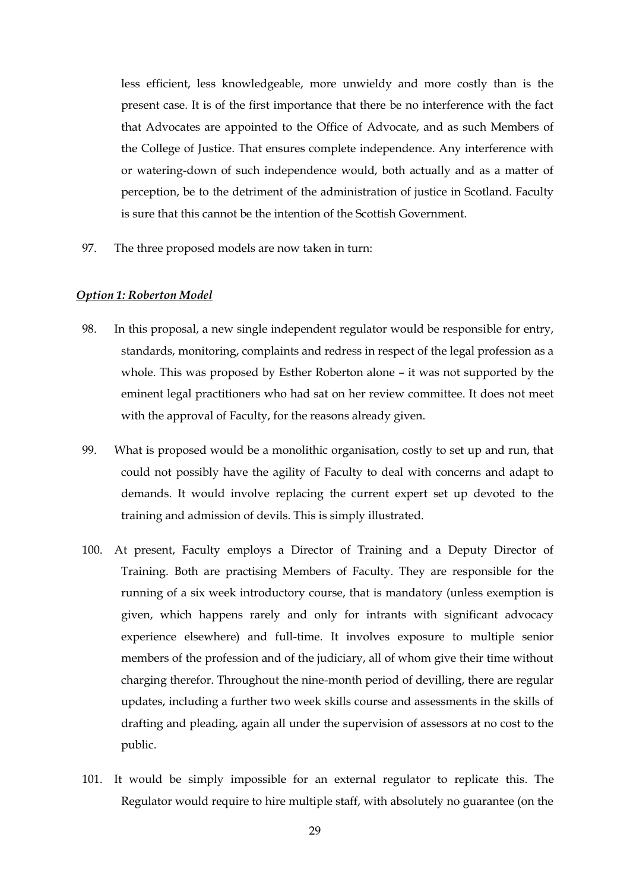less efficient, less knowledgeable, more unwieldy and more costly than is the present case. It is of the first importance that there be no interference with the fact that Advocates are appointed to the Office of Advocate, and as such Members of the College of Justice. That ensures complete independence. Any interference with or watering-down of such independence would, both actually and as a matter of perception, be to the detriment of the administration of justice in Scotland. Faculty is sure that this cannot be the intention of the Scottish Government.

97. The three proposed models are now taken in turn:

#### *Option 1: Roberton Model*

- 98. In this proposal, a new single independent regulator would be responsible for entry, standards, monitoring, complaints and redress in respect of the legal profession as a whole. This was proposed by Esther Roberton alone – it was not supported by the eminent legal practitioners who had sat on her review committee. It does not meet with the approval of Faculty, for the reasons already given.
- 99. What is proposed would be a monolithic organisation, costly to set up and run, that could not possibly have the agility of Faculty to deal with concerns and adapt to demands. It would involve replacing the current expert set up devoted to the training and admission of devils. This is simply illustrated.
- 100. At present, Faculty employs a Director of Training and a Deputy Director of Training. Both are practising Members of Faculty. They are responsible for the running of a six week introductory course, that is mandatory (unless exemption is given, which happens rarely and only for intrants with significant advocacy experience elsewhere) and full-time. It involves exposure to multiple senior members of the profession and of the judiciary, all of whom give their time without charging therefor. Throughout the nine-month period of devilling, there are regular updates, including a further two week skills course and assessments in the skills of drafting and pleading, again all under the supervision of assessors at no cost to the public.
- 101. It would be simply impossible for an external regulator to replicate this. The Regulator would require to hire multiple staff, with absolutely no guarantee (on the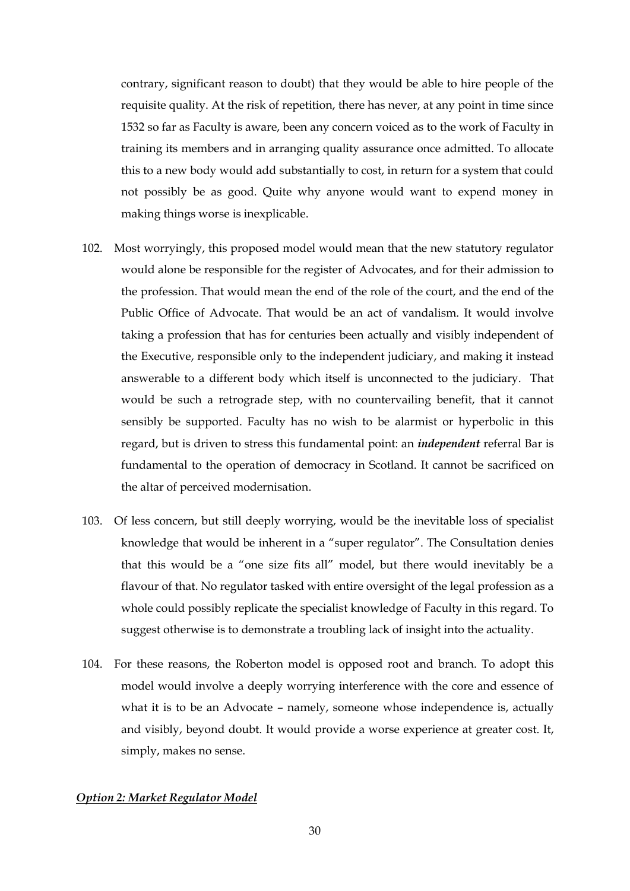contrary, significant reason to doubt) that they would be able to hire people of the requisite quality. At the risk of repetition, there has never, at any point in time since 1532 so far as Faculty is aware, been any concern voiced as to the work of Faculty in training its members and in arranging quality assurance once admitted. To allocate this to a new body would add substantially to cost, in return for a system that could not possibly be as good. Quite why anyone would want to expend money in making things worse is inexplicable.

- 102. Most worryingly, this proposed model would mean that the new statutory regulator would alone be responsible for the register of Advocates, and for their admission to the profession. That would mean the end of the role of the court, and the end of the Public Office of Advocate. That would be an act of vandalism. It would involve taking a profession that has for centuries been actually and visibly independent of the Executive, responsible only to the independent judiciary, and making it instead answerable to a different body which itself is unconnected to the judiciary. That would be such a retrograde step, with no countervailing benefit, that it cannot sensibly be supported. Faculty has no wish to be alarmist or hyperbolic in this regard, but is driven to stress this fundamental point: an *independent* referral Bar is fundamental to the operation of democracy in Scotland. It cannot be sacrificed on the altar of perceived modernisation.
- 103. Of less concern, but still deeply worrying, would be the inevitable loss of specialist knowledge that would be inherent in a "super regulator". The Consultation denies that this would be a "one size fits all" model, but there would inevitably be a flavour of that. No regulator tasked with entire oversight of the legal profession as a whole could possibly replicate the specialist knowledge of Faculty in this regard. To suggest otherwise is to demonstrate a troubling lack of insight into the actuality.
- 104. For these reasons, the Roberton model is opposed root and branch. To adopt this model would involve a deeply worrying interference with the core and essence of what it is to be an Advocate - namely, someone whose independence is, actually and visibly, beyond doubt. It would provide a worse experience at greater cost. It, simply, makes no sense.

## *Option 2: Market Regulator Model*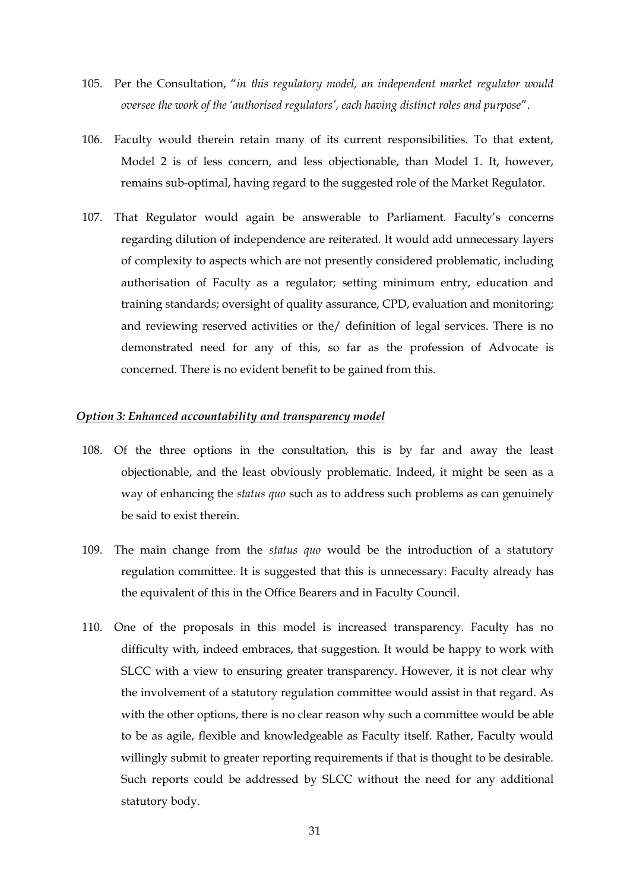- 105. Per the Consultation, "*in this regulatory model, an independent market regulator would oversee the work of the 'authorised regulators', each having distinct roles and purpose*".
- 106. Faculty would therein retain many of its current responsibilities. To that extent, Model 2 is of less concern, and less objectionable, than Model 1. It, however, remains sub-optimal, having regard to the suggested role of the Market Regulator.
- 107. That Regulator would again be answerable to Parliament. Faculty's concerns regarding dilution of independence are reiterated. It would add unnecessary layers of complexity to aspects which are not presently considered problematic, including authorisation of Faculty as a regulator; setting minimum entry, education and training standards; oversight of quality assurance, CPD, evaluation and monitoring; and reviewing reserved activities or the/ definition of legal services. There is no demonstrated need for any of this, so far as the profession of Advocate is concerned. There is no evident benefit to be gained from this.

## *Option 3: Enhanced accountability and transparency model*

- 108. Of the three options in the consultation, this is by far and away the least objectionable, and the least obviously problematic. Indeed, it might be seen as a way of enhancing the *status quo* such as to address such problems as can genuinely be said to exist therein.
- 109. The main change from the *status quo* would be the introduction of a statutory regulation committee. It is suggested that this is unnecessary: Faculty already has the equivalent of this in the Office Bearers and in Faculty Council.
- 110. One of the proposals in this model is increased transparency. Faculty has no difficulty with, indeed embraces, that suggestion. It would be happy to work with SLCC with a view to ensuring greater transparency. However, it is not clear why the involvement of a statutory regulation committee would assist in that regard. As with the other options, there is no clear reason why such a committee would be able to be as agile, flexible and knowledgeable as Faculty itself. Rather, Faculty would willingly submit to greater reporting requirements if that is thought to be desirable. Such reports could be addressed by SLCC without the need for any additional statutory body.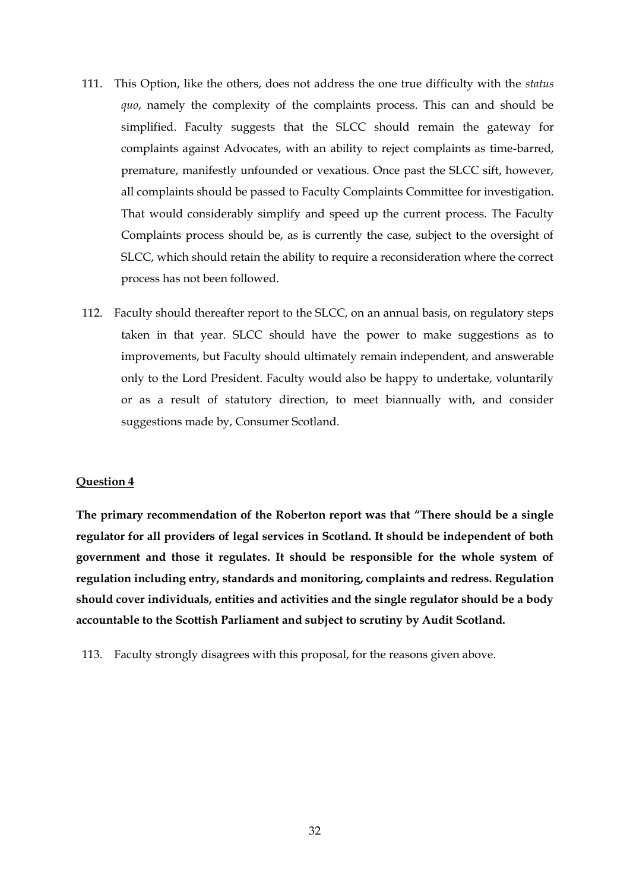- 111. This Option, like the others, does not address the one true difficulty with the *status quo*, namely the complexity of the complaints process. This can and should be simplified. Faculty suggests that the SLCC should remain the gateway for complaints against Advocates, with an ability to reject complaints as time-barred, premature, manifestly unfounded or vexatious. Once past the SLCC sift, however, all complaints should be passed to Faculty Complaints Committee for investigation. That would considerably simplify and speed up the current process. The Faculty Complaints process should be, as is currently the case, subject to the oversight of SLCC, which should retain the ability to require a reconsideration where the correct process has not been followed.
- 112. Faculty should thereafter report to the SLCC, on an annual basis, on regulatory steps taken in that year. SLCC should have the power to make suggestions as to improvements, but Faculty should ultimately remain independent, and answerable only to the Lord President. Faculty would also be happy to undertake, voluntarily or as a result of statutory direction, to meet biannually with, and consider suggestions made by, Consumer Scotland.

#### **Question 4**

**The primary recommendation of the Roberton report was that "There should be a single regulator for all providers of legal services in Scotland. It should be independent of both government and those it regulates. It should be responsible for the whole system of regulation including entry, standards and monitoring, complaints and redress. Regulation should cover individuals, entities and activities and the single regulator should be a body accountable to the Scottish Parliament and subject to scrutiny by Audit Scotland.**

113. Faculty strongly disagrees with this proposal, for the reasons given above.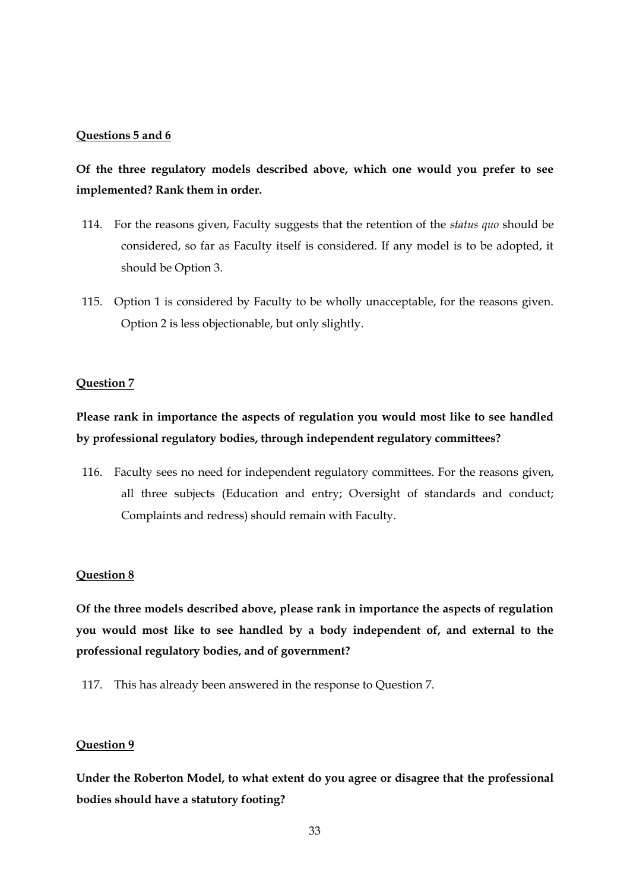#### **Questions 5 and 6**

# **Of the three regulatory models described above, which one would you prefer to see implemented? Rank them in order.**

- 114. For the reasons given, Faculty suggests that the retention of the *status quo* should be considered, so far as Faculty itself is considered. If any model is to be adopted, it should be Option 3.
- 115. Option 1 is considered by Faculty to be wholly unacceptable, for the reasons given. Option 2 is less objectionable, but only slightly.

#### **Question 7**

# **Please rank in importance the aspects of regulation you would most like to see handled by professional regulatory bodies, through independent regulatory committees?**

116. Faculty sees no need for independent regulatory committees. For the reasons given, all three subjects (Education and entry; Oversight of standards and conduct; Complaints and redress) should remain with Faculty.

#### **Question 8**

**Of the three models described above, please rank in importance the aspects of regulation you would most like to see handled by a body independent of, and external to the professional regulatory bodies, and of government?**

117. This has already been answered in the response to Question 7.

#### **Question 9**

**Under the Roberton Model, to what extent do you agree or disagree that the professional bodies should have a statutory footing?**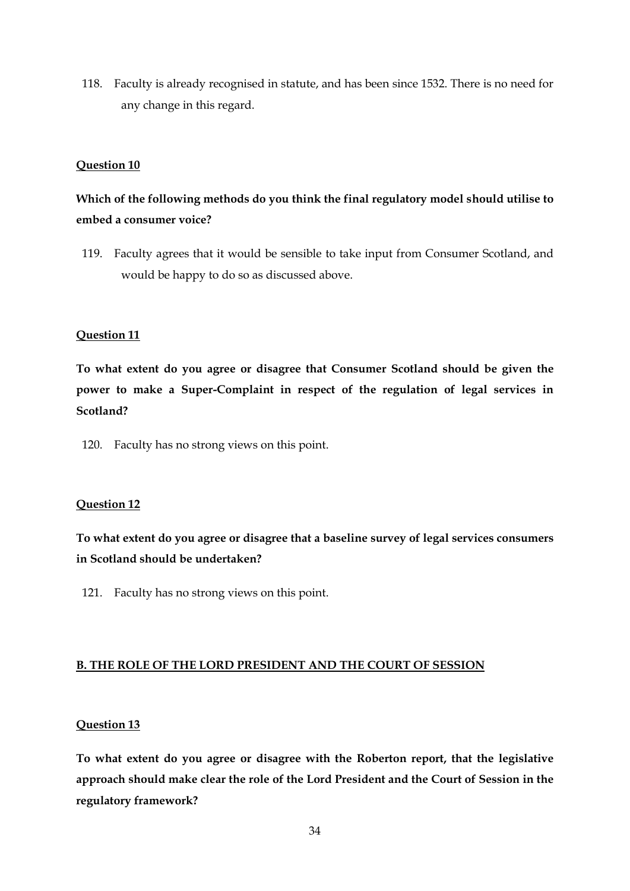118. Faculty is already recognised in statute, and has been since 1532. There is no need for any change in this regard.

## **Question 10**

# **Which of the following methods do you think the final regulatory model should utilise to embed a consumer voice?**

119. Faculty agrees that it would be sensible to take input from Consumer Scotland, and would be happy to do so as discussed above.

## **Question 11**

**To what extent do you agree or disagree that Consumer Scotland should be given the power to make a Super-Complaint in respect of the regulation of legal services in Scotland?**

120. Faculty has no strong views on this point.

#### **Question 12**

**To what extent do you agree or disagree that a baseline survey of legal services consumers in Scotland should be undertaken?**

121. Faculty has no strong views on this point.

#### **B. THE ROLE OF THE LORD PRESIDENT AND THE COURT OF SESSION**

#### **Question 13**

**To what extent do you agree or disagree with the Roberton report, that the legislative approach should make clear the role of the Lord President and the Court of Session in the regulatory framework?**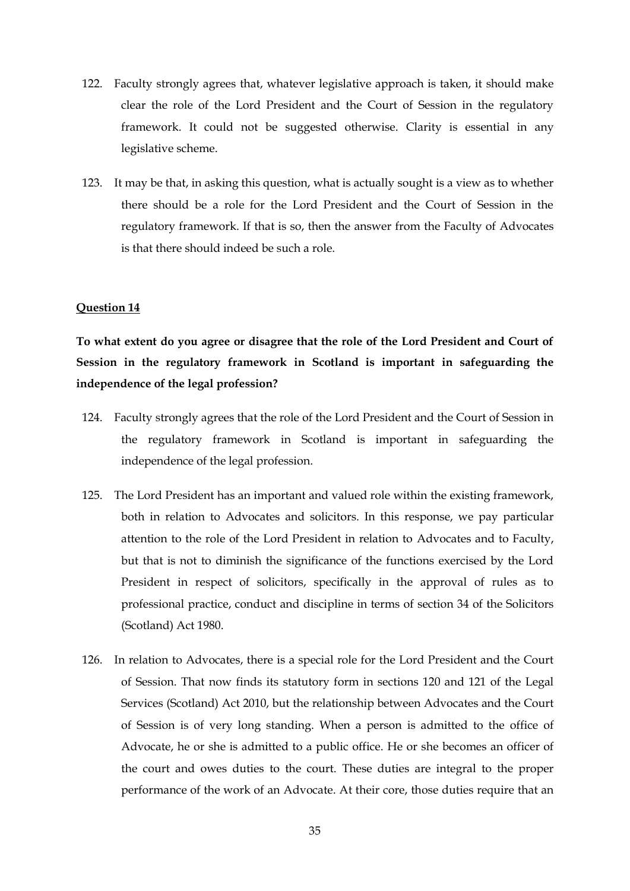- 122. Faculty strongly agrees that, whatever legislative approach is taken, it should make clear the role of the Lord President and the Court of Session in the regulatory framework. It could not be suggested otherwise. Clarity is essential in any legislative scheme.
- 123. It may be that, in asking this question, what is actually sought is a view as to whether there should be a role for the Lord President and the Court of Session in the regulatory framework. If that is so, then the answer from the Faculty of Advocates is that there should indeed be such a role.

#### **Question 14**

**To what extent do you agree or disagree that the role of the Lord President and Court of Session in the regulatory framework in Scotland is important in safeguarding the independence of the legal profession?** 

- 124. Faculty strongly agrees that the role of the Lord President and the Court of Session in the regulatory framework in Scotland is important in safeguarding the independence of the legal profession.
- 125. The Lord President has an important and valued role within the existing framework, both in relation to Advocates and solicitors. In this response, we pay particular attention to the role of the Lord President in relation to Advocates and to Faculty, but that is not to diminish the significance of the functions exercised by the Lord President in respect of solicitors, specifically in the approval of rules as to professional practice, conduct and discipline in terms of section 34 of the Solicitors (Scotland) Act 1980.
- 126. In relation to Advocates, there is a special role for the Lord President and the Court of Session. That now finds its statutory form in sections 120 and 121 of the Legal Services (Scotland) Act 2010, but the relationship between Advocates and the Court of Session is of very long standing. When a person is admitted to the office of Advocate, he or she is admitted to a public office. He or she becomes an officer of the court and owes duties to the court. These duties are integral to the proper performance of the work of an Advocate. At their core, those duties require that an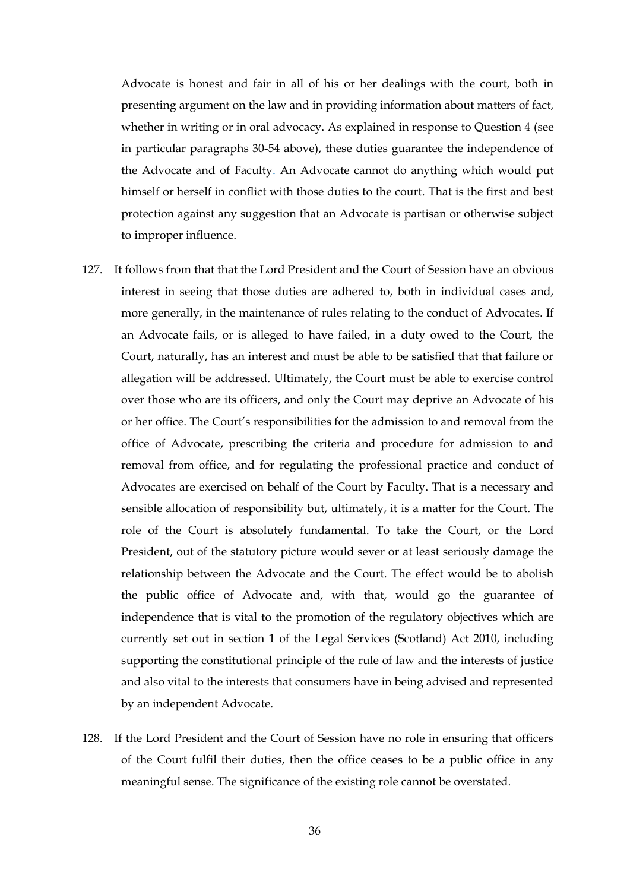Advocate is honest and fair in all of his or her dealings with the court, both in presenting argument on the law and in providing information about matters of fact, whether in writing or in oral advocacy. As explained in response to Question 4 (see in particular paragraphs 30-54 above), these duties guarantee the independence of the Advocate and of Faculty. An Advocate cannot do anything which would put himself or herself in conflict with those duties to the court. That is the first and best protection against any suggestion that an Advocate is partisan or otherwise subject to improper influence.

- 127. It follows from that that the Lord President and the Court of Session have an obvious interest in seeing that those duties are adhered to, both in individual cases and, more generally, in the maintenance of rules relating to the conduct of Advocates. If an Advocate fails, or is alleged to have failed, in a duty owed to the Court, the Court, naturally, has an interest and must be able to be satisfied that that failure or allegation will be addressed. Ultimately, the Court must be able to exercise control over those who are its officers, and only the Court may deprive an Advocate of his or her office. The Court's responsibilities for the admission to and removal from the office of Advocate, prescribing the criteria and procedure for admission to and removal from office, and for regulating the professional practice and conduct of Advocates are exercised on behalf of the Court by Faculty. That is a necessary and sensible allocation of responsibility but, ultimately, it is a matter for the Court. The role of the Court is absolutely fundamental. To take the Court, or the Lord President, out of the statutory picture would sever or at least seriously damage the relationship between the Advocate and the Court. The effect would be to abolish the public office of Advocate and, with that, would go the guarantee of independence that is vital to the promotion of the regulatory objectives which are currently set out in section 1 of the Legal Services (Scotland) Act 2010, including supporting the constitutional principle of the rule of law and the interests of justice and also vital to the interests that consumers have in being advised and represented by an independent Advocate.
- 128. If the Lord President and the Court of Session have no role in ensuring that officers of the Court fulfil their duties, then the office ceases to be a public office in any meaningful sense. The significance of the existing role cannot be overstated.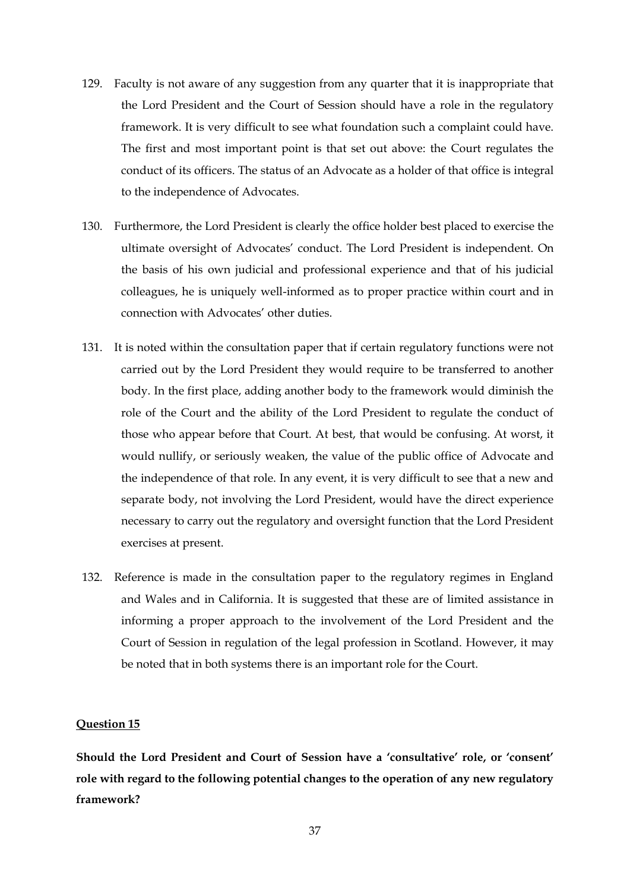- 129. Faculty is not aware of any suggestion from any quarter that it is inappropriate that the Lord President and the Court of Session should have a role in the regulatory framework. It is very difficult to see what foundation such a complaint could have. The first and most important point is that set out above: the Court regulates the conduct of its officers. The status of an Advocate as a holder of that office is integral to the independence of Advocates.
- 130. Furthermore, the Lord President is clearly the office holder best placed to exercise the ultimate oversight of Advocates' conduct. The Lord President is independent. On the basis of his own judicial and professional experience and that of his judicial colleagues, he is uniquely well-informed as to proper practice within court and in connection with Advocates' other duties.
- 131. It is noted within the consultation paper that if certain regulatory functions were not carried out by the Lord President they would require to be transferred to another body. In the first place, adding another body to the framework would diminish the role of the Court and the ability of the Lord President to regulate the conduct of those who appear before that Court. At best, that would be confusing. At worst, it would nullify, or seriously weaken, the value of the public office of Advocate and the independence of that role. In any event, it is very difficult to see that a new and separate body, not involving the Lord President, would have the direct experience necessary to carry out the regulatory and oversight function that the Lord President exercises at present.
- 132. Reference is made in the consultation paper to the regulatory regimes in England and Wales and in California. It is suggested that these are of limited assistance in informing a proper approach to the involvement of the Lord President and the Court of Session in regulation of the legal profession in Scotland. However, it may be noted that in both systems there is an important role for the Court.

#### **Question 15**

**Should the Lord President and Court of Session have a 'consultative' role, or 'consent' role with regard to the following potential changes to the operation of any new regulatory framework?**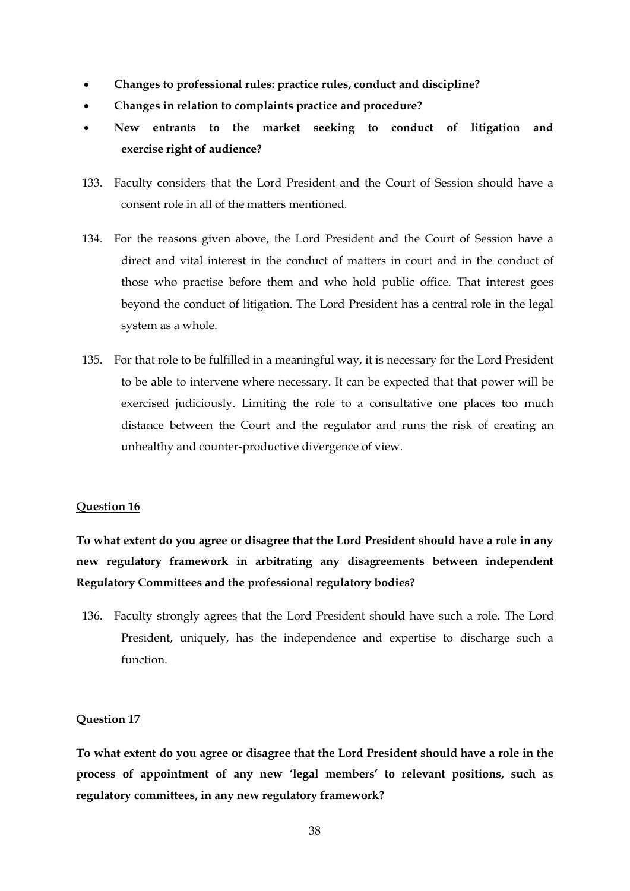- **Changes to professional rules: practice rules, conduct and discipline?**
- **Changes in relation to complaints practice and procedure?**
- **New entrants to the market seeking to conduct of litigation and exercise right of audience?**
- 133. Faculty considers that the Lord President and the Court of Session should have a consent role in all of the matters mentioned.
- 134. For the reasons given above, the Lord President and the Court of Session have a direct and vital interest in the conduct of matters in court and in the conduct of those who practise before them and who hold public office. That interest goes beyond the conduct of litigation. The Lord President has a central role in the legal system as a whole.
- 135. For that role to be fulfilled in a meaningful way, it is necessary for the Lord President to be able to intervene where necessary. It can be expected that that power will be exercised judiciously. Limiting the role to a consultative one places too much distance between the Court and the regulator and runs the risk of creating an unhealthy and counter-productive divergence of view.

#### **Question 16**

**To what extent do you agree or disagree that the Lord President should have a role in any new regulatory framework in arbitrating any disagreements between independent Regulatory Committees and the professional regulatory bodies?** 

136. Faculty strongly agrees that the Lord President should have such a role. The Lord President, uniquely, has the independence and expertise to discharge such a function.

### **Question 17**

**To what extent do you agree or disagree that the Lord President should have a role in the process of appointment of any new 'legal members' to relevant positions, such as regulatory committees, in any new regulatory framework?**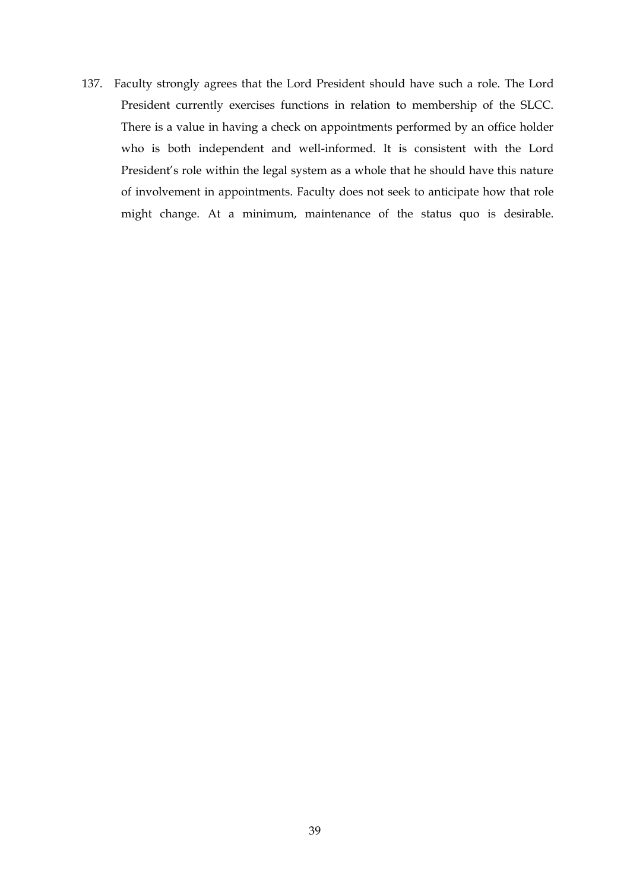137. Faculty strongly agrees that the Lord President should have such a role. The Lord President currently exercises functions in relation to membership of the SLCC. There is a value in having a check on appointments performed by an office holder who is both independent and well-informed. It is consistent with the Lord President's role within the legal system as a whole that he should have this nature of involvement in appointments. Faculty does not seek to anticipate how that role might change. At a minimum, maintenance of the status quo is desirable.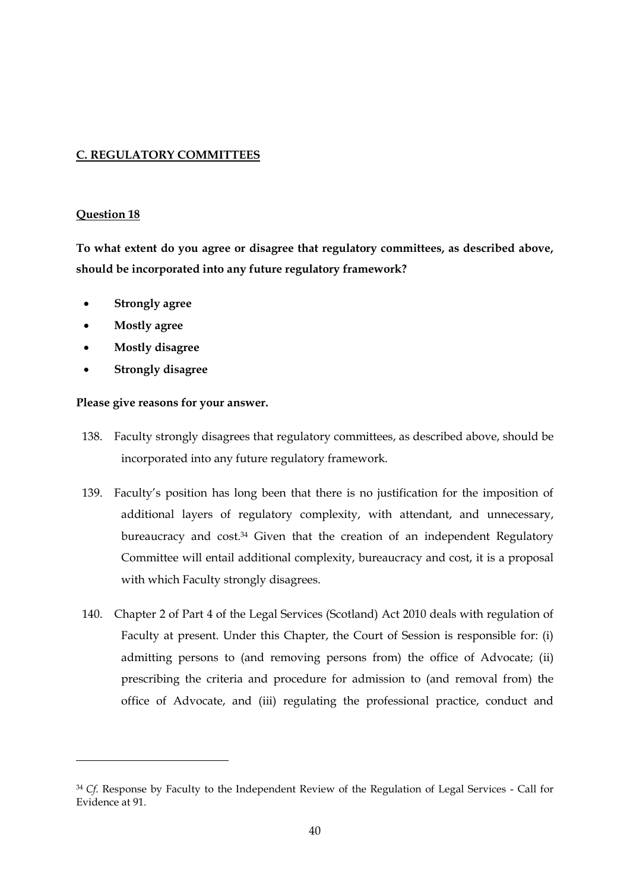## **C. REGULATORY COMMITTEES**

### **Question 18**

-

**To what extent do you agree or disagree that regulatory committees, as described above, should be incorporated into any future regulatory framework?**

- **Strongly agree**
- **Mostly agree**
- **Mostly disagree**
- **Strongly disagree**

- 138. Faculty strongly disagrees that regulatory committees, as described above, should be incorporated into any future regulatory framework.
- 139. Faculty's position has long been that there is no justification for the imposition of additional layers of regulatory complexity, with attendant, and unnecessary, bureaucracy and cost.<sup>34</sup> Given that the creation of an independent Regulatory Committee will entail additional complexity, bureaucracy and cost, it is a proposal with which Faculty strongly disagrees.
- 140. Chapter 2 of Part 4 of the Legal Services (Scotland) Act 2010 deals with regulation of Faculty at present. Under this Chapter, the Court of Session is responsible for: (i) admitting persons to (and removing persons from) the office of Advocate; (ii) prescribing the criteria and procedure for admission to (and removal from) the office of Advocate, and (iii) regulating the professional practice, conduct and

<sup>&</sup>lt;sup>34</sup> *Cf.* Response by Faculty to the Independent Review of the Regulation of Legal Services - Call for Evidence at 91.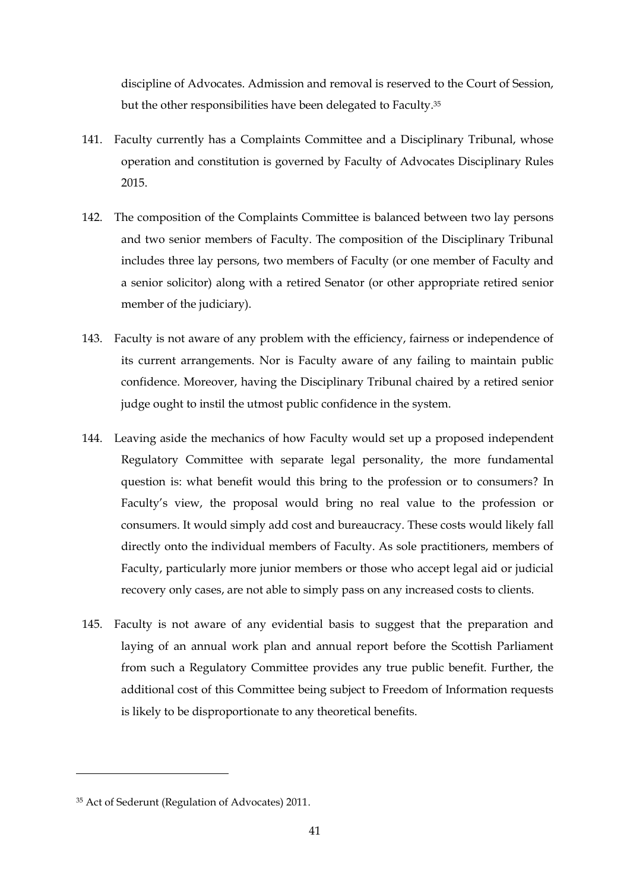discipline of Advocates. Admission and removal is reserved to the Court of Session, but the other responsibilities have been delegated to Faculty.<sup>35</sup>

- 141. Faculty currently has a Complaints Committee and a Disciplinary Tribunal, whose operation and constitution is governed by Faculty of Advocates Disciplinary Rules 2015.
- 142. The composition of the Complaints Committee is balanced between two lay persons and two senior members of Faculty. The composition of the Disciplinary Tribunal includes three lay persons, two members of Faculty (or one member of Faculty and a senior solicitor) along with a retired Senator (or other appropriate retired senior member of the judiciary).
- 143. Faculty is not aware of any problem with the efficiency, fairness or independence of its current arrangements. Nor is Faculty aware of any failing to maintain public confidence. Moreover, having the Disciplinary Tribunal chaired by a retired senior judge ought to instil the utmost public confidence in the system.
- 144. Leaving aside the mechanics of how Faculty would set up a proposed independent Regulatory Committee with separate legal personality, the more fundamental question is: what benefit would this bring to the profession or to consumers? In Faculty's view, the proposal would bring no real value to the profession or consumers. It would simply add cost and bureaucracy. These costs would likely fall directly onto the individual members of Faculty. As sole practitioners, members of Faculty, particularly more junior members or those who accept legal aid or judicial recovery only cases, are not able to simply pass on any increased costs to clients.
- 145. Faculty is not aware of any evidential basis to suggest that the preparation and laying of an annual work plan and annual report before the Scottish Parliament from such a Regulatory Committee provides any true public benefit. Further, the additional cost of this Committee being subject to Freedom of Information requests is likely to be disproportionate to any theoretical benefits.

-

<sup>35</sup> Act of Sederunt (Regulation of Advocates) 2011.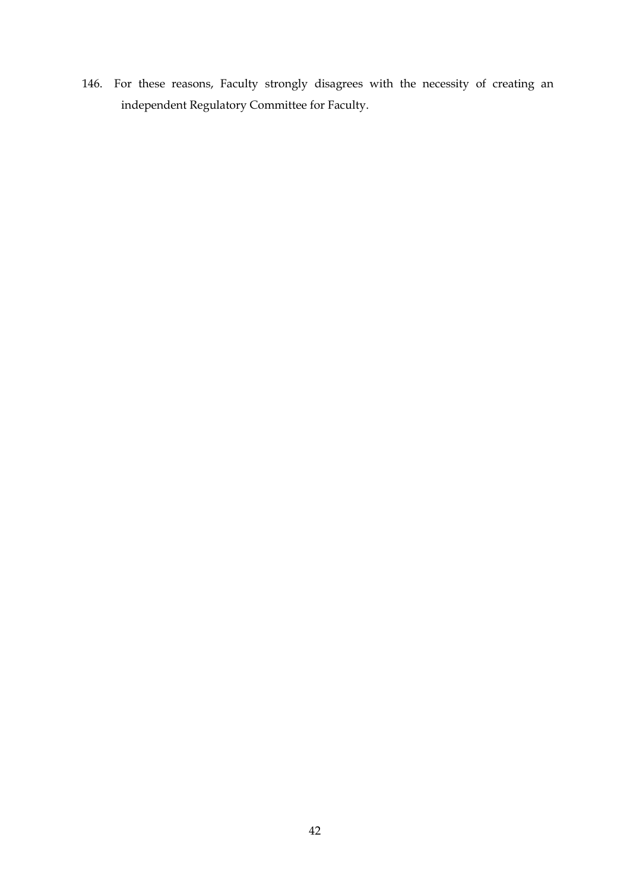146. For these reasons, Faculty strongly disagrees with the necessity of creating an independent Regulatory Committee for Faculty.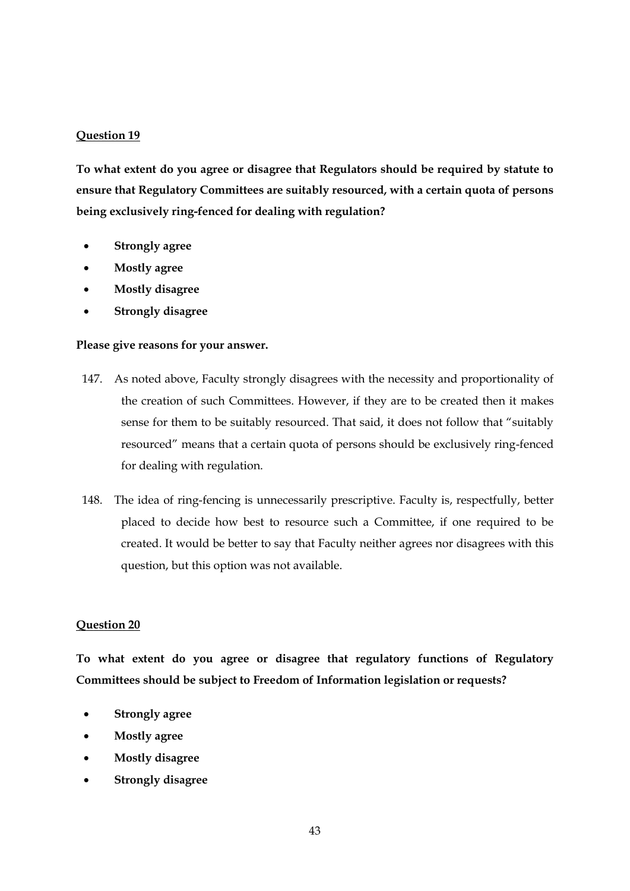## **Question 19**

**To what extent do you agree or disagree that Regulators should be required by statute to ensure that Regulatory Committees are suitably resourced, with a certain quota of persons being exclusively ring-fenced for dealing with regulation?**

- **Strongly agree**
- **Mostly agree**
- **Mostly disagree**
- **Strongly disagree**

#### **Please give reasons for your answer.**

- 147. As noted above, Faculty strongly disagrees with the necessity and proportionality of the creation of such Committees. However, if they are to be created then it makes sense for them to be suitably resourced. That said, it does not follow that "suitably resourced" means that a certain quota of persons should be exclusively ring-fenced for dealing with regulation.
- 148. The idea of ring-fencing is unnecessarily prescriptive. Faculty is, respectfully, better placed to decide how best to resource such a Committee, if one required to be created. It would be better to say that Faculty neither agrees nor disagrees with this question, but this option was not available.

#### **Question 20**

**To what extent do you agree or disagree that regulatory functions of Regulatory Committees should be subject to Freedom of Information legislation or requests?**

- **Strongly agree**
- **Mostly agree**
- **Mostly disagree**
- **Strongly disagree**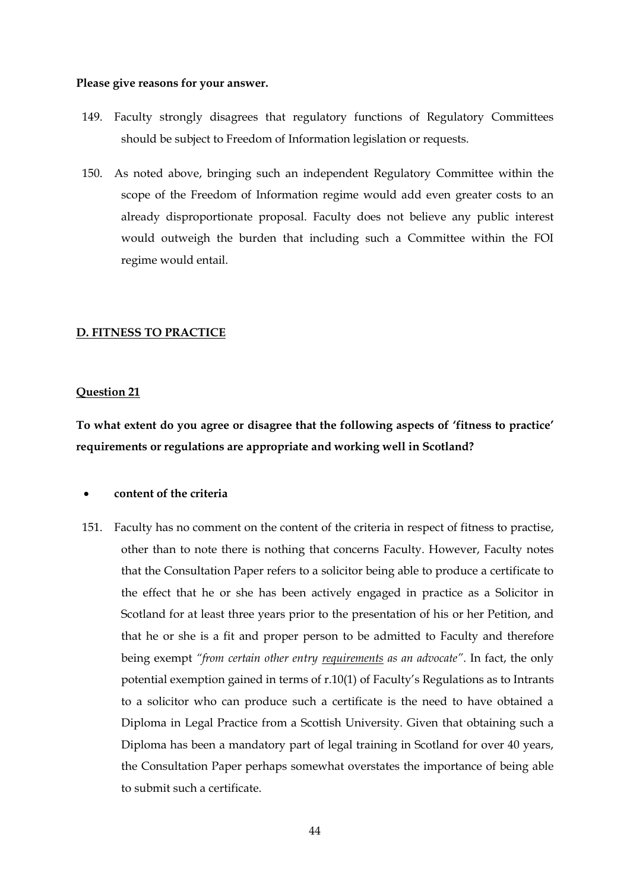#### **Please give reasons for your answer.**

- 149. Faculty strongly disagrees that regulatory functions of Regulatory Committees should be subject to Freedom of Information legislation or requests.
- 150. As noted above, bringing such an independent Regulatory Committee within the scope of the Freedom of Information regime would add even greater costs to an already disproportionate proposal. Faculty does not believe any public interest would outweigh the burden that including such a Committee within the FOI regime would entail.

#### **D. FITNESS TO PRACTICE**

#### **Question 21**

**To what extent do you agree or disagree that the following aspects of 'fitness to practice' requirements or regulations are appropriate and working well in Scotland?**

#### **content of the criteria**

151. Faculty has no comment on the content of the criteria in respect of fitness to practise, other than to note there is nothing that concerns Faculty. However, Faculty notes that the Consultation Paper refers to a solicitor being able to produce a certificate to the effect that he or she has been actively engaged in practice as a Solicitor in Scotland for at least three years prior to the presentation of his or her Petition, and that he or she is a fit and proper person to be admitted to Faculty and therefore being exempt *"from certain other entry requirements as an advocate"*. In fact, the only potential exemption gained in terms of r.10(1) of Faculty's Regulations as to Intrants to a solicitor who can produce such a certificate is the need to have obtained a Diploma in Legal Practice from a Scottish University. Given that obtaining such a Diploma has been a mandatory part of legal training in Scotland for over 40 years, the Consultation Paper perhaps somewhat overstates the importance of being able to submit such a certificate.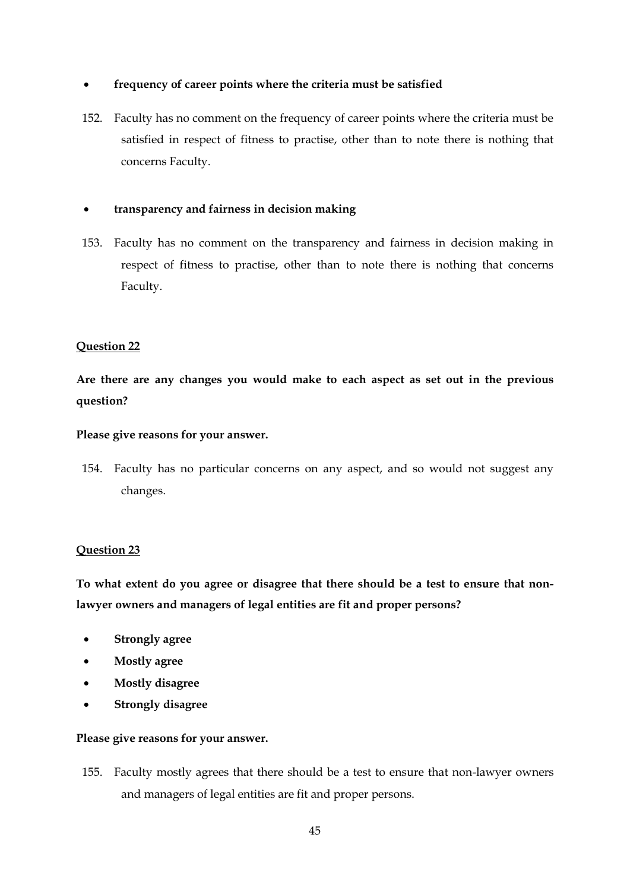## **frequency of career points where the criteria must be satisfied**

152. Faculty has no comment on the frequency of career points where the criteria must be satisfied in respect of fitness to practise, other than to note there is nothing that concerns Faculty.

## **transparency and fairness in decision making**

153. Faculty has no comment on the transparency and fairness in decision making in respect of fitness to practise, other than to note there is nothing that concerns Faculty.

## **Question 22**

**Are there are any changes you would make to each aspect as set out in the previous question?**

## **Please give reasons for your answer.**

154. Faculty has no particular concerns on any aspect, and so would not suggest any changes.

## **Question 23**

**To what extent do you agree or disagree that there should be a test to ensure that nonlawyer owners and managers of legal entities are fit and proper persons?**

- **Strongly agree**
- **Mostly agree**
- **Mostly disagree**
- **Strongly disagree**

## **Please give reasons for your answer.**

155. Faculty mostly agrees that there should be a test to ensure that non-lawyer owners and managers of legal entities are fit and proper persons.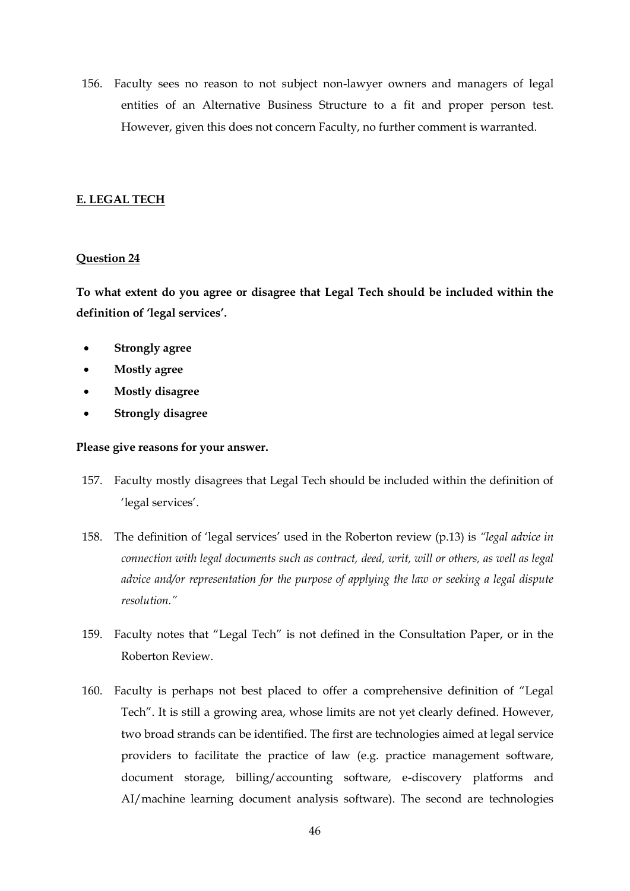156. Faculty sees no reason to not subject non-lawyer owners and managers of legal entities of an Alternative Business Structure to a fit and proper person test. However, given this does not concern Faculty, no further comment is warranted.

#### **E. LEGAL TECH**

#### **Question 24**

**To what extent do you agree or disagree that Legal Tech should be included within the definition of 'legal services'.**

- **Strongly agree**
- **Mostly agree**
- **Mostly disagree**
- **Strongly disagree**

- 157. Faculty mostly disagrees that Legal Tech should be included within the definition of 'legal services'.
- 158. The definition of 'legal services' used in the Roberton review (p.13) is *"legal advice in connection with legal documents such as contract, deed, writ, will or others, as well as legal advice and/or representation for the purpose of applying the law or seeking a legal dispute resolution."*
- 159. Faculty notes that "Legal Tech" is not defined in the Consultation Paper, or in the Roberton Review.
- 160. Faculty is perhaps not best placed to offer a comprehensive definition of "Legal Tech". It is still a growing area, whose limits are not yet clearly defined. However, two broad strands can be identified. The first are technologies aimed at legal service providers to facilitate the practice of law (e.g. practice management software, document storage, billing/accounting software, e-discovery platforms and AI/machine learning document analysis software). The second are technologies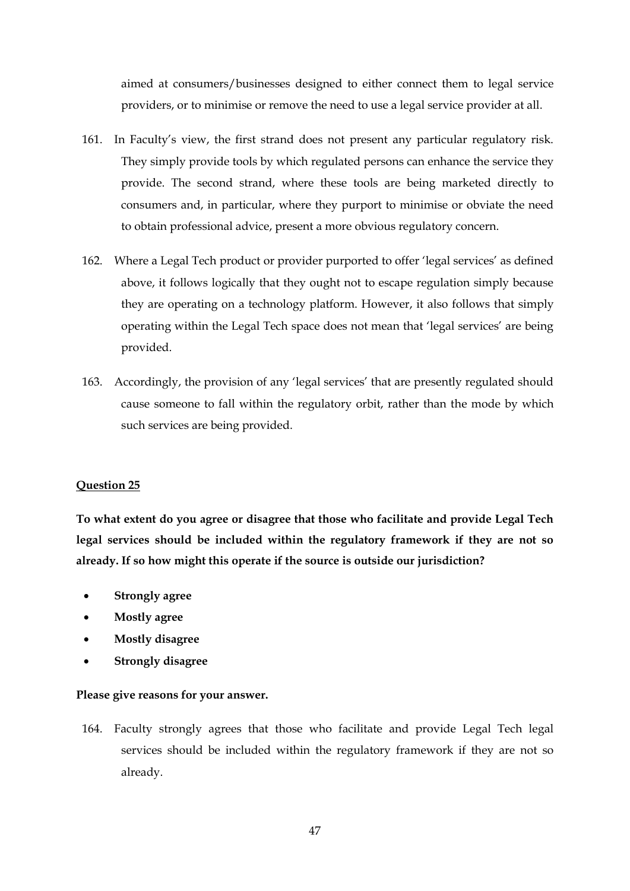aimed at consumers/businesses designed to either connect them to legal service providers, or to minimise or remove the need to use a legal service provider at all.

- 161. In Faculty's view, the first strand does not present any particular regulatory risk. They simply provide tools by which regulated persons can enhance the service they provide. The second strand, where these tools are being marketed directly to consumers and, in particular, where they purport to minimise or obviate the need to obtain professional advice, present a more obvious regulatory concern.
- 162. Where a Legal Tech product or provider purported to offer 'legal services' as defined above, it follows logically that they ought not to escape regulation simply because they are operating on a technology platform. However, it also follows that simply operating within the Legal Tech space does not mean that 'legal services' are being provided.
- 163. Accordingly, the provision of any 'legal services' that are presently regulated should cause someone to fall within the regulatory orbit, rather than the mode by which such services are being provided.

## **Question 25**

**To what extent do you agree or disagree that those who facilitate and provide Legal Tech legal services should be included within the regulatory framework if they are not so already. If so how might this operate if the source is outside our jurisdiction?**

- **Strongly agree**
- **Mostly agree**
- **Mostly disagree**
- **Strongly disagree**

#### **Please give reasons for your answer.**

164. Faculty strongly agrees that those who facilitate and provide Legal Tech legal services should be included within the regulatory framework if they are not so already.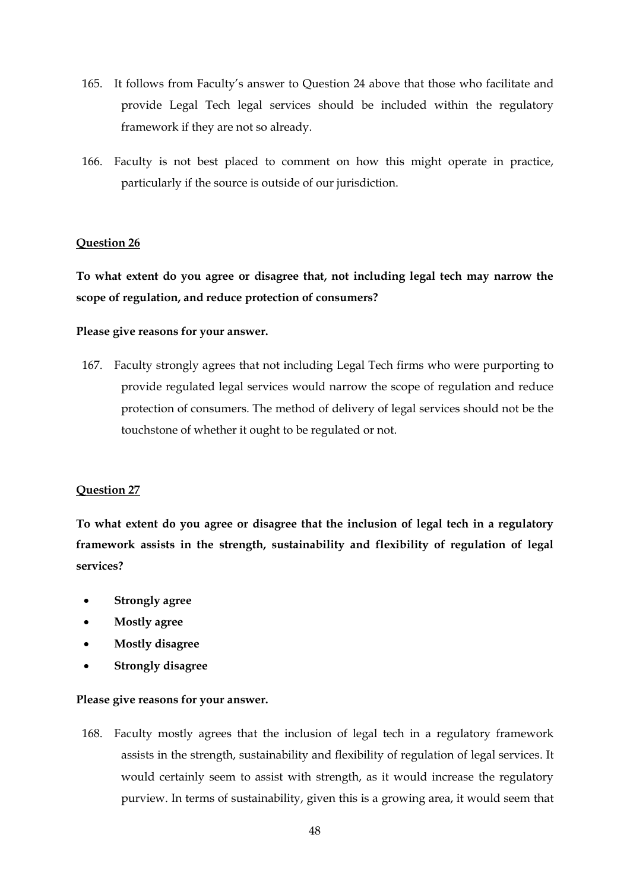- 165. It follows from Faculty's answer to Question 24 above that those who facilitate and provide Legal Tech legal services should be included within the regulatory framework if they are not so already.
- 166. Faculty is not best placed to comment on how this might operate in practice, particularly if the source is outside of our jurisdiction.

#### **Question 26**

**To what extent do you agree or disagree that, not including legal tech may narrow the scope of regulation, and reduce protection of consumers?**

#### **Please give reasons for your answer.**

167. Faculty strongly agrees that not including Legal Tech firms who were purporting to provide regulated legal services would narrow the scope of regulation and reduce protection of consumers. The method of delivery of legal services should not be the touchstone of whether it ought to be regulated or not.

#### **Question 27**

**To what extent do you agree or disagree that the inclusion of legal tech in a regulatory framework assists in the strength, sustainability and flexibility of regulation of legal services?**

- **Strongly agree**
- **Mostly agree**
- **Mostly disagree**
- **Strongly disagree**

#### **Please give reasons for your answer.**

168. Faculty mostly agrees that the inclusion of legal tech in a regulatory framework assists in the strength, sustainability and flexibility of regulation of legal services. It would certainly seem to assist with strength, as it would increase the regulatory purview. In terms of sustainability, given this is a growing area, it would seem that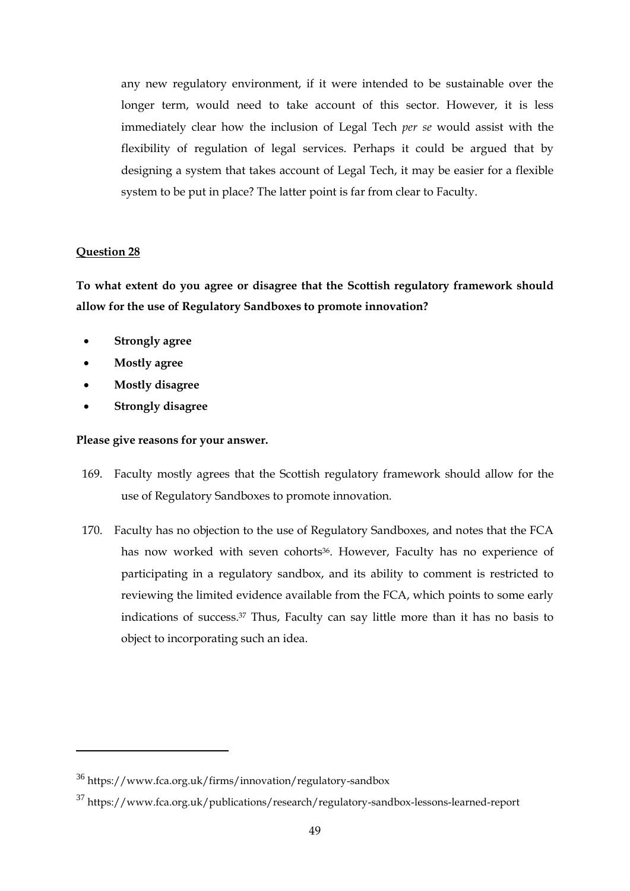any new regulatory environment, if it were intended to be sustainable over the longer term, would need to take account of this sector. However, it is less immediately clear how the inclusion of Legal Tech *per se* would assist with the flexibility of regulation of legal services. Perhaps it could be argued that by designing a system that takes account of Legal Tech, it may be easier for a flexible system to be put in place? The latter point is far from clear to Faculty.

#### **Question 28**

-

**To what extent do you agree or disagree that the Scottish regulatory framework should allow for the use of Regulatory Sandboxes to promote innovation?**

- **Strongly agree**
- **Mostly agree**
- **Mostly disagree**
- **Strongly disagree**

- 169. Faculty mostly agrees that the Scottish regulatory framework should allow for the use of Regulatory Sandboxes to promote innovation.
- 170. Faculty has no objection to the use of Regulatory Sandboxes, and notes that the FCA has now worked with seven cohorts<sup>36</sup>. However, Faculty has no experience of participating in a regulatory sandbox, and its ability to comment is restricted to reviewing the limited evidence available from the FCA, which points to some early indications of success.<sup>37</sup> Thus, Faculty can say little more than it has no basis to object to incorporating such an idea.

<sup>36</sup> https://www.fca.org.uk/firms/innovation/regulatory-sandbox

<sup>37</sup> https://www.fca.org.uk/publications/research/regulatory-sandbox-lessons-learned-report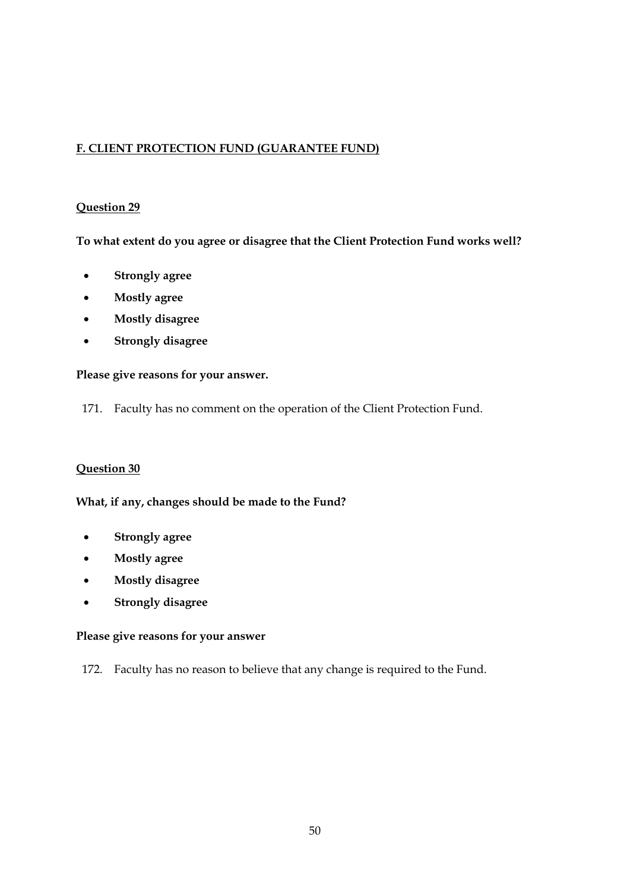# **F. CLIENT PROTECTION FUND (GUARANTEE FUND)**

## **Question 29**

**To what extent do you agree or disagree that the Client Protection Fund works well?**

- **Strongly agree**
- **Mostly agree**
- **Mostly disagree**
- **Strongly disagree**

## **Please give reasons for your answer.**

171. Faculty has no comment on the operation of the Client Protection Fund.

## **Question 30**

**What, if any, changes should be made to the Fund?**

- **Strongly agree**
- **Mostly agree**
- **Mostly disagree**
- **Strongly disagree**

#### **Please give reasons for your answer**

172. Faculty has no reason to believe that any change is required to the Fund.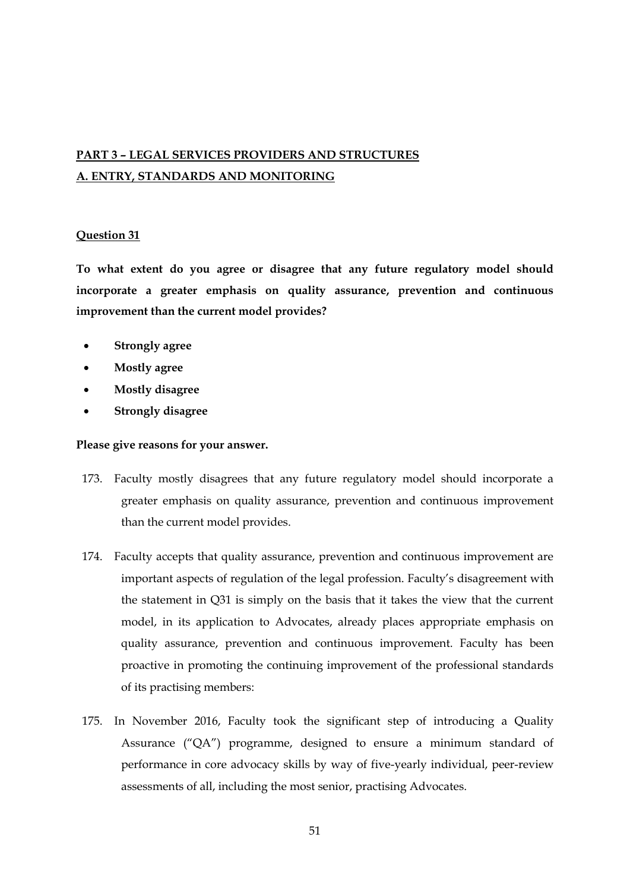# **PART 3 – LEGAL SERVICES PROVIDERS AND STRUCTURES A. ENTRY, STANDARDS AND MONITORING**

## **Question 31**

**To what extent do you agree or disagree that any future regulatory model should incorporate a greater emphasis on quality assurance, prevention and continuous improvement than the current model provides?**

- **Strongly agree**
- **Mostly agree**
- **Mostly disagree**
- **Strongly disagree**

- 173. Faculty mostly disagrees that any future regulatory model should incorporate a greater emphasis on quality assurance, prevention and continuous improvement than the current model provides.
- 174. Faculty accepts that quality assurance, prevention and continuous improvement are important aspects of regulation of the legal profession. Faculty's disagreement with the statement in Q31 is simply on the basis that it takes the view that the current model, in its application to Advocates, already places appropriate emphasis on quality assurance, prevention and continuous improvement. Faculty has been proactive in promoting the continuing improvement of the professional standards of its practising members:
- 175. In November 2016, Faculty took the significant step of introducing a Quality Assurance ("QA") programme, designed to ensure a minimum standard of performance in core advocacy skills by way of five-yearly individual, peer-review assessments of all, including the most senior, practising Advocates.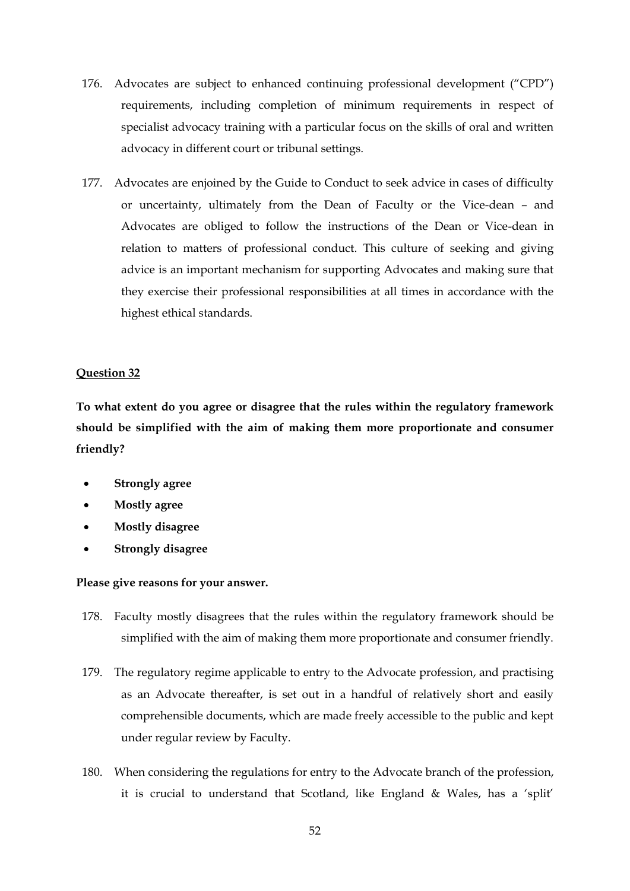- 176. Advocates are subject to enhanced continuing professional development ("CPD") requirements, including completion of minimum requirements in respect of specialist advocacy training with a particular focus on the skills of oral and written advocacy in different court or tribunal settings.
- 177. Advocates are enjoined by the Guide to Conduct to seek advice in cases of difficulty or uncertainty, ultimately from the Dean of Faculty or the Vice-dean – and Advocates are obliged to follow the instructions of the Dean or Vice-dean in relation to matters of professional conduct. This culture of seeking and giving advice is an important mechanism for supporting Advocates and making sure that they exercise their professional responsibilities at all times in accordance with the highest ethical standards.

## **Question 32**

**To what extent do you agree or disagree that the rules within the regulatory framework should be simplified with the aim of making them more proportionate and consumer friendly?**

- **Strongly agree**
- **Mostly agree**
- **Mostly disagree**
- **Strongly disagree**

- 178. Faculty mostly disagrees that the rules within the regulatory framework should be simplified with the aim of making them more proportionate and consumer friendly.
- 179. The regulatory regime applicable to entry to the Advocate profession, and practising as an Advocate thereafter, is set out in a handful of relatively short and easily comprehensible documents, which are made freely accessible to the public and kept under regular review by Faculty.
- 180. When considering the regulations for entry to the Advocate branch of the profession, it is crucial to understand that Scotland, like England & Wales, has a 'split'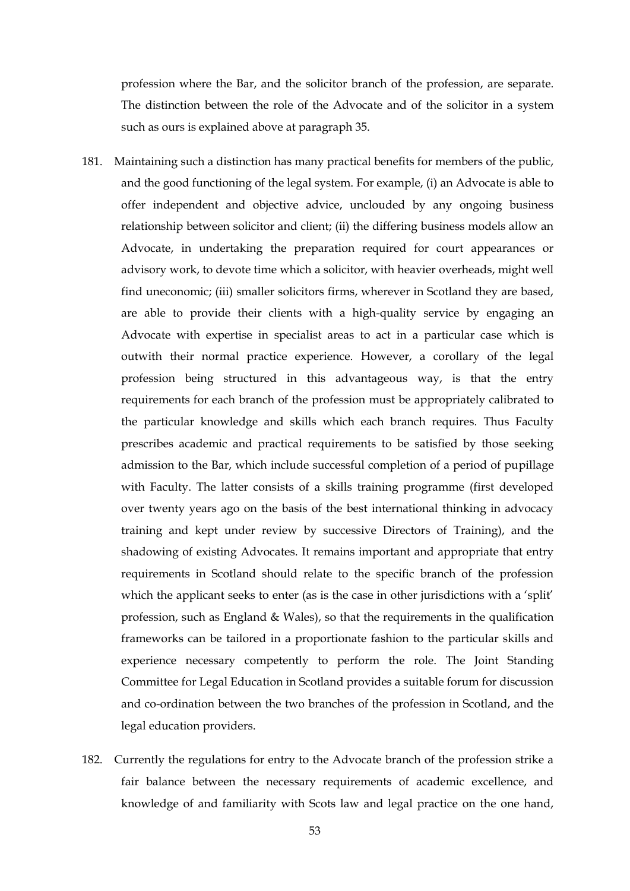profession where the Bar, and the solicitor branch of the profession, are separate. The distinction between the role of the Advocate and of the solicitor in a system such as ours is explained above at paragraph [35.](#page-9-0)

- 181. Maintaining such a distinction has many practical benefits for members of the public, and the good functioning of the legal system. For example, (i) an Advocate is able to offer independent and objective advice, unclouded by any ongoing business relationship between solicitor and client; (ii) the differing business models allow an Advocate, in undertaking the preparation required for court appearances or advisory work, to devote time which a solicitor, with heavier overheads, might well find uneconomic; (iii) smaller solicitors firms, wherever in Scotland they are based, are able to provide their clients with a high-quality service by engaging an Advocate with expertise in specialist areas to act in a particular case which is outwith their normal practice experience. However, a corollary of the legal profession being structured in this advantageous way, is that the entry requirements for each branch of the profession must be appropriately calibrated to the particular knowledge and skills which each branch requires. Thus Faculty prescribes academic and practical requirements to be satisfied by those seeking admission to the Bar, which include successful completion of a period of pupillage with Faculty. The latter consists of a skills training programme (first developed over twenty years ago on the basis of the best international thinking in advocacy training and kept under review by successive Directors of Training), and the shadowing of existing Advocates. It remains important and appropriate that entry requirements in Scotland should relate to the specific branch of the profession which the applicant seeks to enter (as is the case in other jurisdictions with a 'split' profession, such as England & Wales), so that the requirements in the qualification frameworks can be tailored in a proportionate fashion to the particular skills and experience necessary competently to perform the role. The Joint Standing Committee for Legal Education in Scotland provides a suitable forum for discussion and co-ordination between the two branches of the profession in Scotland, and the legal education providers.
- 182. Currently the regulations for entry to the Advocate branch of the profession strike a fair balance between the necessary requirements of academic excellence, and knowledge of and familiarity with Scots law and legal practice on the one hand,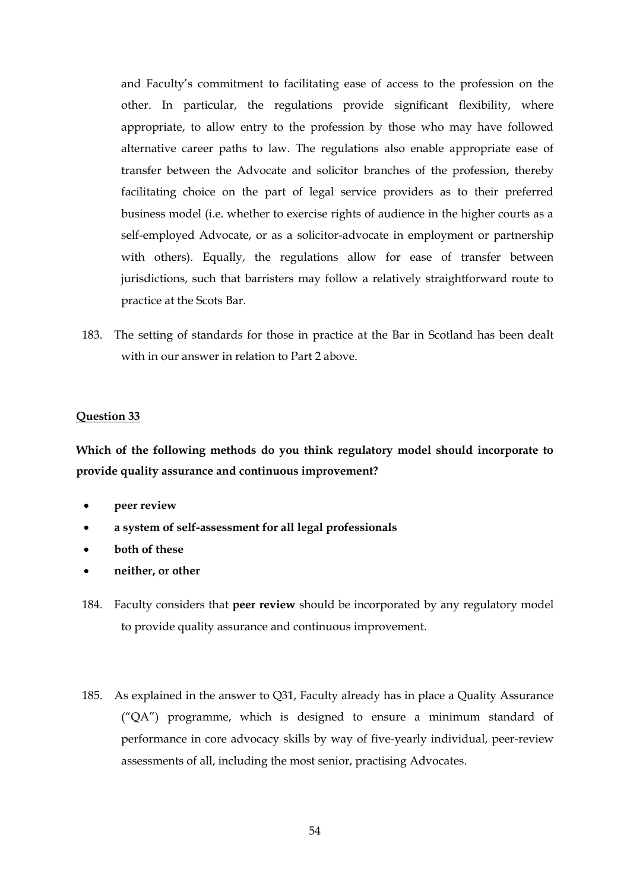and Faculty's commitment to facilitating ease of access to the profession on the other. In particular, the regulations provide significant flexibility, where appropriate, to allow entry to the profession by those who may have followed alternative career paths to law. The regulations also enable appropriate ease of transfer between the Advocate and solicitor branches of the profession, thereby facilitating choice on the part of legal service providers as to their preferred business model (i.e. whether to exercise rights of audience in the higher courts as a self-employed Advocate, or as a solicitor-advocate in employment or partnership with others). Equally, the regulations allow for ease of transfer between jurisdictions, such that barristers may follow a relatively straightforward route to practice at the Scots Bar.

183. The setting of standards for those in practice at the Bar in Scotland has been dealt with in our answer in relation to Part 2 above.

#### **Question 33**

**Which of the following methods do you think regulatory model should incorporate to provide quality assurance and continuous improvement?**

- **peer review**
- **a system of self-assessment for all legal professionals**
- **both of these**
- **neither, or other**
- 184. Faculty considers that **peer review** should be incorporated by any regulatory model to provide quality assurance and continuous improvement.
- 185. As explained in the answer to Q31, Faculty already has in place a Quality Assurance ("QA") programme, which is designed to ensure a minimum standard of performance in core advocacy skills by way of five-yearly individual, peer-review assessments of all, including the most senior, practising Advocates.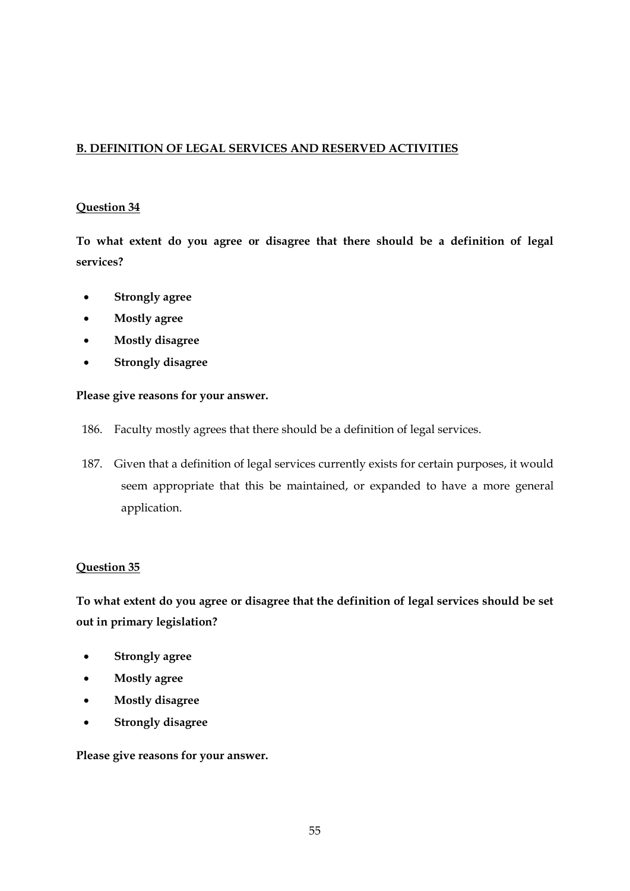# **B. DEFINITION OF LEGAL SERVICES AND RESERVED ACTIVITIES**

### **Question 34**

**To what extent do you agree or disagree that there should be a definition of legal services?**

- **Strongly agree**
- **Mostly agree**
- **Mostly disagree**
- **Strongly disagree**

#### **Please give reasons for your answer.**

- 186. Faculty mostly agrees that there should be a definition of legal services.
- 187. Given that a definition of legal services currently exists for certain purposes, it would seem appropriate that this be maintained, or expanded to have a more general application.

## **Question 35**

**To what extent do you agree or disagree that the definition of legal services should be set out in primary legislation?**

- **Strongly agree**
- **Mostly agree**
- **Mostly disagree**
- **Strongly disagree**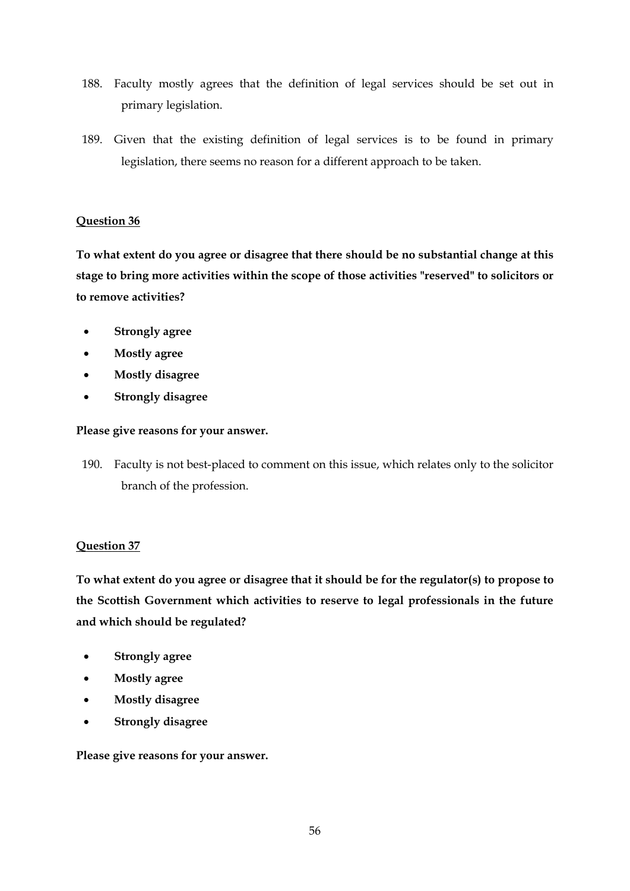- 188. Faculty mostly agrees that the definition of legal services should be set out in primary legislation.
- 189. Given that the existing definition of legal services is to be found in primary legislation, there seems no reason for a different approach to be taken.

## **Question 36**

**To what extent do you agree or disagree that there should be no substantial change at this stage to bring more activities within the scope of those activities "reserved" to solicitors or to remove activities?**

- **Strongly agree**
- **Mostly agree**
- **Mostly disagree**
- **Strongly disagree**

## **Please give reasons for your answer.**

190. Faculty is not best-placed to comment on this issue, which relates only to the solicitor branch of the profession.

# **Question 37**

**To what extent do you agree or disagree that it should be for the regulator(s) to propose to the Scottish Government which activities to reserve to legal professionals in the future and which should be regulated?**

- **Strongly agree**
- **Mostly agree**
- **Mostly disagree**
- **Strongly disagree**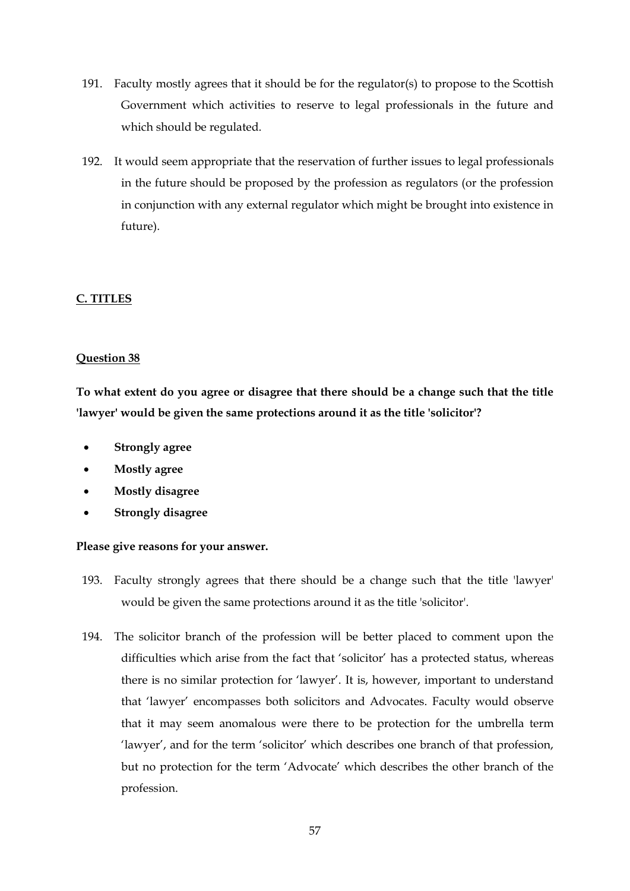- 191. Faculty mostly agrees that it should be for the regulator(s) to propose to the Scottish Government which activities to reserve to legal professionals in the future and which should be regulated.
- 192. It would seem appropriate that the reservation of further issues to legal professionals in the future should be proposed by the profession as regulators (or the profession in conjunction with any external regulator which might be brought into existence in future).

# **C. TITLES**

## **Question 38**

**To what extent do you agree or disagree that there should be a change such that the title 'lawyer' would be given the same protections around it as the title 'solicitor'?**

- **Strongly agree**
- **Mostly agree**
- **Mostly disagree**
- **Strongly disagree**

- 193. Faculty strongly agrees that there should be a change such that the title 'lawyer' would be given the same protections around it as the title 'solicitor'.
- 194. The solicitor branch of the profession will be better placed to comment upon the difficulties which arise from the fact that 'solicitor' has a protected status, whereas there is no similar protection for 'lawyer'. It is, however, important to understand that 'lawyer' encompasses both solicitors and Advocates. Faculty would observe that it may seem anomalous were there to be protection for the umbrella term 'lawyer', and for the term 'solicitor' which describes one branch of that profession, but no protection for the term 'Advocate' which describes the other branch of the profession.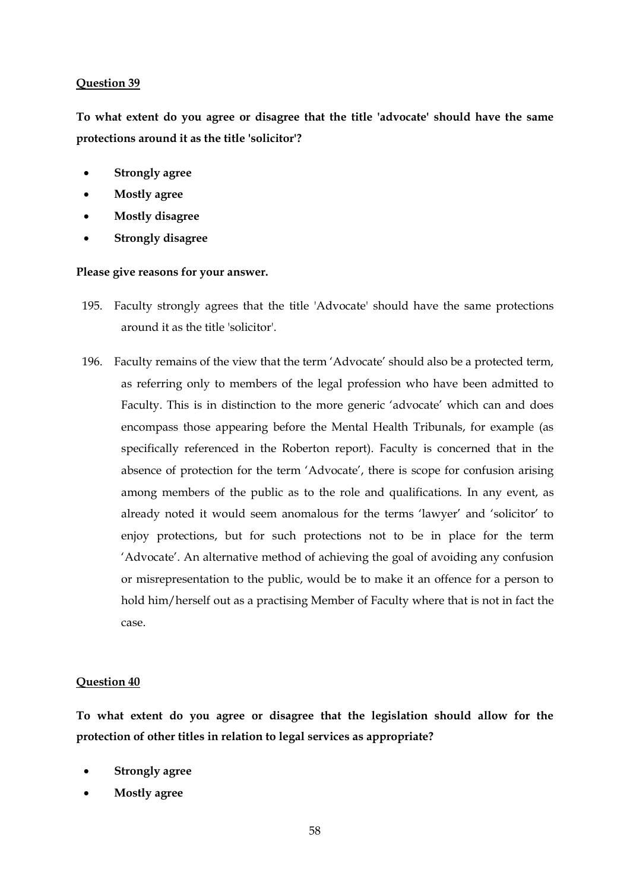#### **Question 39**

**To what extent do you agree or disagree that the title 'advocate' should have the same protections around it as the title 'solicitor'?**

- **Strongly agree**
- **Mostly agree**
- **Mostly disagree**
- **Strongly disagree**

#### **Please give reasons for your answer.**

- 195. Faculty strongly agrees that the title 'Advocate' should have the same protections around it as the title 'solicitor'.
- 196. Faculty remains of the view that the term 'Advocate' should also be a protected term, as referring only to members of the legal profession who have been admitted to Faculty. This is in distinction to the more generic 'advocate' which can and does encompass those appearing before the Mental Health Tribunals, for example (as specifically referenced in the Roberton report). Faculty is concerned that in the absence of protection for the term 'Advocate', there is scope for confusion arising among members of the public as to the role and qualifications. In any event, as already noted it would seem anomalous for the terms 'lawyer' and 'solicitor' to enjoy protections, but for such protections not to be in place for the term 'Advocate'. An alternative method of achieving the goal of avoiding any confusion or misrepresentation to the public, would be to make it an offence for a person to hold him/herself out as a practising Member of Faculty where that is not in fact the case.

#### **Question 40**

**To what extent do you agree or disagree that the legislation should allow for the protection of other titles in relation to legal services as appropriate?**

- **Strongly agree**
- **Mostly agree**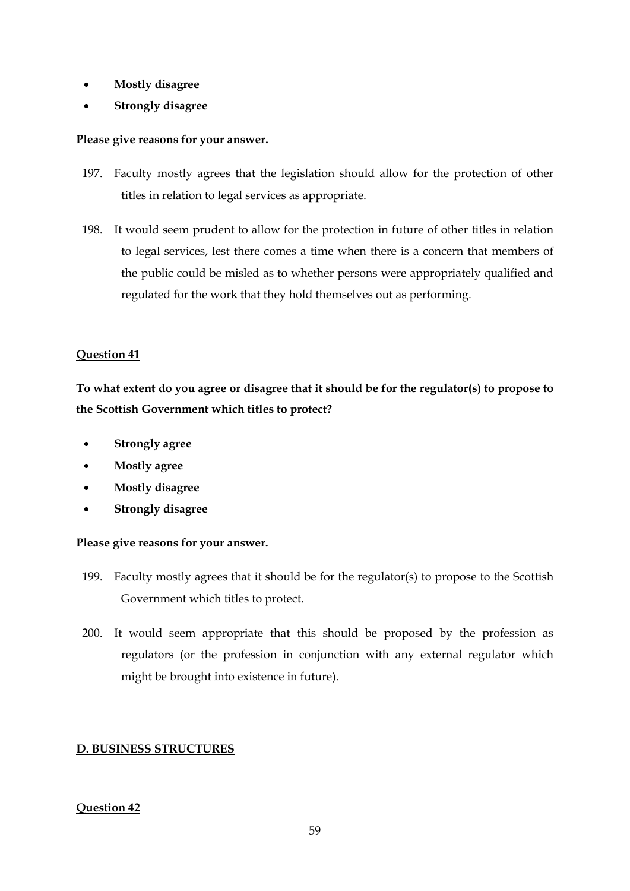- **Mostly disagree**
- **Strongly disagree**

## **Please give reasons for your answer.**

- 197. Faculty mostly agrees that the legislation should allow for the protection of other titles in relation to legal services as appropriate.
- 198. It would seem prudent to allow for the protection in future of other titles in relation to legal services, lest there comes a time when there is a concern that members of the public could be misled as to whether persons were appropriately qualified and regulated for the work that they hold themselves out as performing.

## **Question 41**

**To what extent do you agree or disagree that it should be for the regulator(s) to propose to the Scottish Government which titles to protect?**

- **Strongly agree**
- **Mostly agree**
- **Mostly disagree**
- **Strongly disagree**

## **Please give reasons for your answer.**

- 199. Faculty mostly agrees that it should be for the regulator(s) to propose to the Scottish Government which titles to protect.
- 200. It would seem appropriate that this should be proposed by the profession as regulators (or the profession in conjunction with any external regulator which might be brought into existence in future).

# **D. BUSINESS STRUCTURES**

## **Question 42**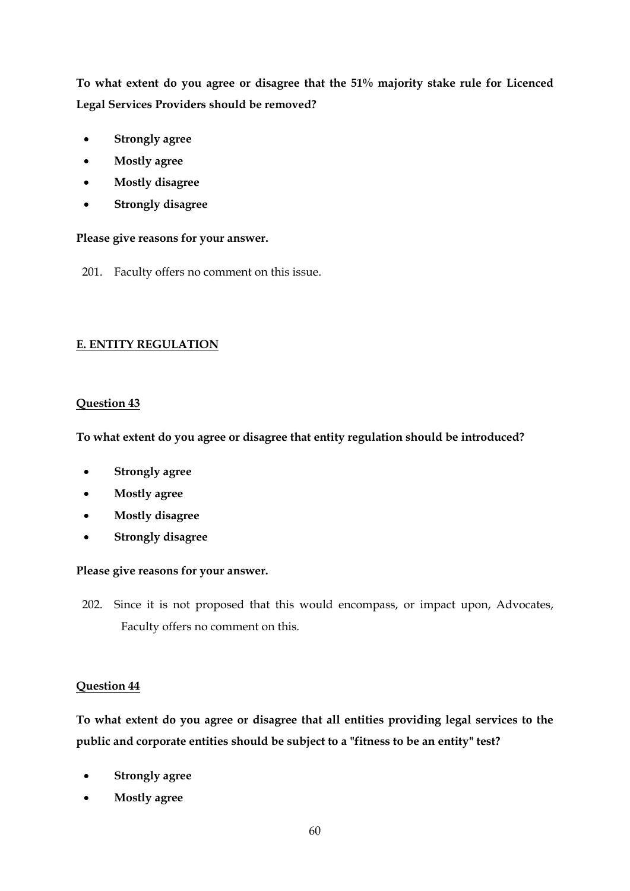**To what extent do you agree or disagree that the 51% majority stake rule for Licenced Legal Services Providers should be removed?**

- **Strongly agree**
- **Mostly agree**
- **Mostly disagree**
- **Strongly disagree**

**Please give reasons for your answer.**

201. Faculty offers no comment on this issue.

# **E. ENTITY REGULATION**

## **Question 43**

**To what extent do you agree or disagree that entity regulation should be introduced?**

- **Strongly agree**
- **Mostly agree**
- **Mostly disagree**
- **Strongly disagree**

# **Please give reasons for your answer.**

202. Since it is not proposed that this would encompass, or impact upon, Advocates, Faculty offers no comment on this.

# **Question 44**

**To what extent do you agree or disagree that all entities providing legal services to the public and corporate entities should be subject to a "fitness to be an entity" test?**

- **Strongly agree**
- **Mostly agree**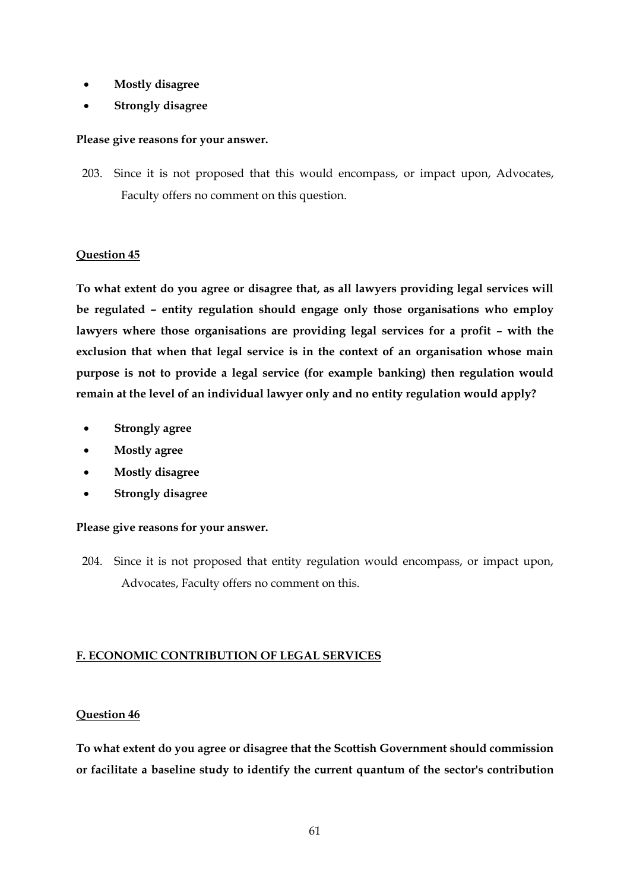- **Mostly disagree**
- **Strongly disagree**

## **Please give reasons for your answer.**

203. Since it is not proposed that this would encompass, or impact upon, Advocates, Faculty offers no comment on this question.

## **Question 45**

**To what extent do you agree or disagree that, as all lawyers providing legal services will be regulated – entity regulation should engage only those organisations who employ lawyers where those organisations are providing legal services for a profit – with the exclusion that when that legal service is in the context of an organisation whose main purpose is not to provide a legal service (for example banking) then regulation would remain at the level of an individual lawyer only and no entity regulation would apply?**

- **Strongly agree**
- **Mostly agree**
- **Mostly disagree**
- **Strongly disagree**

## **Please give reasons for your answer.**

204. Since it is not proposed that entity regulation would encompass, or impact upon, Advocates, Faculty offers no comment on this.

# **F. ECONOMIC CONTRIBUTION OF LEGAL SERVICES**

# **Question 46**

**To what extent do you agree or disagree that the Scottish Government should commission or facilitate a baseline study to identify the current quantum of the sector's contribution**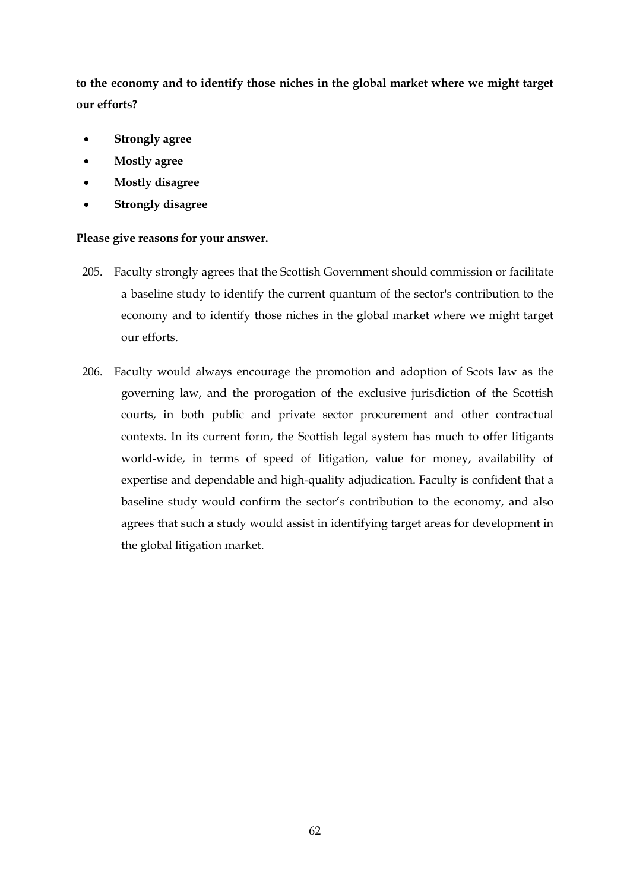**to the economy and to identify those niches in the global market where we might target our efforts?**

- **Strongly agree**
- **Mostly agree**
- **Mostly disagree**
- **Strongly disagree**

- 205. Faculty strongly agrees that the Scottish Government should commission or facilitate a baseline study to identify the current quantum of the sector's contribution to the economy and to identify those niches in the global market where we might target our efforts.
- 206. Faculty would always encourage the promotion and adoption of Scots law as the governing law, and the prorogation of the exclusive jurisdiction of the Scottish courts, in both public and private sector procurement and other contractual contexts. In its current form, the Scottish legal system has much to offer litigants world-wide, in terms of speed of litigation, value for money, availability of expertise and dependable and high-quality adjudication. Faculty is confident that a baseline study would confirm the sector's contribution to the economy, and also agrees that such a study would assist in identifying target areas for development in the global litigation market.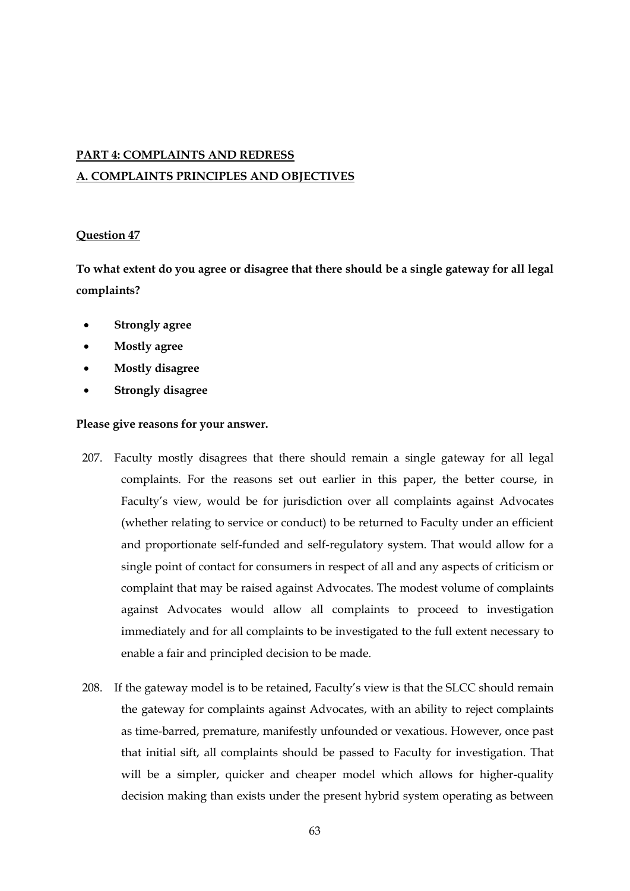# **PART 4: COMPLAINTS AND REDRESS A. COMPLAINTS PRINCIPLES AND OBJECTIVES**

## **Question 47**

**To what extent do you agree or disagree that there should be a single gateway for all legal complaints?**

- **Strongly agree**
- **Mostly agree**
- **Mostly disagree**
- **Strongly disagree**

- 207. Faculty mostly disagrees that there should remain a single gateway for all legal complaints. For the reasons set out earlier in this paper, the better course, in Faculty's view, would be for jurisdiction over all complaints against Advocates (whether relating to service or conduct) to be returned to Faculty under an efficient and proportionate self-funded and self-regulatory system. That would allow for a single point of contact for consumers in respect of all and any aspects of criticism or complaint that may be raised against Advocates. The modest volume of complaints against Advocates would allow all complaints to proceed to investigation immediately and for all complaints to be investigated to the full extent necessary to enable a fair and principled decision to be made.
- 208. If the gateway model is to be retained, Faculty's view is that the SLCC should remain the gateway for complaints against Advocates, with an ability to reject complaints as time-barred, premature, manifestly unfounded or vexatious. However, once past that initial sift, all complaints should be passed to Faculty for investigation. That will be a simpler, quicker and cheaper model which allows for higher-quality decision making than exists under the present hybrid system operating as between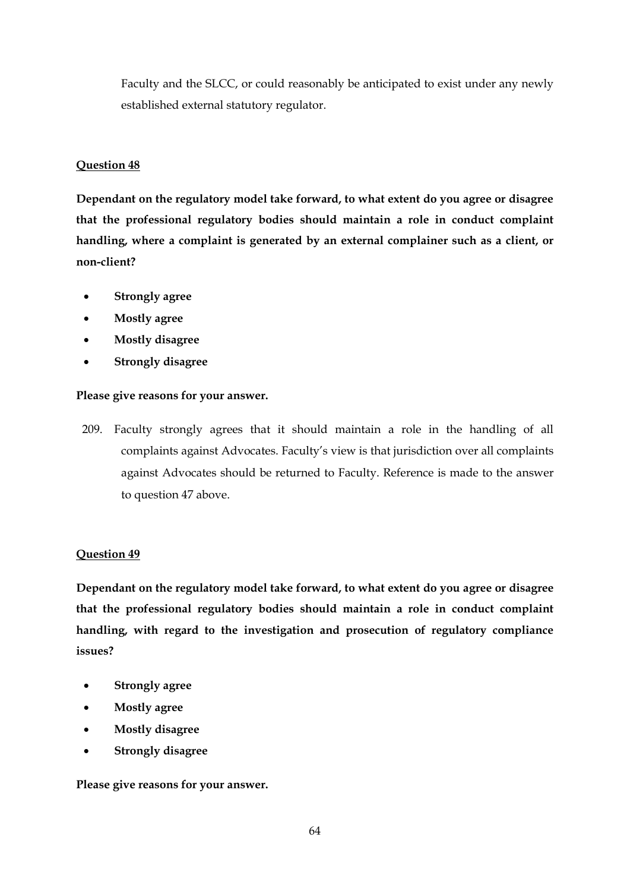Faculty and the SLCC, or could reasonably be anticipated to exist under any newly established external statutory regulator.

# **Question 48**

**Dependant on the regulatory model take forward, to what extent do you agree or disagree that the professional regulatory bodies should maintain a role in conduct complaint handling, where a complaint is generated by an external complainer such as a client, or non-client?**

- **Strongly agree**
- **Mostly agree**
- **Mostly disagree**
- **Strongly disagree**

## **Please give reasons for your answer.**

209. Faculty strongly agrees that it should maintain a role in the handling of all complaints against Advocates. Faculty's view is that jurisdiction over all complaints against Advocates should be returned to Faculty. Reference is made to the answer to question 47 above.

# **Question 49**

**Dependant on the regulatory model take forward, to what extent do you agree or disagree that the professional regulatory bodies should maintain a role in conduct complaint handling, with regard to the investigation and prosecution of regulatory compliance issues?**

- **Strongly agree**
- **Mostly agree**
- **Mostly disagree**
- **Strongly disagree**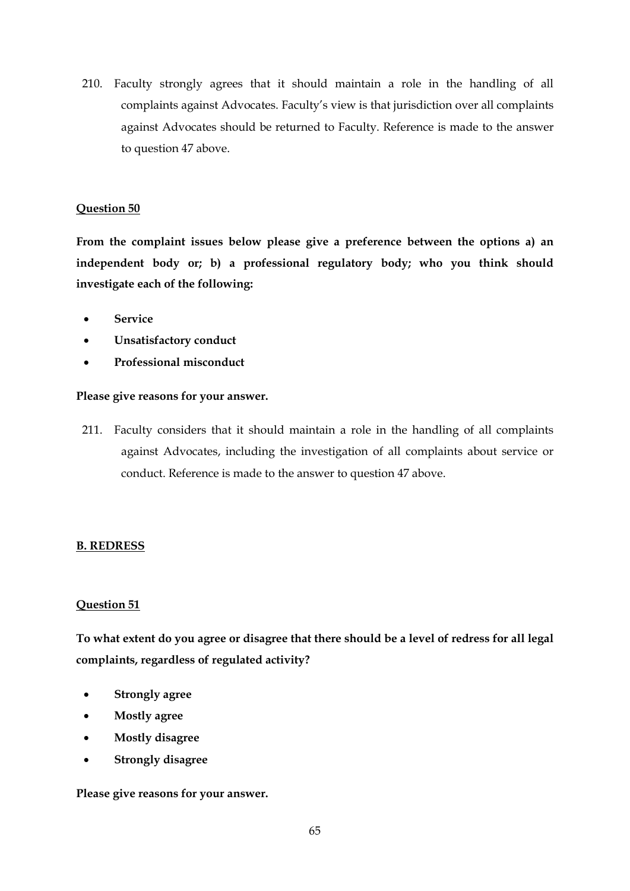210. Faculty strongly agrees that it should maintain a role in the handling of all complaints against Advocates. Faculty's view is that jurisdiction over all complaints against Advocates should be returned to Faculty. Reference is made to the answer to question 47 above.

## **Question 50**

**From the complaint issues below please give a preference between the options a) an independent body or; b) a professional regulatory body; who you think should investigate each of the following:**

- **Service**
- **Unsatisfactory conduct**
- **Professional misconduct**

#### **Please give reasons for your answer.**

211. Faculty considers that it should maintain a role in the handling of all complaints against Advocates, including the investigation of all complaints about service or conduct. Reference is made to the answer to question 47 above.

## **B. REDRESS**

## **Question 51**

**To what extent do you agree or disagree that there should be a level of redress for all legal complaints, regardless of regulated activity?**

- **Strongly agree**
- **Mostly agree**
- **Mostly disagree**
- **Strongly disagree**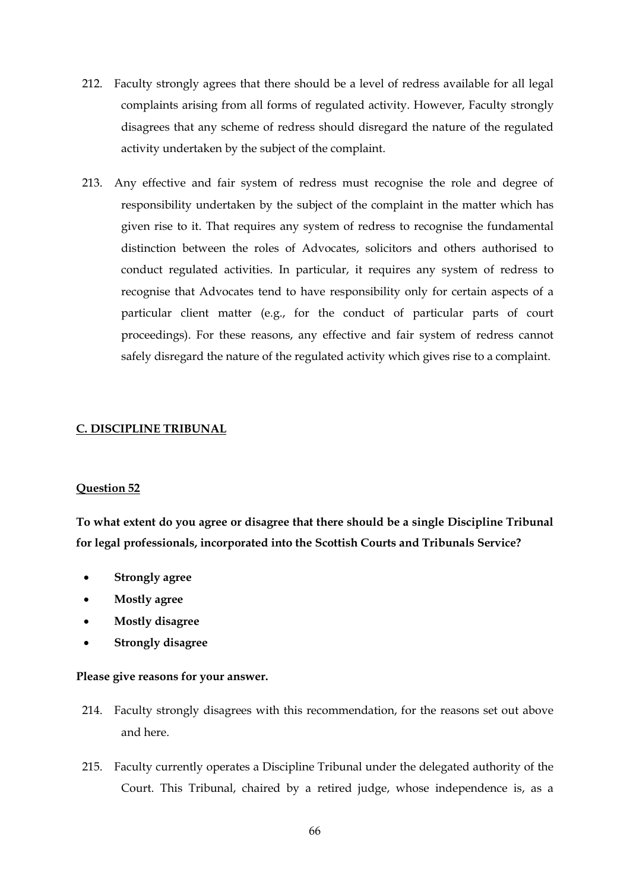- 212. Faculty strongly agrees that there should be a level of redress available for all legal complaints arising from all forms of regulated activity. However, Faculty strongly disagrees that any scheme of redress should disregard the nature of the regulated activity undertaken by the subject of the complaint.
- 213. Any effective and fair system of redress must recognise the role and degree of responsibility undertaken by the subject of the complaint in the matter which has given rise to it. That requires any system of redress to recognise the fundamental distinction between the roles of Advocates, solicitors and others authorised to conduct regulated activities. In particular, it requires any system of redress to recognise that Advocates tend to have responsibility only for certain aspects of a particular client matter (e.g., for the conduct of particular parts of court proceedings). For these reasons, any effective and fair system of redress cannot safely disregard the nature of the regulated activity which gives rise to a complaint.

## **C. DISCIPLINE TRIBUNAL**

#### **Question 52**

**To what extent do you agree or disagree that there should be a single Discipline Tribunal for legal professionals, incorporated into the Scottish Courts and Tribunals Service?**

- **Strongly agree**
- **Mostly agree**
- **Mostly disagree**
- **Strongly disagree**

- 214. Faculty strongly disagrees with this recommendation, for the reasons set out above and here.
- 215. Faculty currently operates a Discipline Tribunal under the delegated authority of the Court. This Tribunal, chaired by a retired judge, whose independence is, as a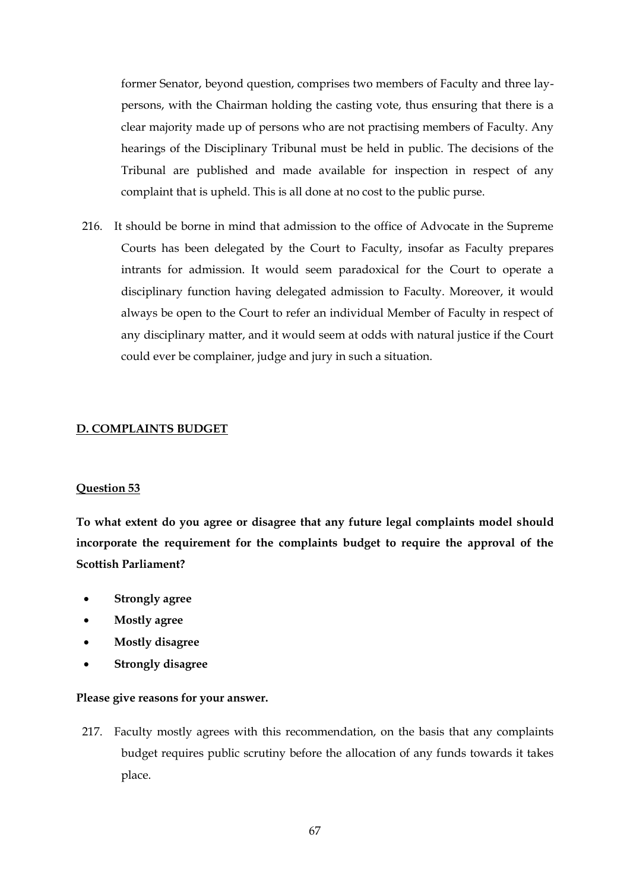former Senator, beyond question, comprises two members of Faculty and three laypersons, with the Chairman holding the casting vote, thus ensuring that there is a clear majority made up of persons who are not practising members of Faculty. Any hearings of the Disciplinary Tribunal must be held in public. The decisions of the Tribunal are published and made available for inspection in respect of any complaint that is upheld. This is all done at no cost to the public purse.

216. It should be borne in mind that admission to the office of Advocate in the Supreme Courts has been delegated by the Court to Faculty, insofar as Faculty prepares intrants for admission. It would seem paradoxical for the Court to operate a disciplinary function having delegated admission to Faculty. Moreover, it would always be open to the Court to refer an individual Member of Faculty in respect of any disciplinary matter, and it would seem at odds with natural justice if the Court could ever be complainer, judge and jury in such a situation.

### **D. COMPLAINTS BUDGET**

#### **Question 53**

**To what extent do you agree or disagree that any future legal complaints model should incorporate the requirement for the complaints budget to require the approval of the Scottish Parliament?**

- **Strongly agree**
- **Mostly agree**
- **Mostly disagree**
- **Strongly disagree**

#### **Please give reasons for your answer.**

217. Faculty mostly agrees with this recommendation, on the basis that any complaints budget requires public scrutiny before the allocation of any funds towards it takes place.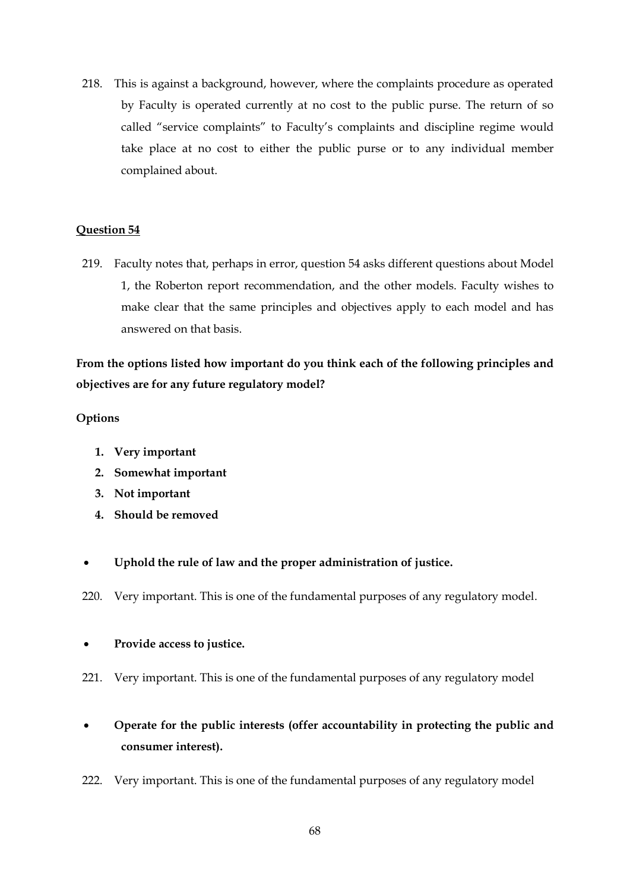218. This is against a background, however, where the complaints procedure as operated by Faculty is operated currently at no cost to the public purse. The return of so called "service complaints" to Faculty's complaints and discipline regime would take place at no cost to either the public purse or to any individual member complained about.

## **Question 54**

219. Faculty notes that, perhaps in error, question 54 asks different questions about Model 1, the Roberton report recommendation, and the other models. Faculty wishes to make clear that the same principles and objectives apply to each model and has answered on that basis.

**From the options listed how important do you think each of the following principles and objectives are for any future regulatory model?** 

## **Options**

- **1. Very important**
- **2. Somewhat important**
- **3. Not important**
- **4. Should be removed**
- **Uphold the rule of law and the proper administration of justice.**
- 220. Very important. This is one of the fundamental purposes of any regulatory model.

# **Provide access to justice.**

- 221. Very important. This is one of the fundamental purposes of any regulatory model
- **Operate for the public interests (offer accountability in protecting the public and consumer interest).**
- 222. Very important. This is one of the fundamental purposes of any regulatory model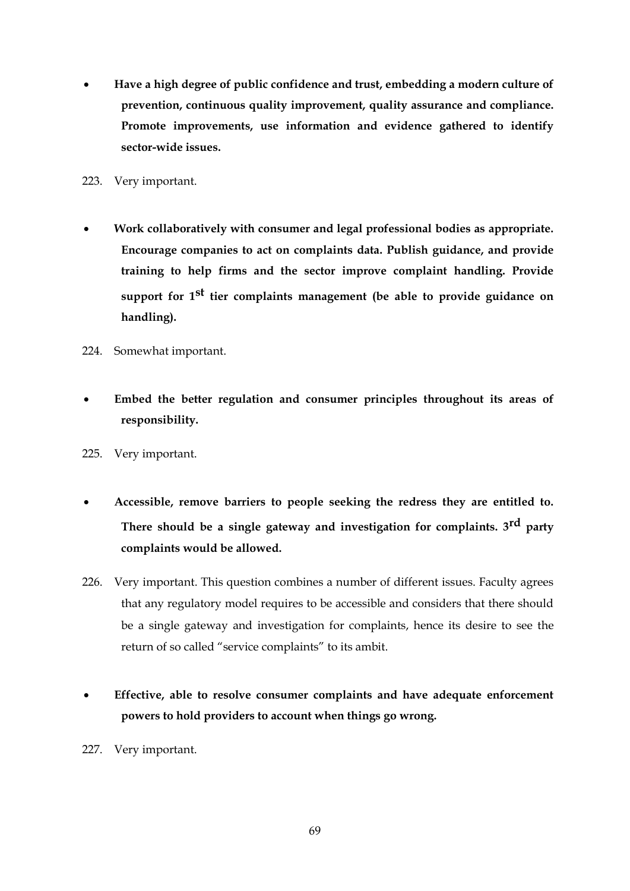- **Have a high degree of public confidence and trust, embedding a modern culture of prevention, continuous quality improvement, quality assurance and compliance. Promote improvements, use information and evidence gathered to identify sector-wide issues.**
- 223. Very important.
- **Work collaboratively with consumer and legal professional bodies as appropriate. Encourage companies to act on complaints data. Publish guidance, and provide training to help firms and the sector improve complaint handling. Provide support for 1st tier complaints management (be able to provide guidance on handling).**
- 224. Somewhat important.
- **Embed the better regulation and consumer principles throughout its areas of responsibility.**
- 225. Very important.
- **Accessible, remove barriers to people seeking the redress they are entitled to. There should be a single gateway and investigation for complaints. 3rd party complaints would be allowed.**
- 226. Very important. This question combines a number of different issues. Faculty agrees that any regulatory model requires to be accessible and considers that there should be a single gateway and investigation for complaints, hence its desire to see the return of so called "service complaints" to its ambit.
- **Effective, able to resolve consumer complaints and have adequate enforcement powers to hold providers to account when things go wrong.**
- 227. Very important.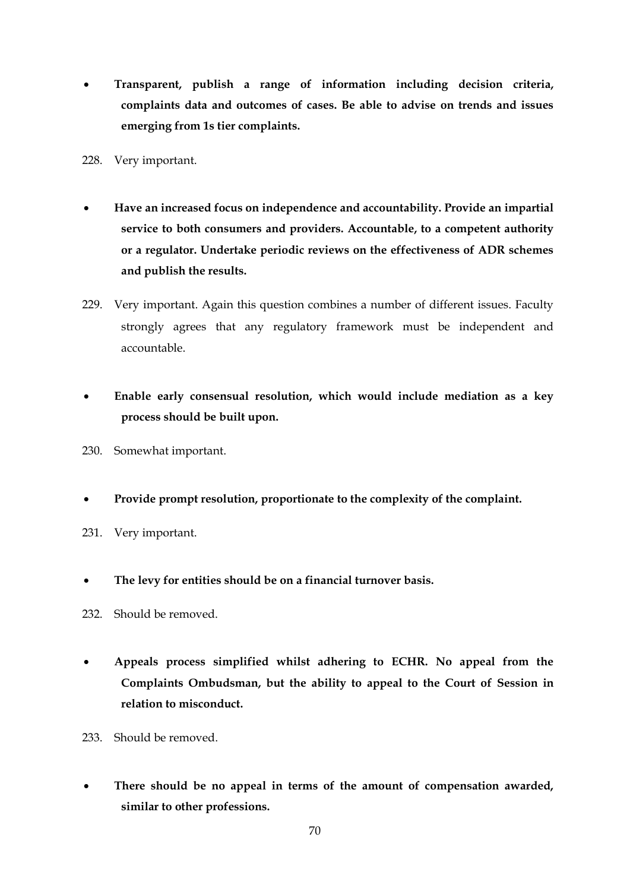- **Transparent, publish a range of information including decision criteria, complaints data and outcomes of cases. Be able to advise on trends and issues emerging from 1s tier complaints.**
- 228. Very important.
- **Have an increased focus on independence and accountability. Provide an impartial service to both consumers and providers. Accountable, to a competent authority or a regulator. Undertake periodic reviews on the effectiveness of ADR schemes and publish the results.**
- 229. Very important. Again this question combines a number of different issues. Faculty strongly agrees that any regulatory framework must be independent and accountable.
- **Enable early consensual resolution, which would include mediation as a key process should be built upon.**
- 230. Somewhat important.
- **Provide prompt resolution, proportionate to the complexity of the complaint.**
- 231. Very important.
- **The levy for entities should be on a financial turnover basis.**
- 232. Should be removed.
- **Appeals process simplified whilst adhering to ECHR. No appeal from the Complaints Ombudsman, but the ability to appeal to the Court of Session in relation to misconduct.**
- 233. Should be removed.
- **There should be no appeal in terms of the amount of compensation awarded, similar to other professions.**